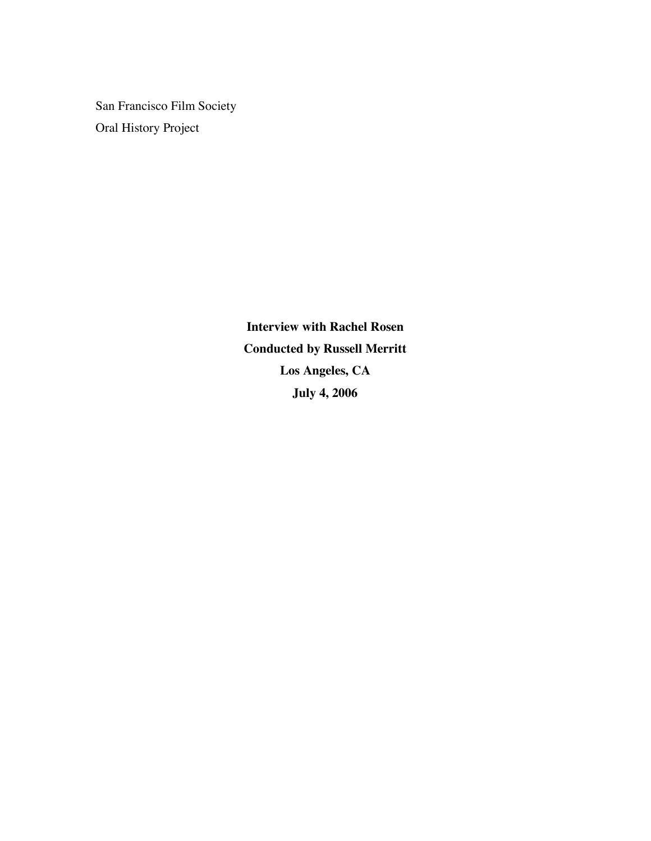San Francisco Film Society Oral History Project

> **Interview with Rachel Rosen Conducted by Russell Merritt Los Angeles, CA July 4, 2006**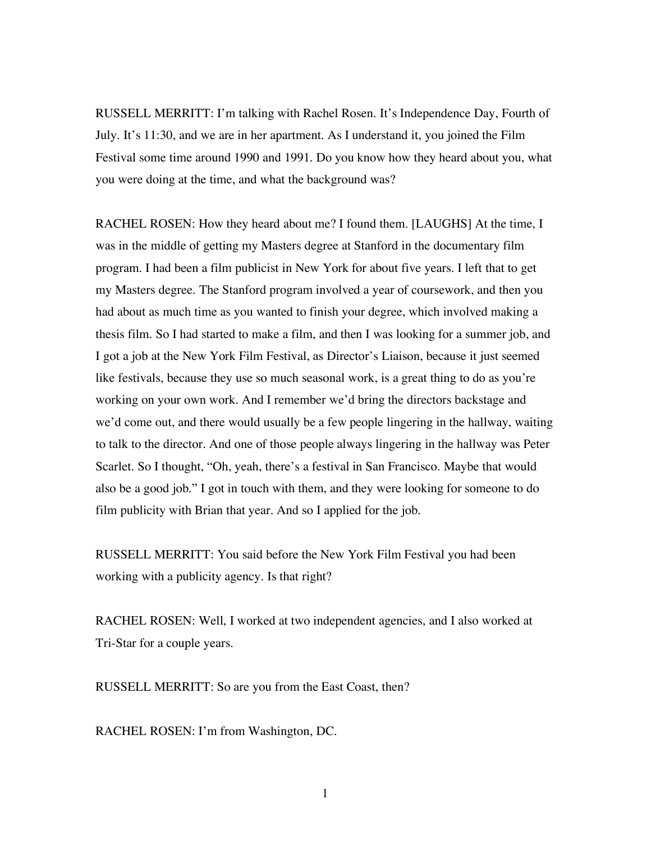RUSSELL MERRITT: I'm talking with Rachel Rosen. It's Independence Day, Fourth of July. It's 11:30, and we are in her apartment. As I understand it, you joined the Film Festival some time around 1990 and 1991. Do you know how they heard about you, what you were doing at the time, and what the background was?

RACHEL ROSEN: How they heard about me? I found them. [LAUGHS] At the time, I was in the middle of getting my Masters degree at Stanford in the documentary film program. I had been a film publicist in New York for about five years. I left that to get my Masters degree. The Stanford program involved a year of coursework, and then you had about as much time as you wanted to finish your degree, which involved making a thesis film. So I had started to make a film, and then I was looking for a summer job, and I got a job at the New York Film Festival, as Director's Liaison, because it just seemed like festivals, because they use so much seasonal work, is a great thing to do as you're working on your own work. And I remember we'd bring the directors backstage and we'd come out, and there would usually be a few people lingering in the hallway, waiting to talk to the director. And one of those people always lingering in the hallway was Peter Scarlet. So I thought, "Oh, yeah, there's a festival in San Francisco. Maybe that would also be a good job." I got in touch with them, and they were looking for someone to do film publicity with Brian that year. And so I applied for the job.

RUSSELL MERRITT: You said before the New York Film Festival you had been working with a publicity agency. Is that right?

RACHEL ROSEN: Well, I worked at two independent agencies, and I also worked at Tri-Star for a couple years.

RUSSELL MERRITT: So are you from the East Coast, then?

RACHEL ROSEN: I'm from Washington, DC.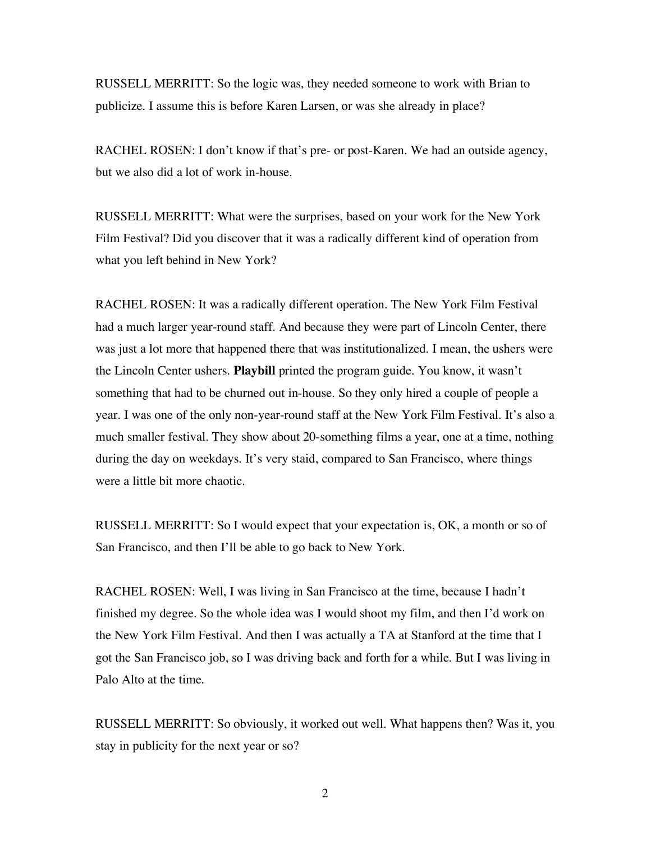RUSSELL MERRITT: So the logic was, they needed someone to work with Brian to publicize. I assume this is before Karen Larsen, or was she already in place?

RACHEL ROSEN: I don't know if that's pre- or post-Karen. We had an outside agency, but we also did a lot of work in-house.

RUSSELL MERRITT: What were the surprises, based on your work for the New York Film Festival? Did you discover that it was a radically different kind of operation from what you left behind in New York?

RACHEL ROSEN: It was a radically different operation. The New York Film Festival had a much larger year-round staff. And because they were part of Lincoln Center, there was just a lot more that happened there that was institutionalized. I mean, the ushers were the Lincoln Center ushers. **Playbill** printed the program guide. You know, it wasn't something that had to be churned out in-house. So they only hired a couple of people a year. I was one of the only non-year-round staff at the New York Film Festival. It's also a much smaller festival. They show about 20-something films a year, one at a time, nothing during the day on weekdays. It's very staid, compared to San Francisco, where things were a little bit more chaotic.

RUSSELL MERRITT: So I would expect that your expectation is, OK, a month or so of San Francisco, and then I'll be able to go back to New York.

RACHEL ROSEN: Well, I was living in San Francisco at the time, because I hadn't finished my degree. So the whole idea was I would shoot my film, and then I'd work on the New York Film Festival. And then I was actually a TA at Stanford at the time that I got the San Francisco job, so I was driving back and forth for a while. But I was living in Palo Alto at the time.

RUSSELL MERRITT: So obviously, it worked out well. What happens then? Was it, you stay in publicity for the next year or so?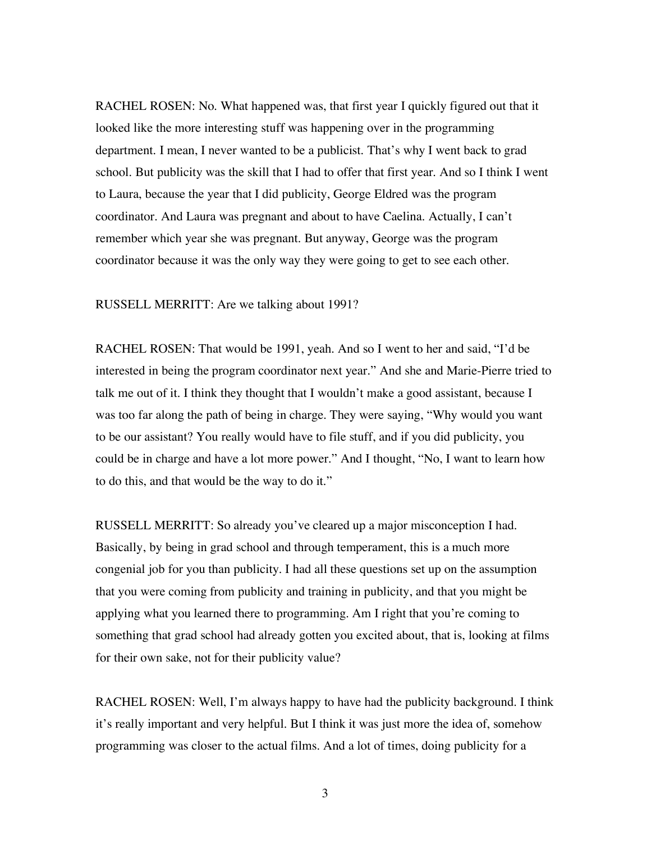RACHEL ROSEN: No. What happened was, that first year I quickly figured out that it looked like the more interesting stuff was happening over in the programming department. I mean, I never wanted to be a publicist. That's why I went back to grad school. But publicity was the skill that I had to offer that first year. And so I think I went to Laura, because the year that I did publicity, George Eldred was the program coordinator. And Laura was pregnant and about to have Caelina. Actually, I can't remember which year she was pregnant. But anyway, George was the program coordinator because it was the only way they were going to get to see each other.

## RUSSELL MERRITT: Are we talking about 1991?

RACHEL ROSEN: That would be 1991, yeah. And so I went to her and said, "I'd be interested in being the program coordinator next year." And she and Marie-Pierre tried to talk me out of it. I think they thought that I wouldn't make a good assistant, because I was too far along the path of being in charge. They were saying, "Why would you want to be our assistant? You really would have to file stuff, and if you did publicity, you could be in charge and have a lot more power." And I thought, "No, I want to learn how to do this, and that would be the way to do it."

RUSSELL MERRITT: So already you've cleared up a major misconception I had. Basically, by being in grad school and through temperament, this is a much more congenial job for you than publicity. I had all these questions set up on the assumption that you were coming from publicity and training in publicity, and that you might be applying what you learned there to programming. Am I right that you're coming to something that grad school had already gotten you excited about, that is, looking at films for their own sake, not for their publicity value?

RACHEL ROSEN: Well, I'm always happy to have had the publicity background. I think it's really important and very helpful. But I think it was just more the idea of, somehow programming was closer to the actual films. And a lot of times, doing publicity for a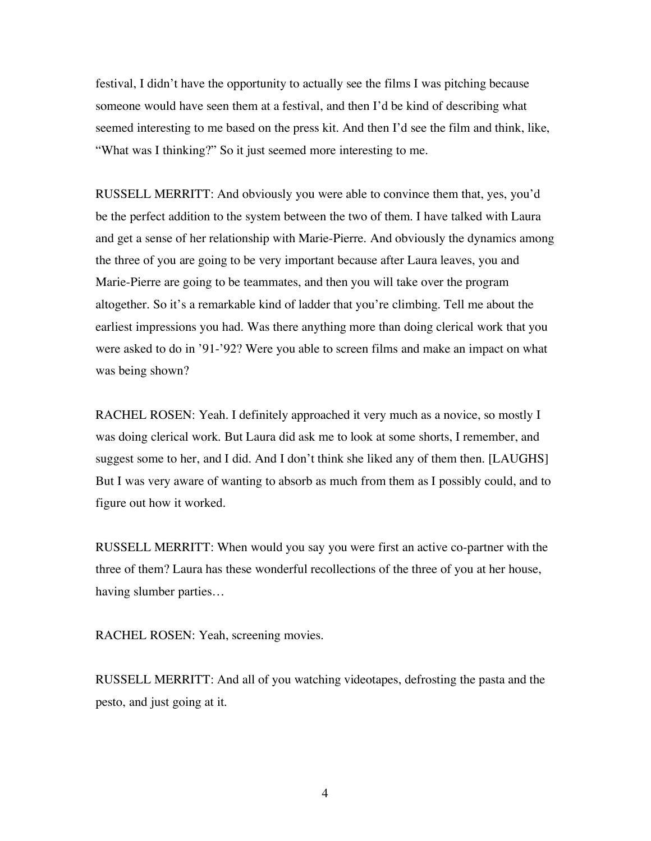festival, I didn't have the opportunity to actually see the films I was pitching because someone would have seen them at a festival, and then I'd be kind of describing what seemed interesting to me based on the press kit. And then I'd see the film and think, like, "What was I thinking?" So it just seemed more interesting to me.

RUSSELL MERRITT: And obviously you were able to convince them that, yes, you'd be the perfect addition to the system between the two of them. I have talked with Laura and get a sense of her relationship with Marie-Pierre. And obviously the dynamics among the three of you are going to be very important because after Laura leaves, you and Marie-Pierre are going to be teammates, and then you will take over the program altogether. So it's a remarkable kind of ladder that you're climbing. Tell me about the earliest impressions you had. Was there anything more than doing clerical work that you were asked to do in '91-'92? Were you able to screen films and make an impact on what was being shown?

RACHEL ROSEN: Yeah. I definitely approached it very much as a novice, so mostly I was doing clerical work. But Laura did ask me to look at some shorts, I remember, and suggest some to her, and I did. And I don't think she liked any of them then. [LAUGHS] But I was very aware of wanting to absorb as much from them as I possibly could, and to figure out how it worked.

RUSSELL MERRITT: When would you say you were first an active co-partner with the three of them? Laura has these wonderful recollections of the three of you at her house, having slumber parties…

RACHEL ROSEN: Yeah, screening movies.

RUSSELL MERRITT: And all of you watching videotapes, defrosting the pasta and the pesto, and just going at it.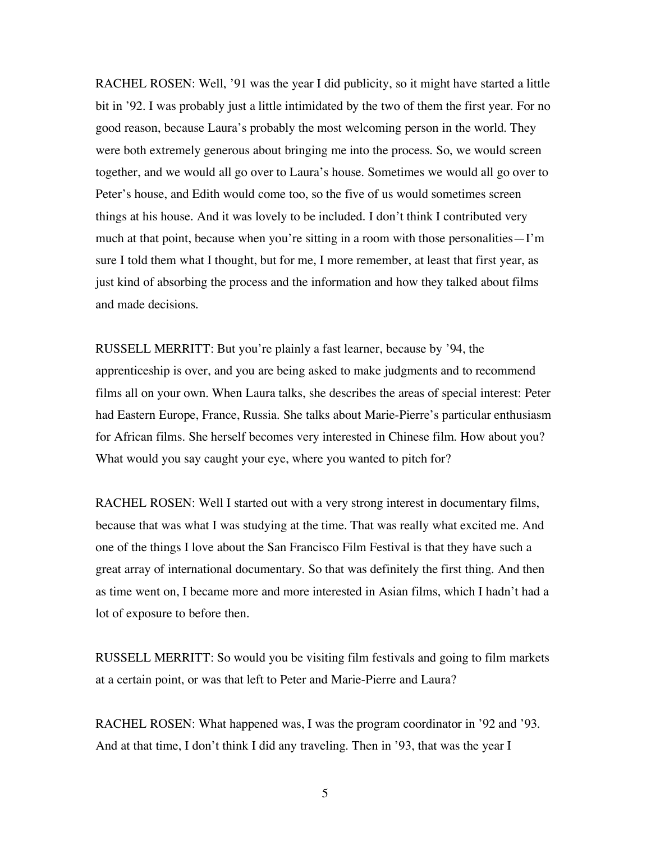RACHEL ROSEN: Well, '91 was the year I did publicity, so it might have started a little bit in '92. I was probably just a little intimidated by the two of them the first year. For no good reason, because Laura's probably the most welcoming person in the world. They were both extremely generous about bringing me into the process. So, we would screen together, and we would all go over to Laura's house. Sometimes we would all go over to Peter's house, and Edith would come too, so the five of us would sometimes screen things at his house. And it was lovely to be included. I don't think I contributed very much at that point, because when you're sitting in a room with those personalities— $\Gamma$ 'm sure I told them what I thought, but for me, I more remember, at least that first year, as just kind of absorbing the process and the information and how they talked about films and made decisions.

RUSSELL MERRITT: But you're plainly a fast learner, because by '94, the apprenticeship is over, and you are being asked to make judgments and to recommend films all on your own. When Laura talks, she describes the areas of special interest: Peter had Eastern Europe, France, Russia. She talks about Marie-Pierre's particular enthusiasm for African films. She herself becomes very interested in Chinese film. How about you? What would you say caught your eye, where you wanted to pitch for?

RACHEL ROSEN: Well I started out with a very strong interest in documentary films, because that was what I was studying at the time. That was really what excited me. And one of the things I love about the San Francisco Film Festival is that they have such a great array of international documentary. So that was definitely the first thing. And then as time went on, I became more and more interested in Asian films, which I hadn't had a lot of exposure to before then.

RUSSELL MERRITT: So would you be visiting film festivals and going to film markets at a certain point, or was that left to Peter and Marie-Pierre and Laura?

RACHEL ROSEN: What happened was, I was the program coordinator in '92 and '93. And at that time, I don't think I did any traveling. Then in '93, that was the year I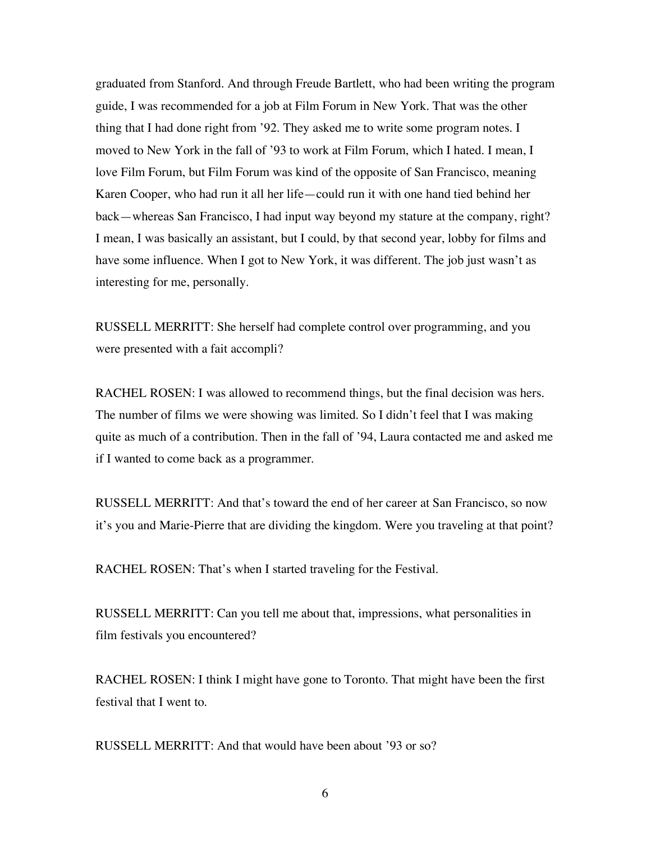graduated from Stanford. And through Freude Bartlett, who had been writing the program guide, I was recommended for a job at Film Forum in New York. That was the other thing that I had done right from '92. They asked me to write some program notes. I moved to New York in the fall of '93 to work at Film Forum, which I hated. I mean, I love Film Forum, but Film Forum was kind of the opposite of San Francisco, meaning Karen Cooper, who had run it all her life—could run it with one hand tied behind her back—whereas San Francisco, I had input way beyond my stature at the company, right? I mean, I was basically an assistant, but I could, by that second year, lobby for films and have some influence. When I got to New York, it was different. The job just wasn't as interesting for me, personally.

RUSSELL MERRITT: She herself had complete control over programming, and you were presented with a fait accompli?

RACHEL ROSEN: I was allowed to recommend things, but the final decision was hers. The number of films we were showing was limited. So I didn't feel that I was making quite as much of a contribution. Then in the fall of '94, Laura contacted me and asked me if I wanted to come back as a programmer.

RUSSELL MERRITT: And that's toward the end of her career at San Francisco, so now it's you and Marie-Pierre that are dividing the kingdom. Were you traveling at that point?

RACHEL ROSEN: That's when I started traveling for the Festival.

RUSSELL MERRITT: Can you tell me about that, impressions, what personalities in film festivals you encountered?

RACHEL ROSEN: I think I might have gone to Toronto. That might have been the first festival that I went to.

RUSSELL MERRITT: And that would have been about '93 or so?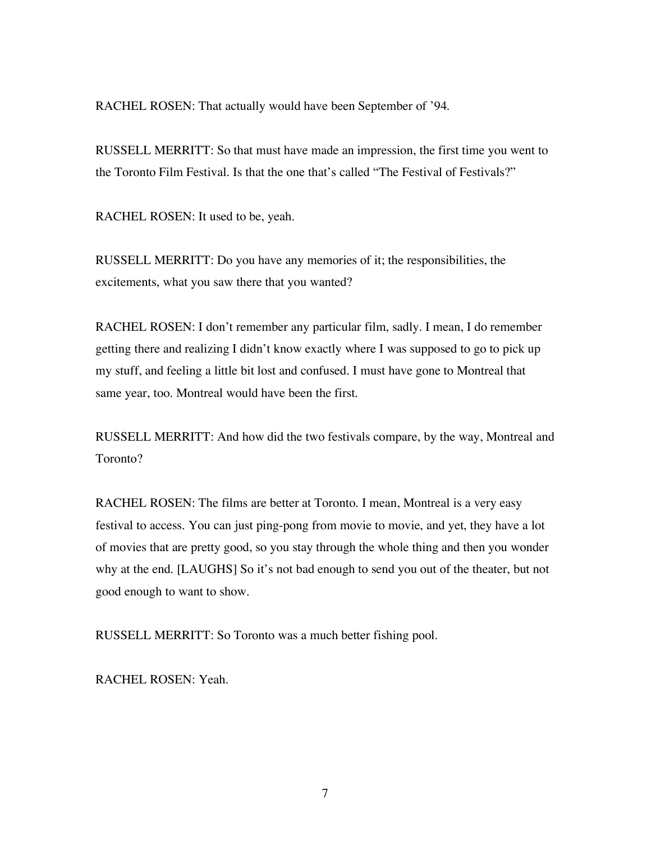RACHEL ROSEN: That actually would have been September of '94.

RUSSELL MERRITT: So that must have made an impression, the first time you went to the Toronto Film Festival. Is that the one that's called "The Festival of Festivals?"

RACHEL ROSEN: It used to be, yeah.

RUSSELL MERRITT: Do you have any memories of it; the responsibilities, the excitements, what you saw there that you wanted?

RACHEL ROSEN: I don't remember any particular film, sadly. I mean, I do remember getting there and realizing I didn't know exactly where I was supposed to go to pick up my stuff, and feeling a little bit lost and confused. I must have gone to Montreal that same year, too. Montreal would have been the first.

RUSSELL MERRITT: And how did the two festivals compare, by the way, Montreal and Toronto?

RACHEL ROSEN: The films are better at Toronto. I mean, Montreal is a very easy festival to access. You can just ping-pong from movie to movie, and yet, they have a lot of movies that are pretty good, so you stay through the whole thing and then you wonder why at the end. [LAUGHS] So it's not bad enough to send you out of the theater, but not good enough to want to show.

RUSSELL MERRITT: So Toronto was a much better fishing pool.

RACHEL ROSEN: Yeah.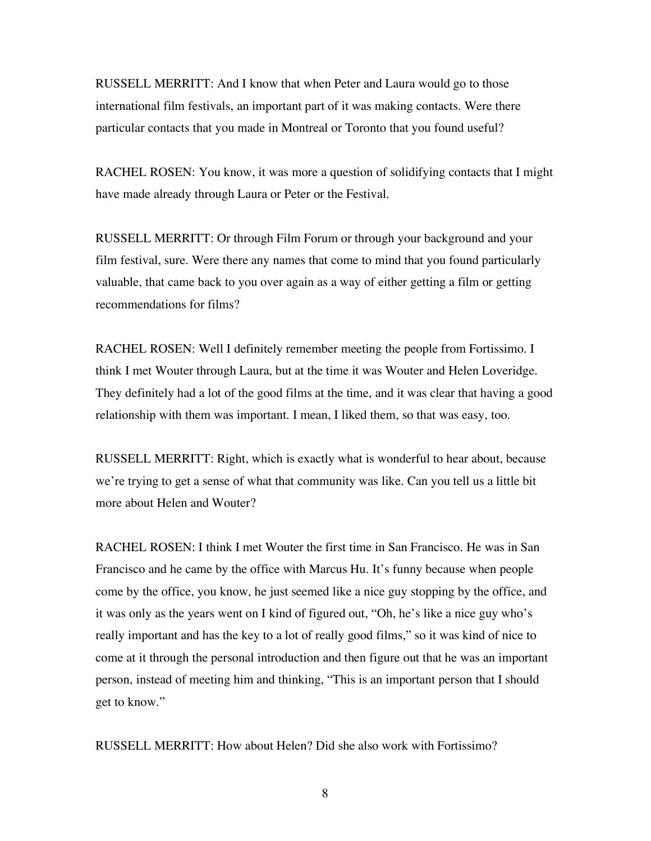RUSSELL MERRITT: And I know that when Peter and Laura would go to those international film festivals, an important part of it was making contacts. Were there particular contacts that you made in Montreal or Toronto that you found useful?

RACHEL ROSEN: You know, it was more a question of solidifying contacts that I might have made already through Laura or Peter or the Festival.

RUSSELL MERRITT: Or through Film Forum or through your background and your film festival, sure. Were there any names that come to mind that you found particularly valuable, that came back to you over again as a way of either getting a film or getting recommendations for films?

RACHEL ROSEN: Well I definitely remember meeting the people from Fortissimo. I think I met Wouter through Laura, but at the time it was Wouter and Helen Loveridge. They definitely had a lot of the good films at the time, and it was clear that having a good relationship with them was important. I mean, I liked them, so that was easy, too.

RUSSELL MERRITT: Right, which is exactly what is wonderful to hear about, because we're trying to get a sense of what that community was like. Can you tell us a little bit more about Helen and Wouter?

RACHEL ROSEN: I think I met Wouter the first time in San Francisco. He was in San Francisco and he came by the office with Marcus Hu. It's funny because when people come by the office, you know, he just seemed like a nice guy stopping by the office, and it was only as the years went on I kind of figured out, "Oh, he's like a nice guy who's really important and has the key to a lot of really good films," so it was kind of nice to come at it through the personal introduction and then figure out that he was an important person, instead of meeting him and thinking, "This is an important person that I should get to know."

RUSSELL MERRITT: How about Helen? Did she also work with Fortissimo?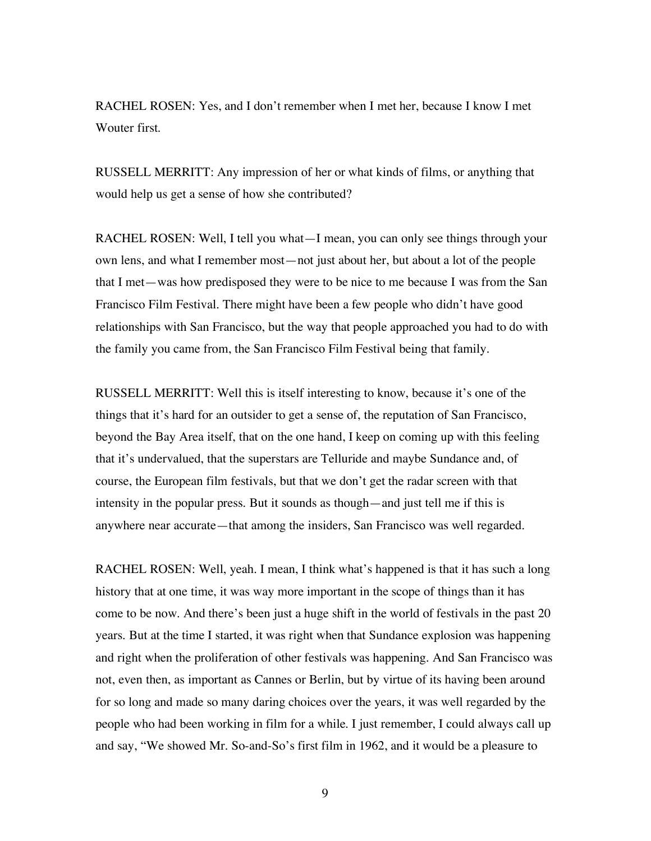RACHEL ROSEN: Yes, and I don't remember when I met her, because I know I met Wouter first.

RUSSELL MERRITT: Any impression of her or what kinds of films, or anything that would help us get a sense of how she contributed?

RACHEL ROSEN: Well, I tell you what—I mean, you can only see things through your own lens, and what I remember most—not just about her, but about a lot of the people that I met—was how predisposed they were to be nice to me because I was from the San Francisco Film Festival. There might have been a few people who didn't have good relationships with San Francisco, but the way that people approached you had to do with the family you came from, the San Francisco Film Festival being that family.

RUSSELL MERRITT: Well this is itself interesting to know, because it's one of the things that it's hard for an outsider to get a sense of, the reputation of San Francisco, beyond the Bay Area itself, that on the one hand, I keep on coming up with this feeling that it's undervalued, that the superstars are Telluride and maybe Sundance and, of course, the European film festivals, but that we don't get the radar screen with that intensity in the popular press. But it sounds as though—and just tell me if this is anywhere near accurate—that among the insiders, San Francisco was well regarded.

RACHEL ROSEN: Well, yeah. I mean, I think what's happened is that it has such a long history that at one time, it was way more important in the scope of things than it has come to be now. And there's been just a huge shift in the world of festivals in the past 20 years. But at the time I started, it was right when that Sundance explosion was happening and right when the proliferation of other festivals was happening. And San Francisco was not, even then, as important as Cannes or Berlin, but by virtue of its having been around for so long and made so many daring choices over the years, it was well regarded by the people who had been working in film for a while. I just remember, I could always call up and say, "We showed Mr. So-and-So's first film in 1962, and it would be a pleasure to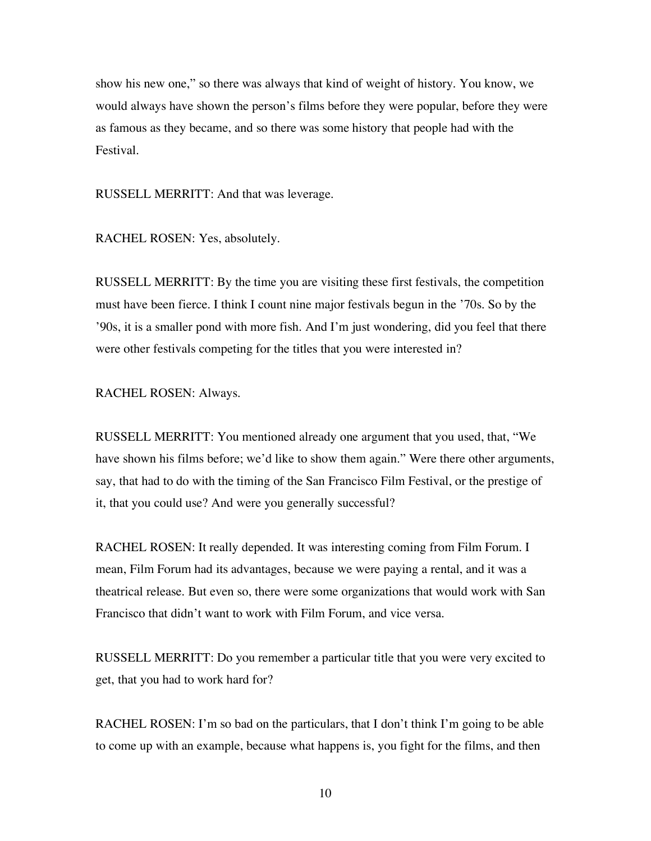show his new one," so there was always that kind of weight of history. You know, we would always have shown the person's films before they were popular, before they were as famous as they became, and so there was some history that people had with the Festival.

RUSSELL MERRITT: And that was leverage.

RACHEL ROSEN: Yes, absolutely.

RUSSELL MERRITT: By the time you are visiting these first festivals, the competition must have been fierce. I think I count nine major festivals begun in the '70s. So by the '90s, it is a smaller pond with more fish. And I'm just wondering, did you feel that there were other festivals competing for the titles that you were interested in?

RACHEL ROSEN: Always.

RUSSELL MERRITT: You mentioned already one argument that you used, that, "We have shown his films before; we'd like to show them again." Were there other arguments, say, that had to do with the timing of the San Francisco Film Festival, or the prestige of it, that you could use? And were you generally successful?

RACHEL ROSEN: It really depended. It was interesting coming from Film Forum. I mean, Film Forum had its advantages, because we were paying a rental, and it was a theatrical release. But even so, there were some organizations that would work with San Francisco that didn't want to work with Film Forum, and vice versa.

RUSSELL MERRITT: Do you remember a particular title that you were very excited to get, that you had to work hard for?

RACHEL ROSEN: I'm so bad on the particulars, that I don't think I'm going to be able to come up with an example, because what happens is, you fight for the films, and then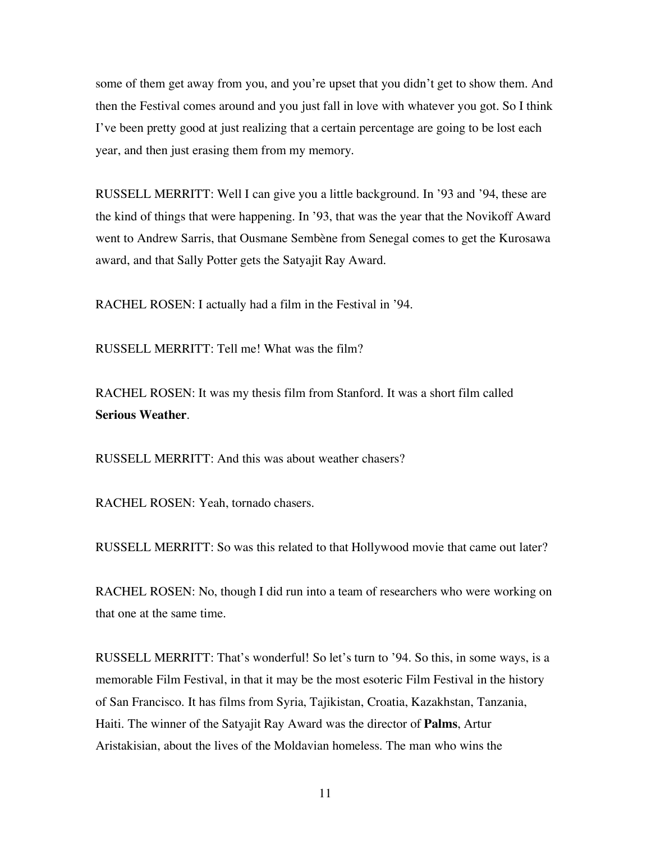some of them get away from you, and you're upset that you didn't get to show them. And then the Festival comes around and you just fall in love with whatever you got. So I think I've been pretty good at just realizing that a certain percentage are going to be lost each year, and then just erasing them from my memory.

RUSSELL MERRITT: Well I can give you a little background. In '93 and '94, these are the kind of things that were happening. In '93, that was the year that the Novikoff Award went to Andrew Sarris, that Ousmane Sembène from Senegal comes to get the Kurosawa award, and that Sally Potter gets the Satyajit Ray Award.

RACHEL ROSEN: I actually had a film in the Festival in '94.

RUSSELL MERRITT: Tell me! What was the film?

RACHEL ROSEN: It was my thesis film from Stanford. It was a short film called **Serious Weather**.

RUSSELL MERRITT: And this was about weather chasers?

RACHEL ROSEN: Yeah, tornado chasers.

RUSSELL MERRITT: So was this related to that Hollywood movie that came out later?

RACHEL ROSEN: No, though I did run into a team of researchers who were working on that one at the same time.

RUSSELL MERRITT: That's wonderful! So let's turn to '94. So this, in some ways, is a memorable Film Festival, in that it may be the most esoteric Film Festival in the history of San Francisco. It has films from Syria, Tajikistan, Croatia, Kazakhstan, Tanzania, Haiti. The winner of the Satyajit Ray Award was the director of **Palms**, Artur Aristakisian, about the lives of the Moldavian homeless. The man who wins the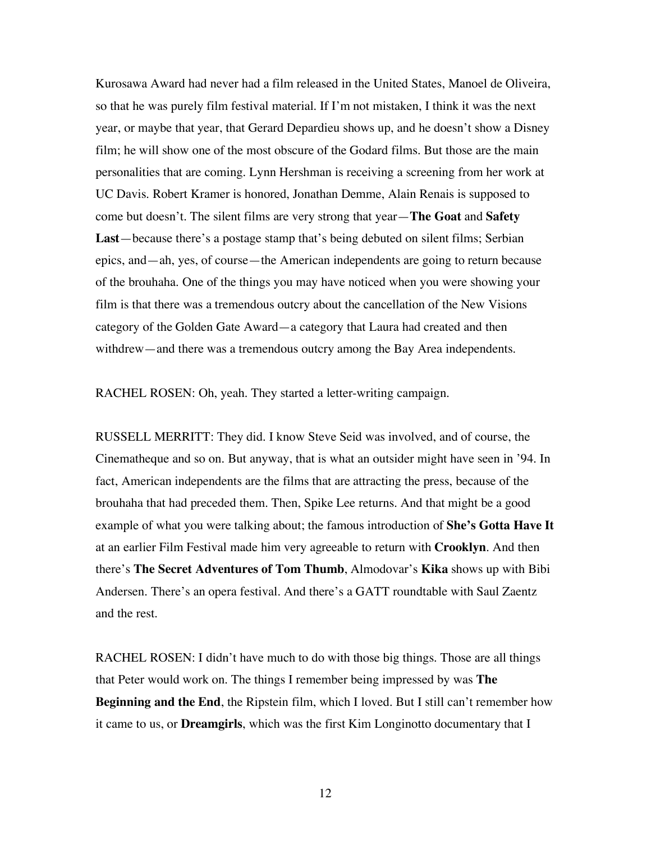Kurosawa Award had never had a film released in the United States, Manoel de Oliveira, so that he was purely film festival material. If I'm not mistaken, I think it was the next year, or maybe that year, that Gerard Depardieu shows up, and he doesn't show a Disney film; he will show one of the most obscure of the Godard films. But those are the main personalities that are coming. Lynn Hershman is receiving a screening from her work at UC Davis. Robert Kramer is honored, Jonathan Demme, Alain Renais is supposed to come but doesn't. The silent films are very strong that year—**The Goat** and **Safety Last**—because there's a postage stamp that's being debuted on silent films; Serbian epics, and—ah, yes, of course—the American independents are going to return because of the brouhaha. One of the things you may have noticed when you were showing your film is that there was a tremendous outcry about the cancellation of the New Visions category of the Golden Gate Award—a category that Laura had created and then withdrew—and there was a tremendous outcry among the Bay Area independents.

RACHEL ROSEN: Oh, yeah. They started a letter-writing campaign.

RUSSELL MERRITT: They did. I know Steve Seid was involved, and of course, the Cinematheque and so on. But anyway, that is what an outsider might have seen in '94. In fact, American independents are the films that are attracting the press, because of the brouhaha that had preceded them. Then, Spike Lee returns. And that might be a good example of what you were talking about; the famous introduction of **She's Gotta Have It** at an earlier Film Festival made him very agreeable to return with **Crooklyn**. And then there's **The Secret Adventures of Tom Thumb**, Almodovar's **Kika** shows up with Bibi Andersen. There's an opera festival. And there's a GATT roundtable with Saul Zaentz and the rest.

RACHEL ROSEN: I didn't have much to do with those big things. Those are all things that Peter would work on. The things I remember being impressed by was **The Beginning and the End**, the Ripstein film, which I loved. But I still can't remember how it came to us, or **Dreamgirls**, which was the first Kim Longinotto documentary that I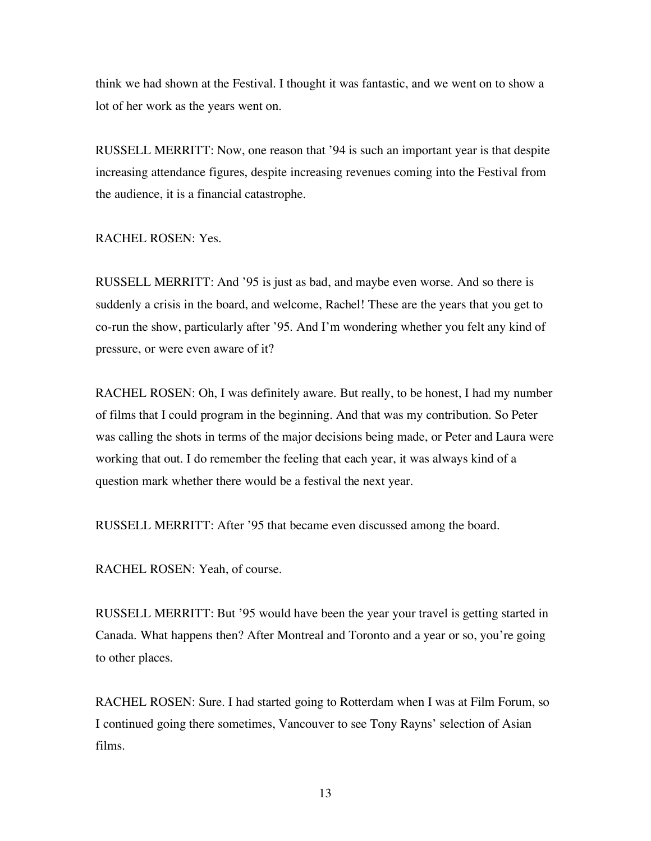think we had shown at the Festival. I thought it was fantastic, and we went on to show a lot of her work as the years went on.

RUSSELL MERRITT: Now, one reason that '94 is such an important year is that despite increasing attendance figures, despite increasing revenues coming into the Festival from the audience, it is a financial catastrophe.

RACHEL ROSEN: Yes.

RUSSELL MERRITT: And '95 is just as bad, and maybe even worse. And so there is suddenly a crisis in the board, and welcome, Rachel! These are the years that you get to co-run the show, particularly after '95. And I'm wondering whether you felt any kind of pressure, or were even aware of it?

RACHEL ROSEN: Oh, I was definitely aware. But really, to be honest, I had my number of films that I could program in the beginning. And that was my contribution. So Peter was calling the shots in terms of the major decisions being made, or Peter and Laura were working that out. I do remember the feeling that each year, it was always kind of a question mark whether there would be a festival the next year.

RUSSELL MERRITT: After '95 that became even discussed among the board.

RACHEL ROSEN: Yeah, of course.

RUSSELL MERRITT: But '95 would have been the year your travel is getting started in Canada. What happens then? After Montreal and Toronto and a year or so, you're going to other places.

RACHEL ROSEN: Sure. I had started going to Rotterdam when I was at Film Forum, so I continued going there sometimes, Vancouver to see Tony Rayns' selection of Asian films.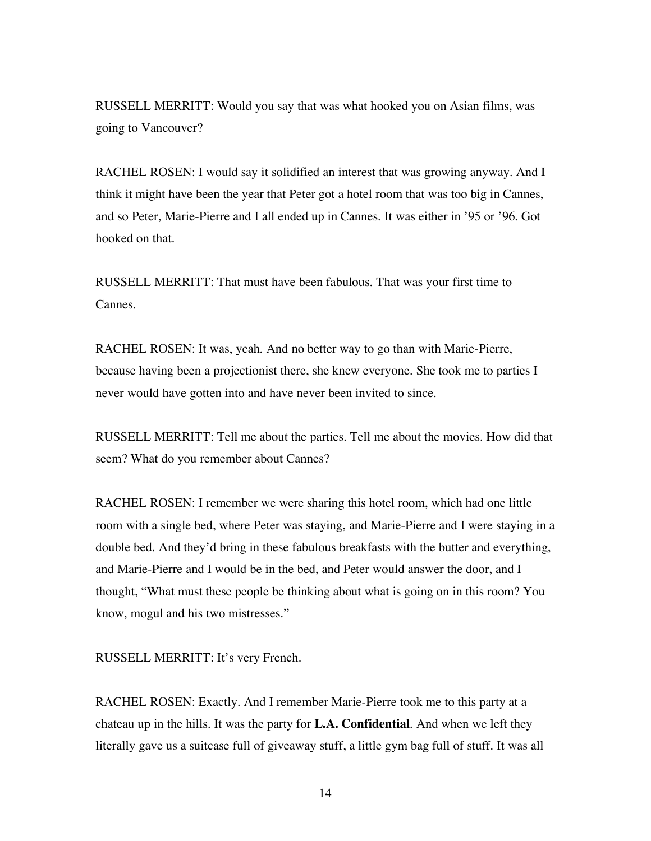RUSSELL MERRITT: Would you say that was what hooked you on Asian films, was going to Vancouver?

RACHEL ROSEN: I would say it solidified an interest that was growing anyway. And I think it might have been the year that Peter got a hotel room that was too big in Cannes, and so Peter, Marie-Pierre and I all ended up in Cannes. It was either in '95 or '96. Got hooked on that.

RUSSELL MERRITT: That must have been fabulous. That was your first time to Cannes.

RACHEL ROSEN: It was, yeah. And no better way to go than with Marie-Pierre, because having been a projectionist there, she knew everyone. She took me to parties I never would have gotten into and have never been invited to since.

RUSSELL MERRITT: Tell me about the parties. Tell me about the movies. How did that seem? What do you remember about Cannes?

RACHEL ROSEN: I remember we were sharing this hotel room, which had one little room with a single bed, where Peter was staying, and Marie-Pierre and I were staying in a double bed. And they'd bring in these fabulous breakfasts with the butter and everything, and Marie-Pierre and I would be in the bed, and Peter would answer the door, and I thought, "What must these people be thinking about what is going on in this room? You know, mogul and his two mistresses."

RUSSELL MERRITT: It's very French.

RACHEL ROSEN: Exactly. And I remember Marie-Pierre took me to this party at a chateau up in the hills. It was the party for **L.A. Confidential**. And when we left they literally gave us a suitcase full of giveaway stuff, a little gym bag full of stuff. It was all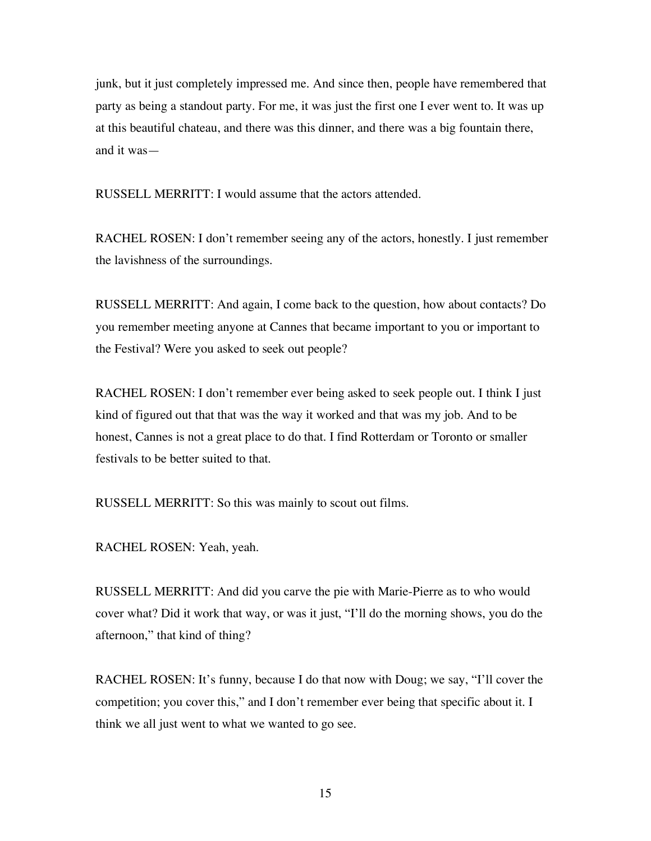junk, but it just completely impressed me. And since then, people have remembered that party as being a standout party. For me, it was just the first one I ever went to. It was up at this beautiful chateau, and there was this dinner, and there was a big fountain there, and it was—

RUSSELL MERRITT: I would assume that the actors attended.

RACHEL ROSEN: I don't remember seeing any of the actors, honestly. I just remember the lavishness of the surroundings.

RUSSELL MERRITT: And again, I come back to the question, how about contacts? Do you remember meeting anyone at Cannes that became important to you or important to the Festival? Were you asked to seek out people?

RACHEL ROSEN: I don't remember ever being asked to seek people out. I think I just kind of figured out that that was the way it worked and that was my job. And to be honest, Cannes is not a great place to do that. I find Rotterdam or Toronto or smaller festivals to be better suited to that.

RUSSELL MERRITT: So this was mainly to scout out films.

RACHEL ROSEN: Yeah, yeah.

RUSSELL MERRITT: And did you carve the pie with Marie-Pierre as to who would cover what? Did it work that way, or was it just, "I'll do the morning shows, you do the afternoon," that kind of thing?

RACHEL ROSEN: It's funny, because I do that now with Doug; we say, "I'll cover the competition; you cover this," and I don't remember ever being that specific about it. I think we all just went to what we wanted to go see.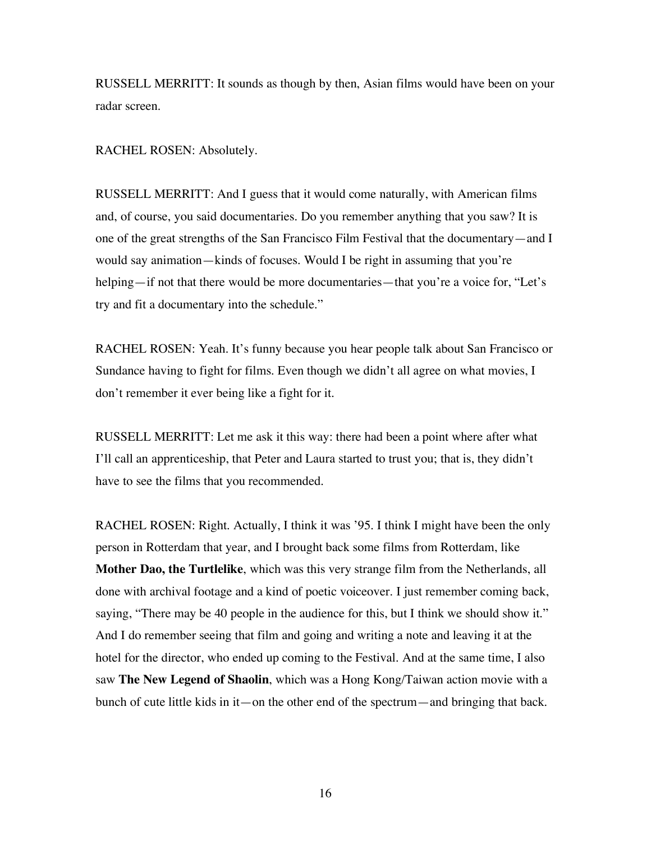RUSSELL MERRITT: It sounds as though by then, Asian films would have been on your radar screen.

RACHEL ROSEN: Absolutely.

RUSSELL MERRITT: And I guess that it would come naturally, with American films and, of course, you said documentaries. Do you remember anything that you saw? It is one of the great strengths of the San Francisco Film Festival that the documentary—and I would say animation—kinds of focuses. Would I be right in assuming that you're helping—if not that there would be more documentaries—that you're a voice for, "Let's try and fit a documentary into the schedule."

RACHEL ROSEN: Yeah. It's funny because you hear people talk about San Francisco or Sundance having to fight for films. Even though we didn't all agree on what movies, I don't remember it ever being like a fight for it.

RUSSELL MERRITT: Let me ask it this way: there had been a point where after what I'll call an apprenticeship, that Peter and Laura started to trust you; that is, they didn't have to see the films that you recommended.

RACHEL ROSEN: Right. Actually, I think it was '95. I think I might have been the only person in Rotterdam that year, and I brought back some films from Rotterdam, like **Mother Dao, the Turtlelike**, which was this very strange film from the Netherlands, all done with archival footage and a kind of poetic voiceover. I just remember coming back, saying, "There may be 40 people in the audience for this, but I think we should show it." And I do remember seeing that film and going and writing a note and leaving it at the hotel for the director, who ended up coming to the Festival. And at the same time, I also saw **The New Legend of Shaolin**, which was a Hong Kong/Taiwan action movie with a bunch of cute little kids in it—on the other end of the spectrum—and bringing that back.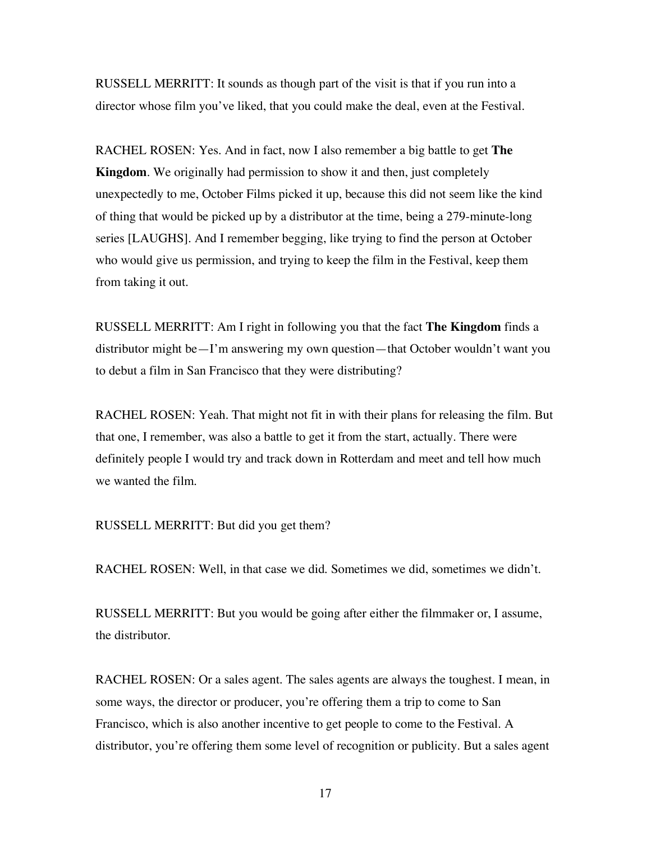RUSSELL MERRITT: It sounds as though part of the visit is that if you run into a director whose film you've liked, that you could make the deal, even at the Festival.

RACHEL ROSEN: Yes. And in fact, now I also remember a big battle to get **The Kingdom**. We originally had permission to show it and then, just completely unexpectedly to me, October Films picked it up, because this did not seem like the kind of thing that would be picked up by a distributor at the time, being a 279-minute-long series [LAUGHS]. And I remember begging, like trying to find the person at October who would give us permission, and trying to keep the film in the Festival, keep them from taking it out.

RUSSELL MERRITT: Am I right in following you that the fact **The Kingdom** finds a distributor might be—I'm answering my own question—that October wouldn't want you to debut a film in San Francisco that they were distributing?

RACHEL ROSEN: Yeah. That might not fit in with their plans for releasing the film. But that one, I remember, was also a battle to get it from the start, actually. There were definitely people I would try and track down in Rotterdam and meet and tell how much we wanted the film.

RUSSELL MERRITT: But did you get them?

RACHEL ROSEN: Well, in that case we did. Sometimes we did, sometimes we didn't.

RUSSELL MERRITT: But you would be going after either the filmmaker or, I assume, the distributor.

RACHEL ROSEN: Or a sales agent. The sales agents are always the toughest. I mean, in some ways, the director or producer, you're offering them a trip to come to San Francisco, which is also another incentive to get people to come to the Festival. A distributor, you're offering them some level of recognition or publicity. But a sales agent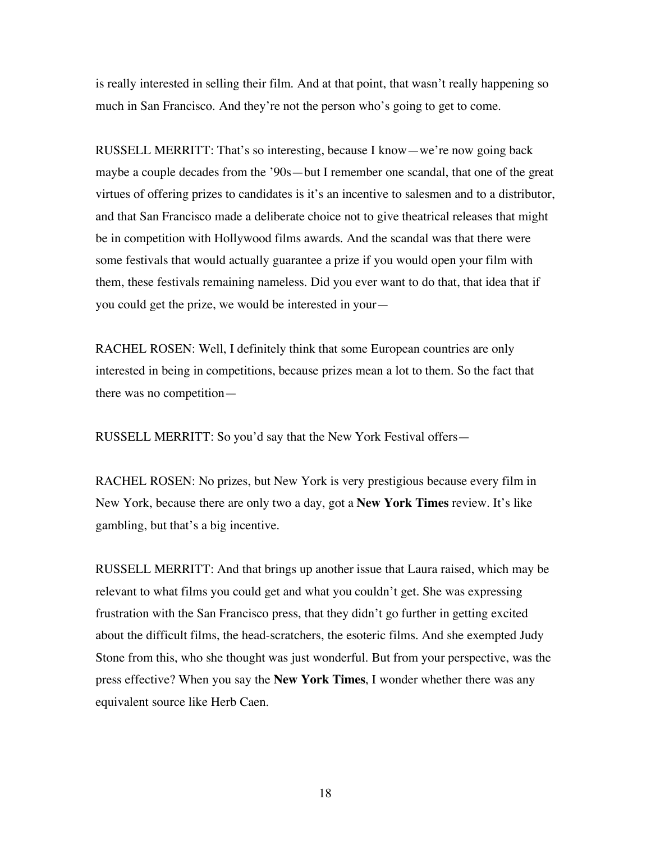is really interested in selling their film. And at that point, that wasn't really happening so much in San Francisco. And they're not the person who's going to get to come.

RUSSELL MERRITT: That's so interesting, because I know—we're now going back maybe a couple decades from the '90s—but I remember one scandal, that one of the great virtues of offering prizes to candidates is it's an incentive to salesmen and to a distributor, and that San Francisco made a deliberate choice not to give theatrical releases that might be in competition with Hollywood films awards. And the scandal was that there were some festivals that would actually guarantee a prize if you would open your film with them, these festivals remaining nameless. Did you ever want to do that, that idea that if you could get the prize, we would be interested in your—

RACHEL ROSEN: Well, I definitely think that some European countries are only interested in being in competitions, because prizes mean a lot to them. So the fact that there was no competition—

RUSSELL MERRITT: So you'd say that the New York Festival offers—

RACHEL ROSEN: No prizes, but New York is very prestigious because every film in New York, because there are only two a day, got a **New York Times** review. It's like gambling, but that's a big incentive.

RUSSELL MERRITT: And that brings up another issue that Laura raised, which may be relevant to what films you could get and what you couldn't get. She was expressing frustration with the San Francisco press, that they didn't go further in getting excited about the difficult films, the head-scratchers, the esoteric films. And she exempted Judy Stone from this, who she thought was just wonderful. But from your perspective, was the press effective? When you say the **New York Times**, I wonder whether there was any equivalent source like Herb Caen.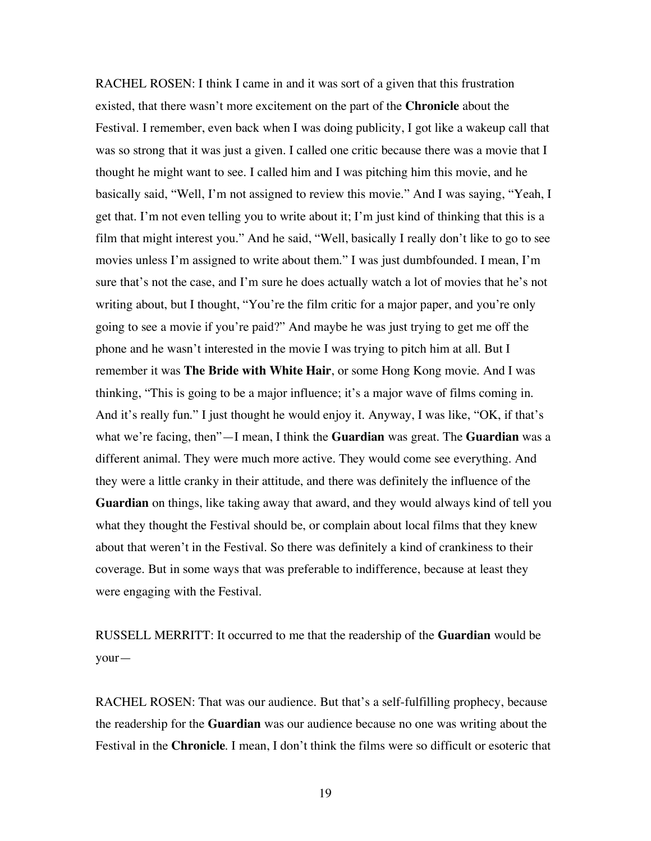RACHEL ROSEN: I think I came in and it was sort of a given that this frustration existed, that there wasn't more excitement on the part of the **Chronicle** about the Festival. I remember, even back when I was doing publicity, I got like a wakeup call that was so strong that it was just a given. I called one critic because there was a movie that I thought he might want to see. I called him and I was pitching him this movie, and he basically said, "Well, I'm not assigned to review this movie." And I was saying, "Yeah, I get that. I'm not even telling you to write about it; I'm just kind of thinking that this is a film that might interest you." And he said, "Well, basically I really don't like to go to see movies unless I'm assigned to write about them." I was just dumbfounded. I mean, I'm sure that's not the case, and I'm sure he does actually watch a lot of movies that he's not writing about, but I thought, "You're the film critic for a major paper, and you're only going to see a movie if you're paid?" And maybe he was just trying to get me off the phone and he wasn't interested in the movie I was trying to pitch him at all. But I remember it was **The Bride with White Hair**, or some Hong Kong movie. And I was thinking, "This is going to be a major influence; it's a major wave of films coming in. And it's really fun." I just thought he would enjoy it. Anyway, I was like, "OK, if that's what we're facing, then"—I mean, I think the **Guardian** was great. The **Guardian** was a different animal. They were much more active. They would come see everything. And they were a little cranky in their attitude, and there was definitely the influence of the **Guardian** on things, like taking away that award, and they would always kind of tell you what they thought the Festival should be, or complain about local films that they knew about that weren't in the Festival. So there was definitely a kind of crankiness to their coverage. But in some ways that was preferable to indifference, because at least they were engaging with the Festival.

RUSSELL MERRITT: It occurred to me that the readership of the **Guardian** would be your—

RACHEL ROSEN: That was our audience. But that's a self-fulfilling prophecy, because the readership for the **Guardian** was our audience because no one was writing about the Festival in the **Chronicle**. I mean, I don't think the films were so difficult or esoteric that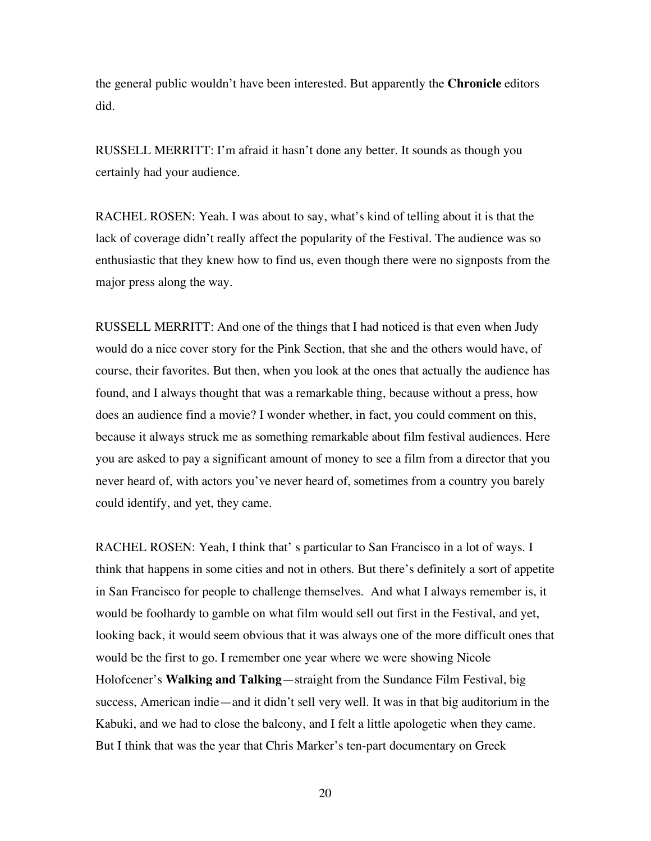the general public wouldn't have been interested. But apparently the **Chronicle** editors did.

RUSSELL MERRITT: I'm afraid it hasn't done any better. It sounds as though you certainly had your audience.

RACHEL ROSEN: Yeah. I was about to say, what's kind of telling about it is that the lack of coverage didn't really affect the popularity of the Festival. The audience was so enthusiastic that they knew how to find us, even though there were no signposts from the major press along the way.

RUSSELL MERRITT: And one of the things that I had noticed is that even when Judy would do a nice cover story for the Pink Section, that she and the others would have, of course, their favorites. But then, when you look at the ones that actually the audience has found, and I always thought that was a remarkable thing, because without a press, how does an audience find a movie? I wonder whether, in fact, you could comment on this, because it always struck me as something remarkable about film festival audiences. Here you are asked to pay a significant amount of money to see a film from a director that you never heard of, with actors you've never heard of, sometimes from a country you barely could identify, and yet, they came.

RACHEL ROSEN: Yeah, I think that' s particular to San Francisco in a lot of ways. I think that happens in some cities and not in others. But there's definitely a sort of appetite in San Francisco for people to challenge themselves. And what I always remember is, it would be foolhardy to gamble on what film would sell out first in the Festival, and yet, looking back, it would seem obvious that it was always one of the more difficult ones that would be the first to go. I remember one year where we were showing Nicole Holofcener's **Walking and Talking**—straight from the Sundance Film Festival, big success, American indie—and it didn't sell very well. It was in that big auditorium in the Kabuki, and we had to close the balcony, and I felt a little apologetic when they came. But I think that was the year that Chris Marker's ten-part documentary on Greek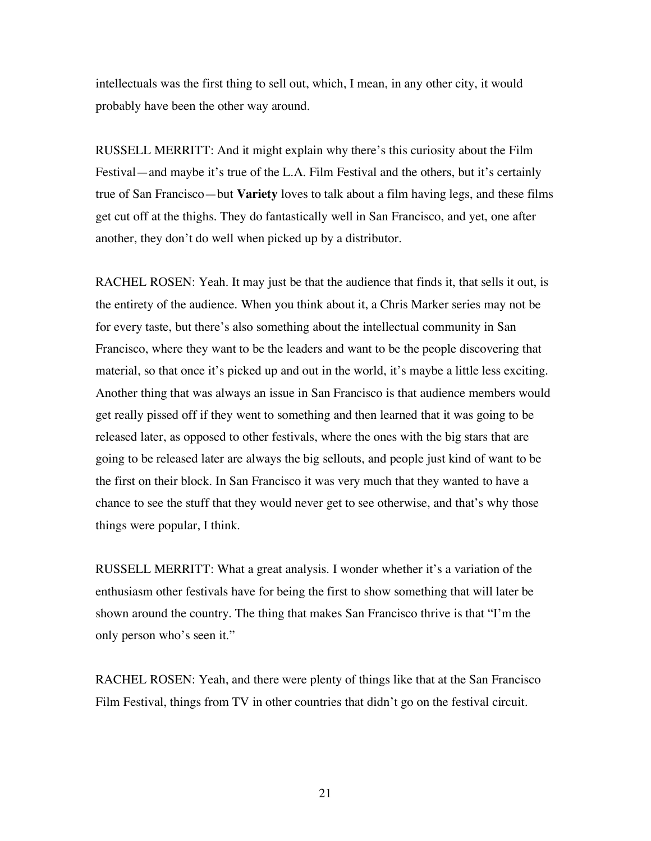intellectuals was the first thing to sell out, which, I mean, in any other city, it would probably have been the other way around.

RUSSELL MERRITT: And it might explain why there's this curiosity about the Film Festival—and maybe it's true of the L.A. Film Festival and the others, but it's certainly true of San Francisco—but **Variety** loves to talk about a film having legs, and these films get cut off at the thighs. They do fantastically well in San Francisco, and yet, one after another, they don't do well when picked up by a distributor.

RACHEL ROSEN: Yeah. It may just be that the audience that finds it, that sells it out, is the entirety of the audience. When you think about it, a Chris Marker series may not be for every taste, but there's also something about the intellectual community in San Francisco, where they want to be the leaders and want to be the people discovering that material, so that once it's picked up and out in the world, it's maybe a little less exciting. Another thing that was always an issue in San Francisco is that audience members would get really pissed off if they went to something and then learned that it was going to be released later, as opposed to other festivals, where the ones with the big stars that are going to be released later are always the big sellouts, and people just kind of want to be the first on their block. In San Francisco it was very much that they wanted to have a chance to see the stuff that they would never get to see otherwise, and that's why those things were popular, I think.

RUSSELL MERRITT: What a great analysis. I wonder whether it's a variation of the enthusiasm other festivals have for being the first to show something that will later be shown around the country. The thing that makes San Francisco thrive is that "I'm the only person who's seen it."

RACHEL ROSEN: Yeah, and there were plenty of things like that at the San Francisco Film Festival, things from TV in other countries that didn't go on the festival circuit.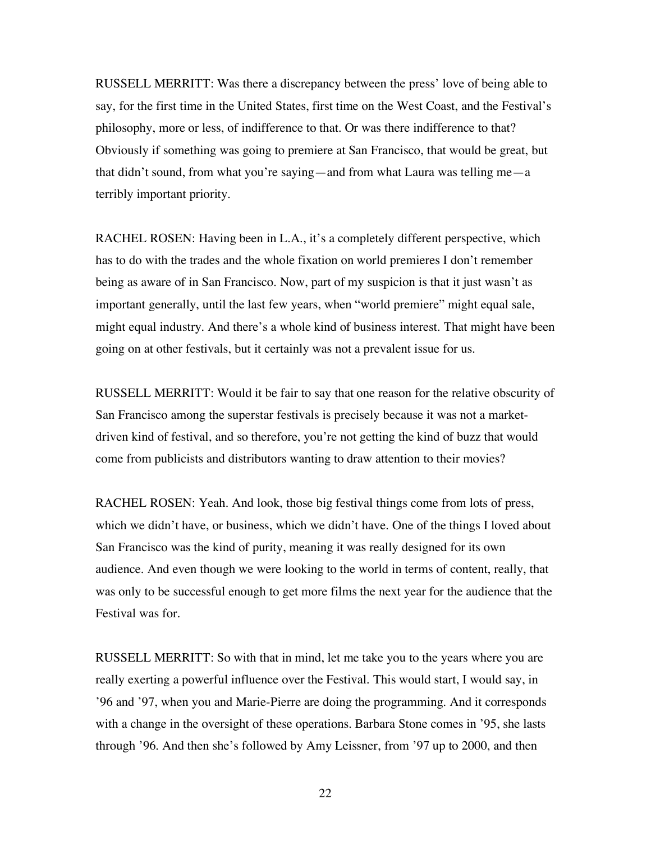RUSSELL MERRITT: Was there a discrepancy between the press' love of being able to say, for the first time in the United States, first time on the West Coast, and the Festival's philosophy, more or less, of indifference to that. Or was there indifference to that? Obviously if something was going to premiere at San Francisco, that would be great, but that didn't sound, from what you're saying—and from what Laura was telling me—a terribly important priority.

RACHEL ROSEN: Having been in L.A., it's a completely different perspective, which has to do with the trades and the whole fixation on world premieres I don't remember being as aware of in San Francisco. Now, part of my suspicion is that it just wasn't as important generally, until the last few years, when "world premiere" might equal sale, might equal industry. And there's a whole kind of business interest. That might have been going on at other festivals, but it certainly was not a prevalent issue for us.

RUSSELL MERRITT: Would it be fair to say that one reason for the relative obscurity of San Francisco among the superstar festivals is precisely because it was not a marketdriven kind of festival, and so therefore, you're not getting the kind of buzz that would come from publicists and distributors wanting to draw attention to their movies?

RACHEL ROSEN: Yeah. And look, those big festival things come from lots of press, which we didn't have, or business, which we didn't have. One of the things I loved about San Francisco was the kind of purity, meaning it was really designed for its own audience. And even though we were looking to the world in terms of content, really, that was only to be successful enough to get more films the next year for the audience that the Festival was for.

RUSSELL MERRITT: So with that in mind, let me take you to the years where you are really exerting a powerful influence over the Festival. This would start, I would say, in '96 and '97, when you and Marie-Pierre are doing the programming. And it corresponds with a change in the oversight of these operations. Barbara Stone comes in '95, she lasts through '96. And then she's followed by Amy Leissner, from '97 up to 2000, and then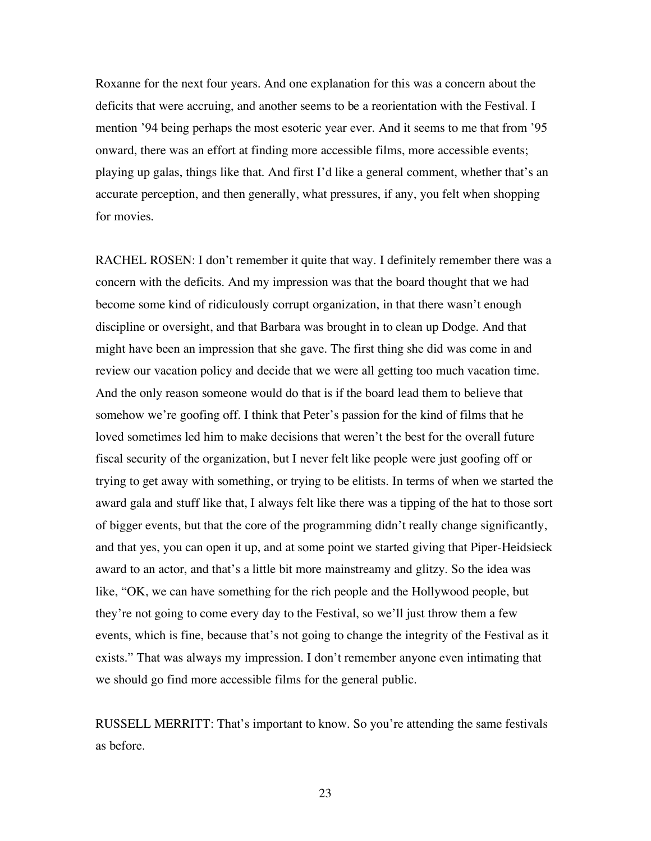Roxanne for the next four years. And one explanation for this was a concern about the deficits that were accruing, and another seems to be a reorientation with the Festival. I mention '94 being perhaps the most esoteric year ever. And it seems to me that from '95 onward, there was an effort at finding more accessible films, more accessible events; playing up galas, things like that. And first I'd like a general comment, whether that's an accurate perception, and then generally, what pressures, if any, you felt when shopping for movies.

RACHEL ROSEN: I don't remember it quite that way. I definitely remember there was a concern with the deficits. And my impression was that the board thought that we had become some kind of ridiculously corrupt organization, in that there wasn't enough discipline or oversight, and that Barbara was brought in to clean up Dodge. And that might have been an impression that she gave. The first thing she did was come in and review our vacation policy and decide that we were all getting too much vacation time. And the only reason someone would do that is if the board lead them to believe that somehow we're goofing off. I think that Peter's passion for the kind of films that he loved sometimes led him to make decisions that weren't the best for the overall future fiscal security of the organization, but I never felt like people were just goofing off or trying to get away with something, or trying to be elitists. In terms of when we started the award gala and stuff like that, I always felt like there was a tipping of the hat to those sort of bigger events, but that the core of the programming didn't really change significantly, and that yes, you can open it up, and at some point we started giving that Piper-Heidsieck award to an actor, and that's a little bit more mainstreamy and glitzy. So the idea was like, "OK, we can have something for the rich people and the Hollywood people, but they're not going to come every day to the Festival, so we'll just throw them a few events, which is fine, because that's not going to change the integrity of the Festival as it exists." That was always my impression. I don't remember anyone even intimating that we should go find more accessible films for the general public.

RUSSELL MERRITT: That's important to know. So you're attending the same festivals as before.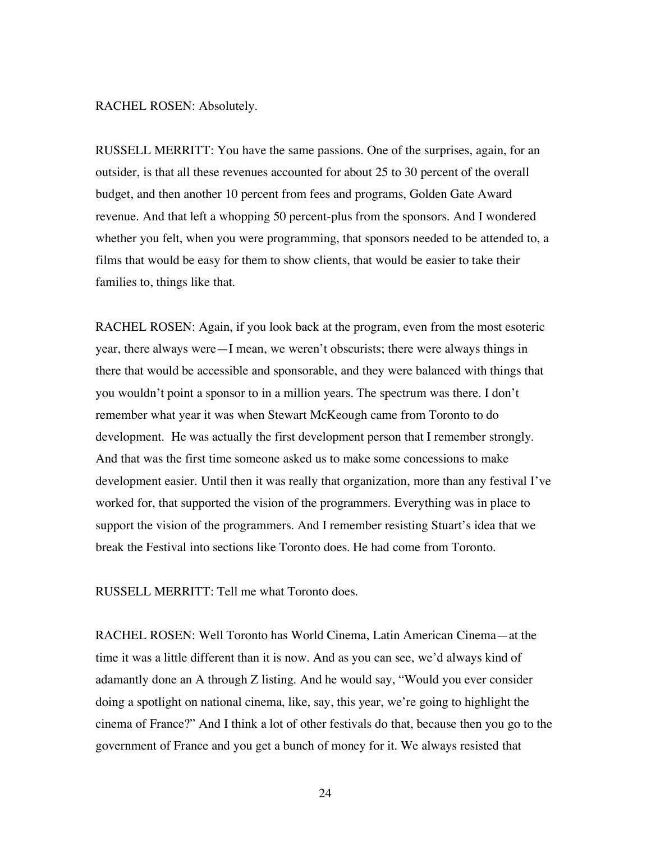## RACHEL ROSEN: Absolutely.

RUSSELL MERRITT: You have the same passions. One of the surprises, again, for an outsider, is that all these revenues accounted for about 25 to 30 percent of the overall budget, and then another 10 percent from fees and programs, Golden Gate Award revenue. And that left a whopping 50 percent-plus from the sponsors. And I wondered whether you felt, when you were programming, that sponsors needed to be attended to, a films that would be easy for them to show clients, that would be easier to take their families to, things like that.

RACHEL ROSEN: Again, if you look back at the program, even from the most esoteric year, there always were—I mean, we weren't obscurists; there were always things in there that would be accessible and sponsorable, and they were balanced with things that you wouldn't point a sponsor to in a million years. The spectrum was there. I don't remember what year it was when Stewart McKeough came from Toronto to do development. He was actually the first development person that I remember strongly. And that was the first time someone asked us to make some concessions to make development easier. Until then it was really that organization, more than any festival I've worked for, that supported the vision of the programmers. Everything was in place to support the vision of the programmers. And I remember resisting Stuart's idea that we break the Festival into sections like Toronto does. He had come from Toronto.

RUSSELL MERRITT: Tell me what Toronto does.

RACHEL ROSEN: Well Toronto has World Cinema, Latin American Cinema—at the time it was a little different than it is now. And as you can see, we'd always kind of adamantly done an A through Z listing. And he would say, "Would you ever consider doing a spotlight on national cinema, like, say, this year, we're going to highlight the cinema of France?" And I think a lot of other festivals do that, because then you go to the government of France and you get a bunch of money for it. We always resisted that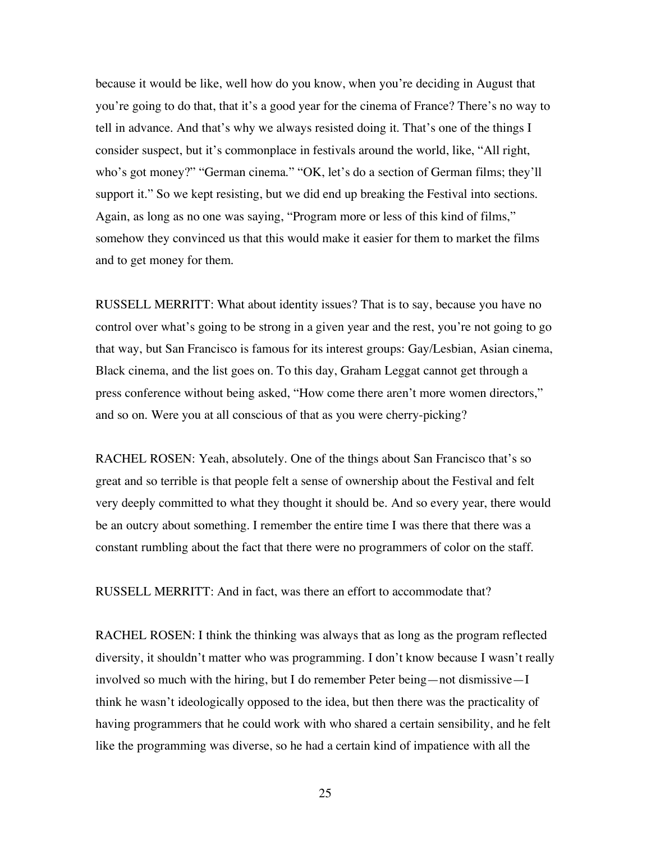because it would be like, well how do you know, when you're deciding in August that you're going to do that, that it's a good year for the cinema of France? There's no way to tell in advance. And that's why we always resisted doing it. That's one of the things I consider suspect, but it's commonplace in festivals around the world, like, "All right, who's got money?" "German cinema." "OK, let's do a section of German films; they'll support it." So we kept resisting, but we did end up breaking the Festival into sections. Again, as long as no one was saying, "Program more or less of this kind of films," somehow they convinced us that this would make it easier for them to market the films and to get money for them.

RUSSELL MERRITT: What about identity issues? That is to say, because you have no control over what's going to be strong in a given year and the rest, you're not going to go that way, but San Francisco is famous for its interest groups: Gay/Lesbian, Asian cinema, Black cinema, and the list goes on. To this day, Graham Leggat cannot get through a press conference without being asked, "How come there aren't more women directors," and so on. Were you at all conscious of that as you were cherry-picking?

RACHEL ROSEN: Yeah, absolutely. One of the things about San Francisco that's so great and so terrible is that people felt a sense of ownership about the Festival and felt very deeply committed to what they thought it should be. And so every year, there would be an outcry about something. I remember the entire time I was there that there was a constant rumbling about the fact that there were no programmers of color on the staff.

RUSSELL MERRITT: And in fact, was there an effort to accommodate that?

RACHEL ROSEN: I think the thinking was always that as long as the program reflected diversity, it shouldn't matter who was programming. I don't know because I wasn't really involved so much with the hiring, but I do remember Peter being—not dismissive—I think he wasn't ideologically opposed to the idea, but then there was the practicality of having programmers that he could work with who shared a certain sensibility, and he felt like the programming was diverse, so he had a certain kind of impatience with all the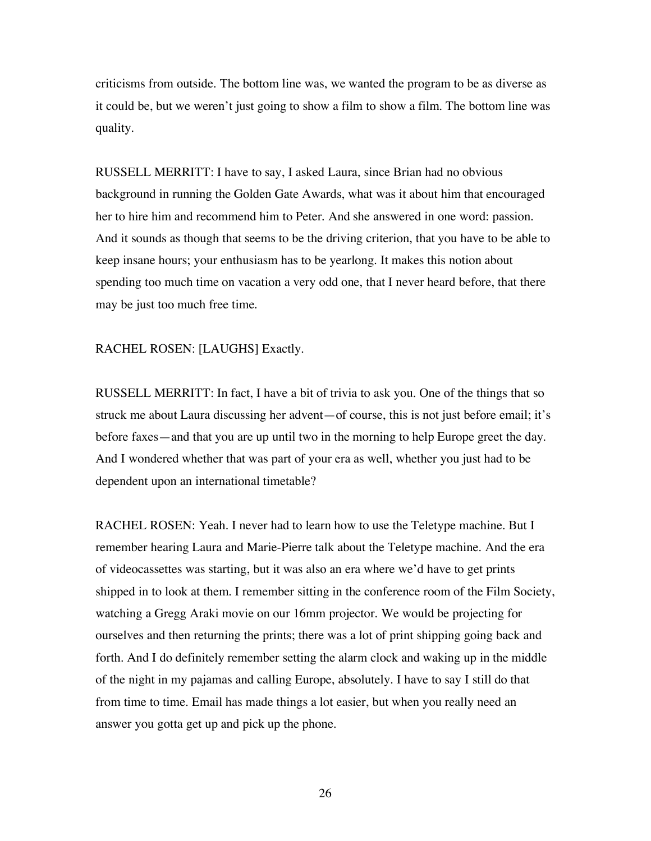criticisms from outside. The bottom line was, we wanted the program to be as diverse as it could be, but we weren't just going to show a film to show a film. The bottom line was quality.

RUSSELL MERRITT: I have to say, I asked Laura, since Brian had no obvious background in running the Golden Gate Awards, what was it about him that encouraged her to hire him and recommend him to Peter. And she answered in one word: passion. And it sounds as though that seems to be the driving criterion, that you have to be able to keep insane hours; your enthusiasm has to be yearlong. It makes this notion about spending too much time on vacation a very odd one, that I never heard before, that there may be just too much free time.

## RACHEL ROSEN: [LAUGHS] Exactly.

RUSSELL MERRITT: In fact, I have a bit of trivia to ask you. One of the things that so struck me about Laura discussing her advent—of course, this is not just before email; it's before faxes—and that you are up until two in the morning to help Europe greet the day. And I wondered whether that was part of your era as well, whether you just had to be dependent upon an international timetable?

RACHEL ROSEN: Yeah. I never had to learn how to use the Teletype machine. But I remember hearing Laura and Marie-Pierre talk about the Teletype machine. And the era of videocassettes was starting, but it was also an era where we'd have to get prints shipped in to look at them. I remember sitting in the conference room of the Film Society, watching a Gregg Araki movie on our 16mm projector. We would be projecting for ourselves and then returning the prints; there was a lot of print shipping going back and forth. And I do definitely remember setting the alarm clock and waking up in the middle of the night in my pajamas and calling Europe, absolutely. I have to say I still do that from time to time. Email has made things a lot easier, but when you really need an answer you gotta get up and pick up the phone.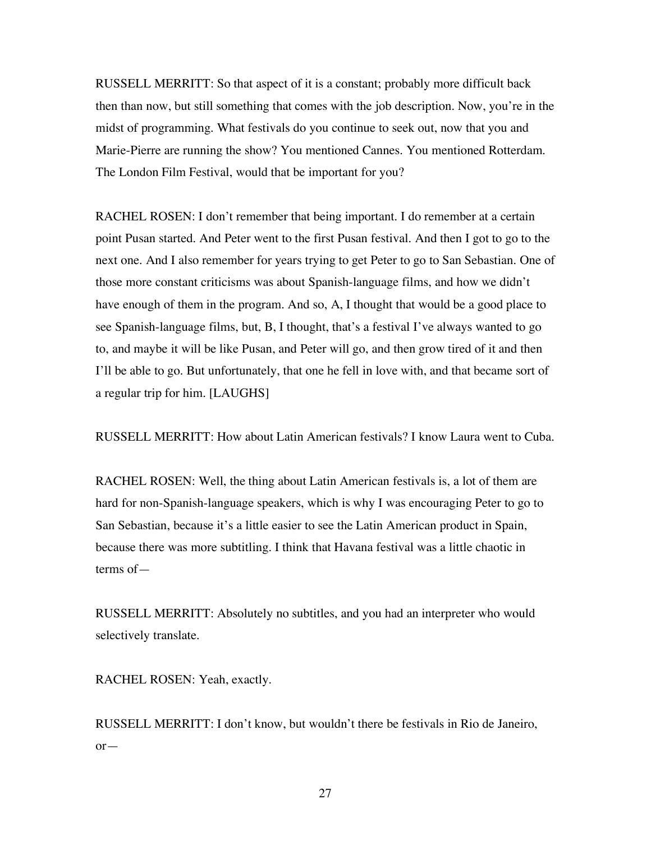RUSSELL MERRITT: So that aspect of it is a constant; probably more difficult back then than now, but still something that comes with the job description. Now, you're in the midst of programming. What festivals do you continue to seek out, now that you and Marie-Pierre are running the show? You mentioned Cannes. You mentioned Rotterdam. The London Film Festival, would that be important for you?

RACHEL ROSEN: I don't remember that being important. I do remember at a certain point Pusan started. And Peter went to the first Pusan festival. And then I got to go to the next one. And I also remember for years trying to get Peter to go to San Sebastian. One of those more constant criticisms was about Spanish-language films, and how we didn't have enough of them in the program. And so, A, I thought that would be a good place to see Spanish-language films, but, B, I thought, that's a festival I've always wanted to go to, and maybe it will be like Pusan, and Peter will go, and then grow tired of it and then I'll be able to go. But unfortunately, that one he fell in love with, and that became sort of a regular trip for him. [LAUGHS]

RUSSELL MERRITT: How about Latin American festivals? I know Laura went to Cuba.

RACHEL ROSEN: Well, the thing about Latin American festivals is, a lot of them are hard for non-Spanish-language speakers, which is why I was encouraging Peter to go to San Sebastian, because it's a little easier to see the Latin American product in Spain, because there was more subtitling. I think that Havana festival was a little chaotic in terms of—

RUSSELL MERRITT: Absolutely no subtitles, and you had an interpreter who would selectively translate.

RACHEL ROSEN: Yeah, exactly.

RUSSELL MERRITT: I don't know, but wouldn't there be festivals in Rio de Janeiro, or—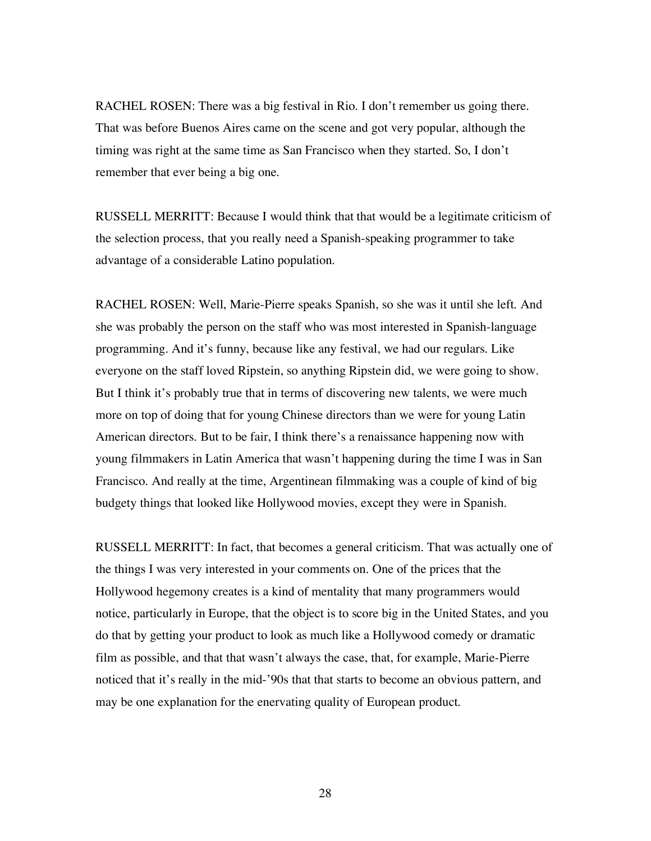RACHEL ROSEN: There was a big festival in Rio. I don't remember us going there. That was before Buenos Aires came on the scene and got very popular, although the timing was right at the same time as San Francisco when they started. So, I don't remember that ever being a big one.

RUSSELL MERRITT: Because I would think that that would be a legitimate criticism of the selection process, that you really need a Spanish-speaking programmer to take advantage of a considerable Latino population.

RACHEL ROSEN: Well, Marie-Pierre speaks Spanish, so she was it until she left. And she was probably the person on the staff who was most interested in Spanish-language programming. And it's funny, because like any festival, we had our regulars. Like everyone on the staff loved Ripstein, so anything Ripstein did, we were going to show. But I think it's probably true that in terms of discovering new talents, we were much more on top of doing that for young Chinese directors than we were for young Latin American directors. But to be fair, I think there's a renaissance happening now with young filmmakers in Latin America that wasn't happening during the time I was in San Francisco. And really at the time, Argentinean filmmaking was a couple of kind of big budgety things that looked like Hollywood movies, except they were in Spanish.

RUSSELL MERRITT: In fact, that becomes a general criticism. That was actually one of the things I was very interested in your comments on. One of the prices that the Hollywood hegemony creates is a kind of mentality that many programmers would notice, particularly in Europe, that the object is to score big in the United States, and you do that by getting your product to look as much like a Hollywood comedy or dramatic film as possible, and that that wasn't always the case, that, for example, Marie-Pierre noticed that it's really in the mid-'90s that that starts to become an obvious pattern, and may be one explanation for the enervating quality of European product.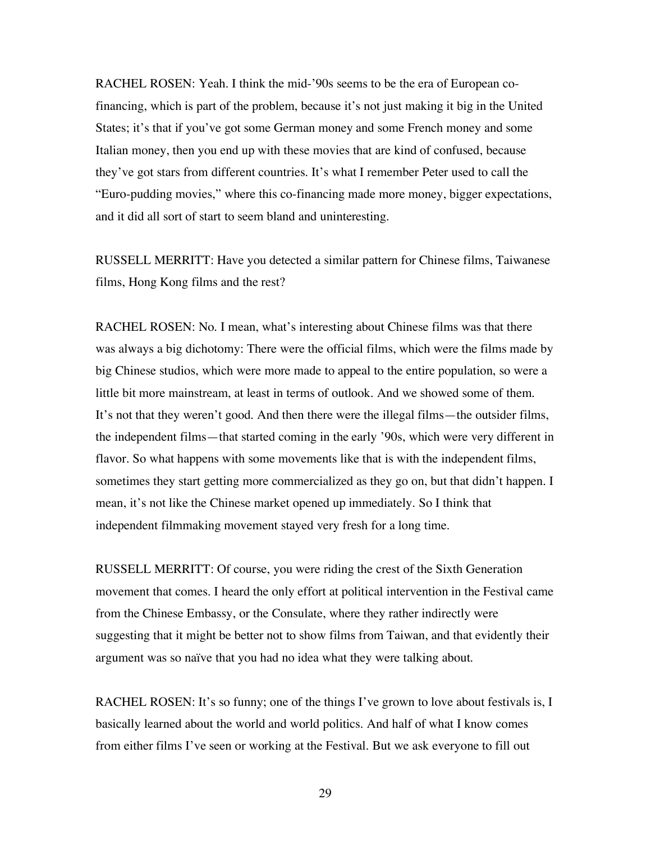RACHEL ROSEN: Yeah. I think the mid-'90s seems to be the era of European cofinancing, which is part of the problem, because it's not just making it big in the United States; it's that if you've got some German money and some French money and some Italian money, then you end up with these movies that are kind of confused, because they've got stars from different countries. It's what I remember Peter used to call the "Euro-pudding movies," where this co-financing made more money, bigger expectations, and it did all sort of start to seem bland and uninteresting.

RUSSELL MERRITT: Have you detected a similar pattern for Chinese films, Taiwanese films, Hong Kong films and the rest?

RACHEL ROSEN: No. I mean, what's interesting about Chinese films was that there was always a big dichotomy: There were the official films, which were the films made by big Chinese studios, which were more made to appeal to the entire population, so were a little bit more mainstream, at least in terms of outlook. And we showed some of them. It's not that they weren't good. And then there were the illegal films—the outsider films, the independent films—that started coming in the early '90s, which were very different in flavor. So what happens with some movements like that is with the independent films, sometimes they start getting more commercialized as they go on, but that didn't happen. I mean, it's not like the Chinese market opened up immediately. So I think that independent filmmaking movement stayed very fresh for a long time.

RUSSELL MERRITT: Of course, you were riding the crest of the Sixth Generation movement that comes. I heard the only effort at political intervention in the Festival came from the Chinese Embassy, or the Consulate, where they rather indirectly were suggesting that it might be better not to show films from Taiwan, and that evidently their argument was so naïve that you had no idea what they were talking about.

RACHEL ROSEN: It's so funny; one of the things I've grown to love about festivals is, I basically learned about the world and world politics. And half of what I know comes from either films I've seen or working at the Festival. But we ask everyone to fill out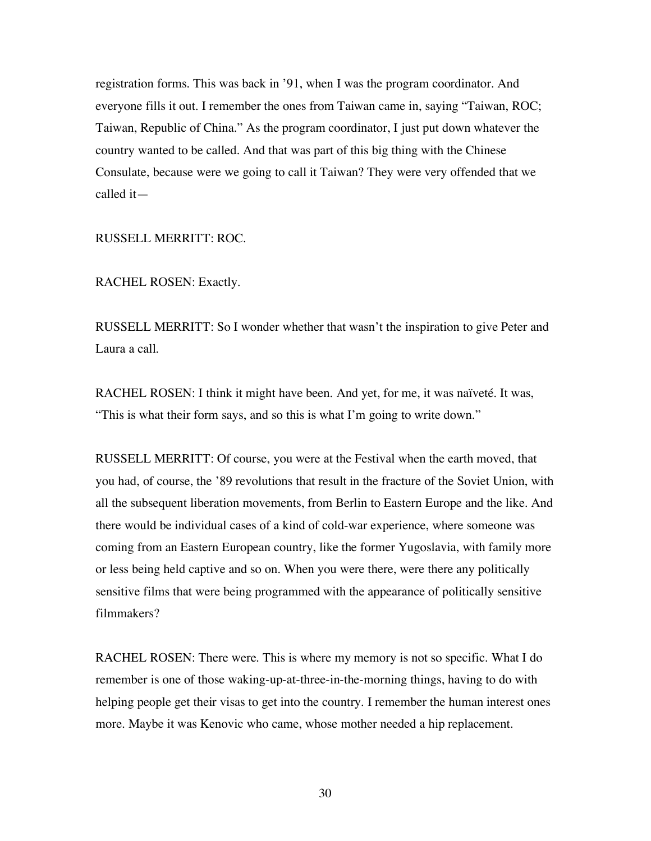registration forms. This was back in '91, when I was the program coordinator. And everyone fills it out. I remember the ones from Taiwan came in, saying "Taiwan, ROC; Taiwan, Republic of China." As the program coordinator, I just put down whatever the country wanted to be called. And that was part of this big thing with the Chinese Consulate, because were we going to call it Taiwan? They were very offended that we called it—

RUSSELL MERRITT: ROC.

RACHEL ROSEN: Exactly.

RUSSELL MERRITT: So I wonder whether that wasn't the inspiration to give Peter and Laura a call.

RACHEL ROSEN: I think it might have been. And yet, for me, it was naïveté. It was, "This is what their form says, and so this is what I'm going to write down."

RUSSELL MERRITT: Of course, you were at the Festival when the earth moved, that you had, of course, the '89 revolutions that result in the fracture of the Soviet Union, with all the subsequent liberation movements, from Berlin to Eastern Europe and the like. And there would be individual cases of a kind of cold-war experience, where someone was coming from an Eastern European country, like the former Yugoslavia, with family more or less being held captive and so on. When you were there, were there any politically sensitive films that were being programmed with the appearance of politically sensitive filmmakers?

RACHEL ROSEN: There were. This is where my memory is not so specific. What I do remember is one of those waking-up-at-three-in-the-morning things, having to do with helping people get their visas to get into the country. I remember the human interest ones more. Maybe it was Kenovic who came, whose mother needed a hip replacement.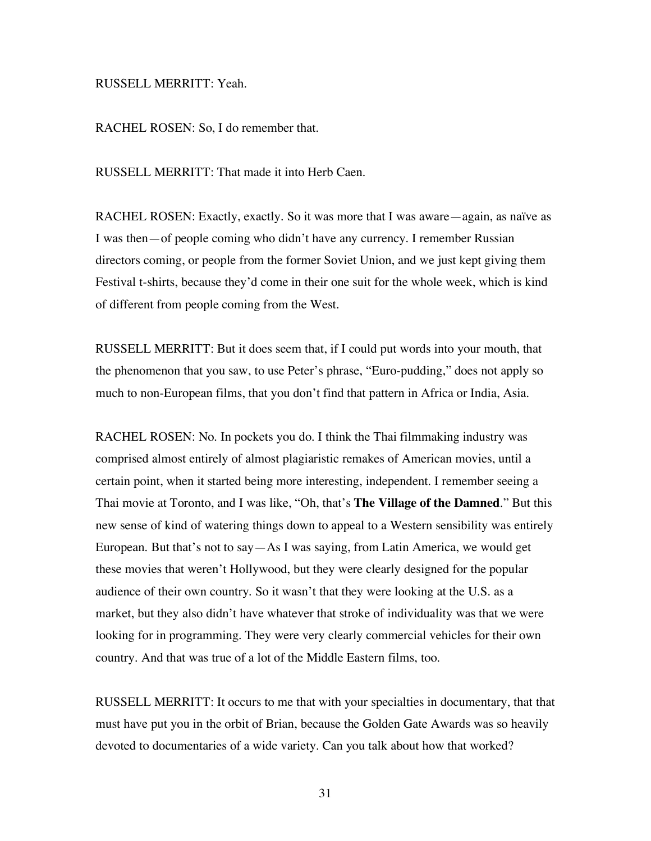RUSSELL MERRITT: Yeah.

RACHEL ROSEN: So, I do remember that.

RUSSELL MERRITT: That made it into Herb Caen.

RACHEL ROSEN: Exactly, exactly. So it was more that I was aware—again, as naïve as I was then—of people coming who didn't have any currency. I remember Russian directors coming, or people from the former Soviet Union, and we just kept giving them Festival t-shirts, because they'd come in their one suit for the whole week, which is kind of different from people coming from the West.

RUSSELL MERRITT: But it does seem that, if I could put words into your mouth, that the phenomenon that you saw, to use Peter's phrase, "Euro-pudding," does not apply so much to non-European films, that you don't find that pattern in Africa or India, Asia.

RACHEL ROSEN: No. In pockets you do. I think the Thai filmmaking industry was comprised almost entirely of almost plagiaristic remakes of American movies, until a certain point, when it started being more interesting, independent. I remember seeing a Thai movie at Toronto, and I was like, "Oh, that's **The Village of the Damned**." But this new sense of kind of watering things down to appeal to a Western sensibility was entirely European. But that's not to say—As I was saying, from Latin America, we would get these movies that weren't Hollywood, but they were clearly designed for the popular audience of their own country. So it wasn't that they were looking at the U.S. as a market, but they also didn't have whatever that stroke of individuality was that we were looking for in programming. They were very clearly commercial vehicles for their own country. And that was true of a lot of the Middle Eastern films, too.

RUSSELL MERRITT: It occurs to me that with your specialties in documentary, that that must have put you in the orbit of Brian, because the Golden Gate Awards was so heavily devoted to documentaries of a wide variety. Can you talk about how that worked?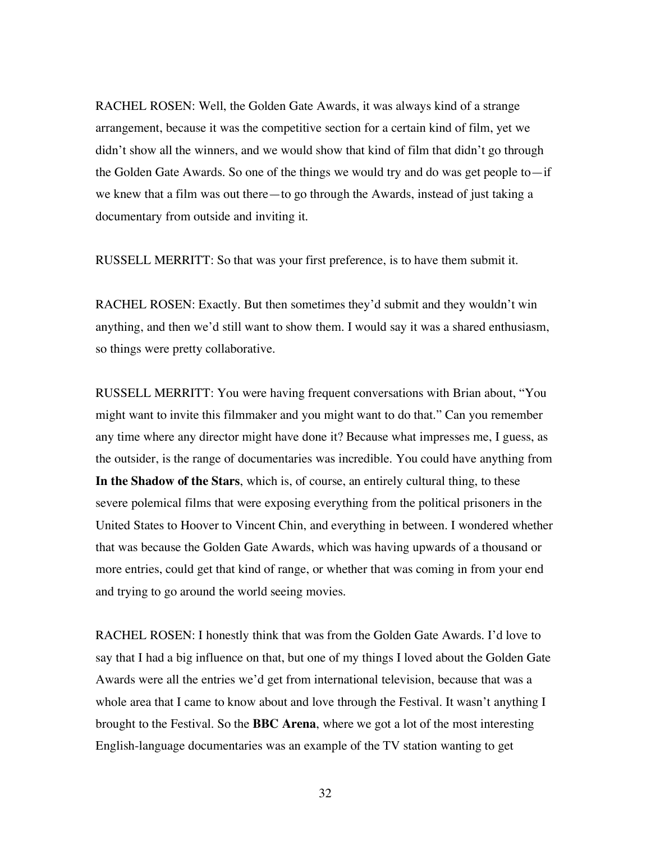RACHEL ROSEN: Well, the Golden Gate Awards, it was always kind of a strange arrangement, because it was the competitive section for a certain kind of film, yet we didn't show all the winners, and we would show that kind of film that didn't go through the Golden Gate Awards. So one of the things we would try and do was get people to—if we knew that a film was out there—to go through the Awards, instead of just taking a documentary from outside and inviting it.

RUSSELL MERRITT: So that was your first preference, is to have them submit it.

RACHEL ROSEN: Exactly. But then sometimes they'd submit and they wouldn't win anything, and then we'd still want to show them. I would say it was a shared enthusiasm, so things were pretty collaborative.

RUSSELL MERRITT: You were having frequent conversations with Brian about, "You might want to invite this filmmaker and you might want to do that." Can you remember any time where any director might have done it? Because what impresses me, I guess, as the outsider, is the range of documentaries was incredible. You could have anything from **In the Shadow of the Stars**, which is, of course, an entirely cultural thing, to these severe polemical films that were exposing everything from the political prisoners in the United States to Hoover to Vincent Chin, and everything in between. I wondered whether that was because the Golden Gate Awards, which was having upwards of a thousand or more entries, could get that kind of range, or whether that was coming in from your end and trying to go around the world seeing movies.

RACHEL ROSEN: I honestly think that was from the Golden Gate Awards. I'd love to say that I had a big influence on that, but one of my things I loved about the Golden Gate Awards were all the entries we'd get from international television, because that was a whole area that I came to know about and love through the Festival. It wasn't anything I brought to the Festival. So the **BBC Arena**, where we got a lot of the most interesting English-language documentaries was an example of the TV station wanting to get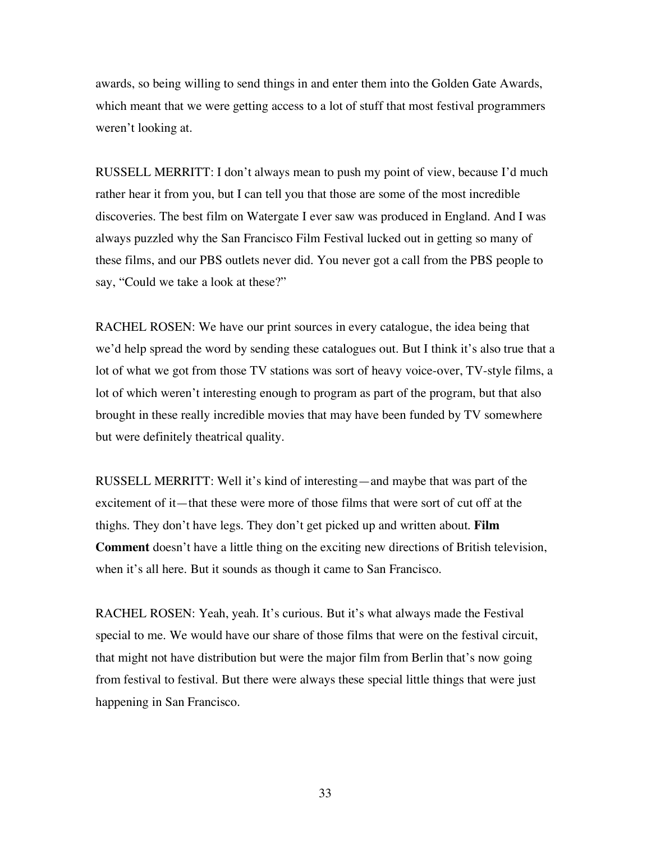awards, so being willing to send things in and enter them into the Golden Gate Awards, which meant that we were getting access to a lot of stuff that most festival programmers weren't looking at.

RUSSELL MERRITT: I don't always mean to push my point of view, because I'd much rather hear it from you, but I can tell you that those are some of the most incredible discoveries. The best film on Watergate I ever saw was produced in England. And I was always puzzled why the San Francisco Film Festival lucked out in getting so many of these films, and our PBS outlets never did. You never got a call from the PBS people to say, "Could we take a look at these?"

RACHEL ROSEN: We have our print sources in every catalogue, the idea being that we'd help spread the word by sending these catalogues out. But I think it's also true that a lot of what we got from those TV stations was sort of heavy voice-over, TV-style films, a lot of which weren't interesting enough to program as part of the program, but that also brought in these really incredible movies that may have been funded by TV somewhere but were definitely theatrical quality.

RUSSELL MERRITT: Well it's kind of interesting—and maybe that was part of the excitement of it—that these were more of those films that were sort of cut off at the thighs. They don't have legs. They don't get picked up and written about. **Film Comment** doesn't have a little thing on the exciting new directions of British television, when it's all here. But it sounds as though it came to San Francisco.

RACHEL ROSEN: Yeah, yeah. It's curious. But it's what always made the Festival special to me. We would have our share of those films that were on the festival circuit, that might not have distribution but were the major film from Berlin that's now going from festival to festival. But there were always these special little things that were just happening in San Francisco.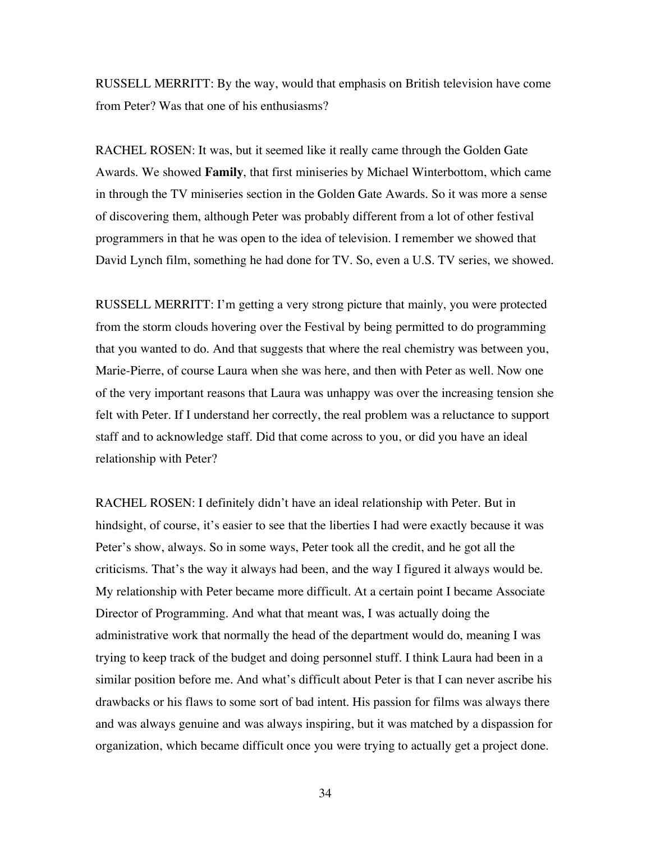RUSSELL MERRITT: By the way, would that emphasis on British television have come from Peter? Was that one of his enthusiasms?

RACHEL ROSEN: It was, but it seemed like it really came through the Golden Gate Awards. We showed **Family**, that first miniseries by Michael Winterbottom, which came in through the TV miniseries section in the Golden Gate Awards. So it was more a sense of discovering them, although Peter was probably different from a lot of other festival programmers in that he was open to the idea of television. I remember we showed that David Lynch film, something he had done for TV. So, even a U.S. TV series, we showed.

RUSSELL MERRITT: I'm getting a very strong picture that mainly, you were protected from the storm clouds hovering over the Festival by being permitted to do programming that you wanted to do. And that suggests that where the real chemistry was between you, Marie-Pierre, of course Laura when she was here, and then with Peter as well. Now one of the very important reasons that Laura was unhappy was over the increasing tension she felt with Peter. If I understand her correctly, the real problem was a reluctance to support staff and to acknowledge staff. Did that come across to you, or did you have an ideal relationship with Peter?

RACHEL ROSEN: I definitely didn't have an ideal relationship with Peter. But in hindsight, of course, it's easier to see that the liberties I had were exactly because it was Peter's show, always. So in some ways, Peter took all the credit, and he got all the criticisms. That's the way it always had been, and the way I figured it always would be. My relationship with Peter became more difficult. At a certain point I became Associate Director of Programming. And what that meant was, I was actually doing the administrative work that normally the head of the department would do, meaning I was trying to keep track of the budget and doing personnel stuff. I think Laura had been in a similar position before me. And what's difficult about Peter is that I can never ascribe his drawbacks or his flaws to some sort of bad intent. His passion for films was always there and was always genuine and was always inspiring, but it was matched by a dispassion for organization, which became difficult once you were trying to actually get a project done.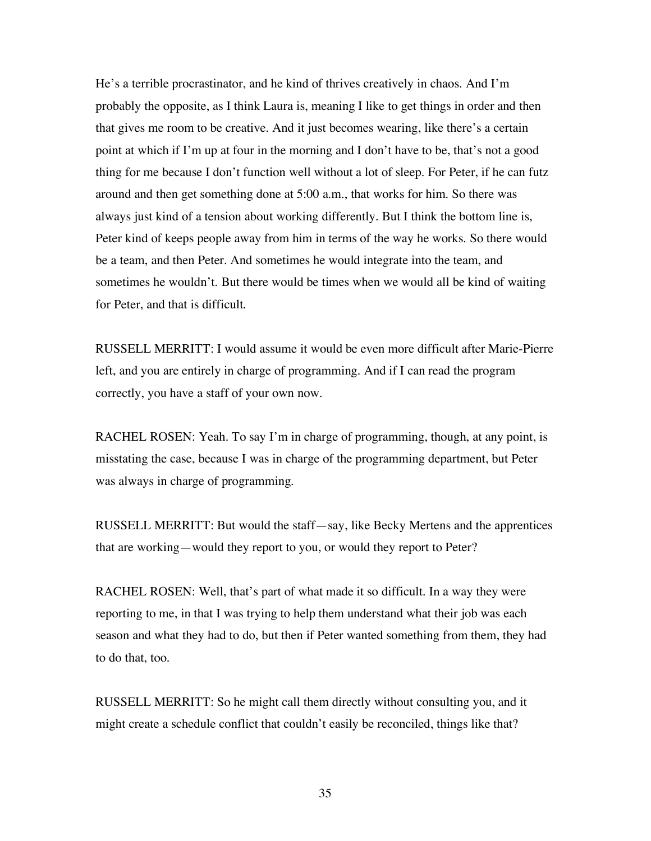He's a terrible procrastinator, and he kind of thrives creatively in chaos. And I'm probably the opposite, as I think Laura is, meaning I like to get things in order and then that gives me room to be creative. And it just becomes wearing, like there's a certain point at which if I'm up at four in the morning and I don't have to be, that's not a good thing for me because I don't function well without a lot of sleep. For Peter, if he can futz around and then get something done at 5:00 a.m., that works for him. So there was always just kind of a tension about working differently. But I think the bottom line is, Peter kind of keeps people away from him in terms of the way he works. So there would be a team, and then Peter. And sometimes he would integrate into the team, and sometimes he wouldn't. But there would be times when we would all be kind of waiting for Peter, and that is difficult.

RUSSELL MERRITT: I would assume it would be even more difficult after Marie-Pierre left, and you are entirely in charge of programming. And if I can read the program correctly, you have a staff of your own now.

RACHEL ROSEN: Yeah. To say I'm in charge of programming, though, at any point, is misstating the case, because I was in charge of the programming department, but Peter was always in charge of programming.

RUSSELL MERRITT: But would the staff—say, like Becky Mertens and the apprentices that are working—would they report to you, or would they report to Peter?

RACHEL ROSEN: Well, that's part of what made it so difficult. In a way they were reporting to me, in that I was trying to help them understand what their job was each season and what they had to do, but then if Peter wanted something from them, they had to do that, too.

RUSSELL MERRITT: So he might call them directly without consulting you, and it might create a schedule conflict that couldn't easily be reconciled, things like that?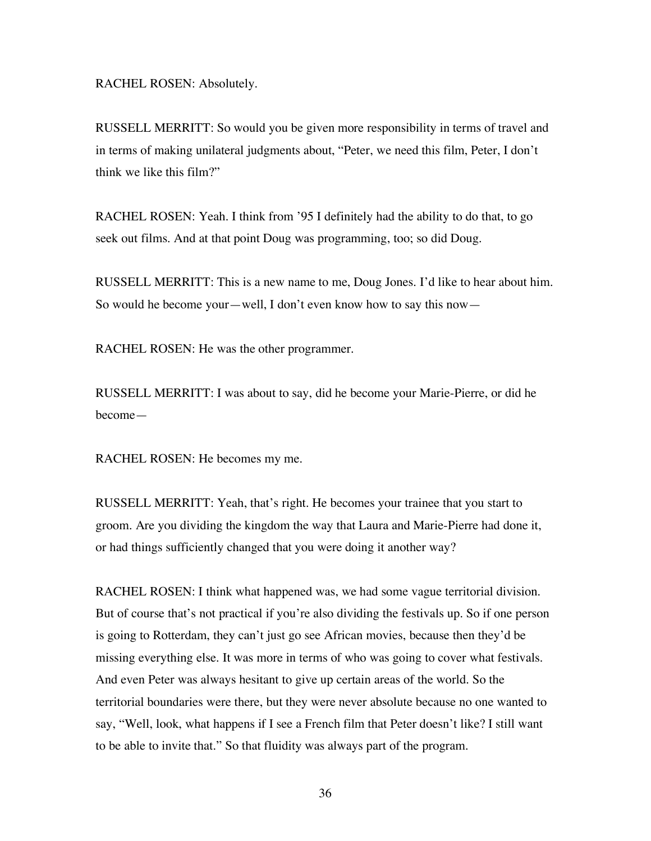RACHEL ROSEN: Absolutely.

RUSSELL MERRITT: So would you be given more responsibility in terms of travel and in terms of making unilateral judgments about, "Peter, we need this film, Peter, I don't think we like this film?"

RACHEL ROSEN: Yeah. I think from '95 I definitely had the ability to do that, to go seek out films. And at that point Doug was programming, too; so did Doug.

RUSSELL MERRITT: This is a new name to me, Doug Jones. I'd like to hear about him. So would he become your—well, I don't even know how to say this now—

RACHEL ROSEN: He was the other programmer.

RUSSELL MERRITT: I was about to say, did he become your Marie-Pierre, or did he become—

RACHEL ROSEN: He becomes my me.

RUSSELL MERRITT: Yeah, that's right. He becomes your trainee that you start to groom. Are you dividing the kingdom the way that Laura and Marie-Pierre had done it, or had things sufficiently changed that you were doing it another way?

RACHEL ROSEN: I think what happened was, we had some vague territorial division. But of course that's not practical if you're also dividing the festivals up. So if one person is going to Rotterdam, they can't just go see African movies, because then they'd be missing everything else. It was more in terms of who was going to cover what festivals. And even Peter was always hesitant to give up certain areas of the world. So the territorial boundaries were there, but they were never absolute because no one wanted to say, "Well, look, what happens if I see a French film that Peter doesn't like? I still want to be able to invite that." So that fluidity was always part of the program.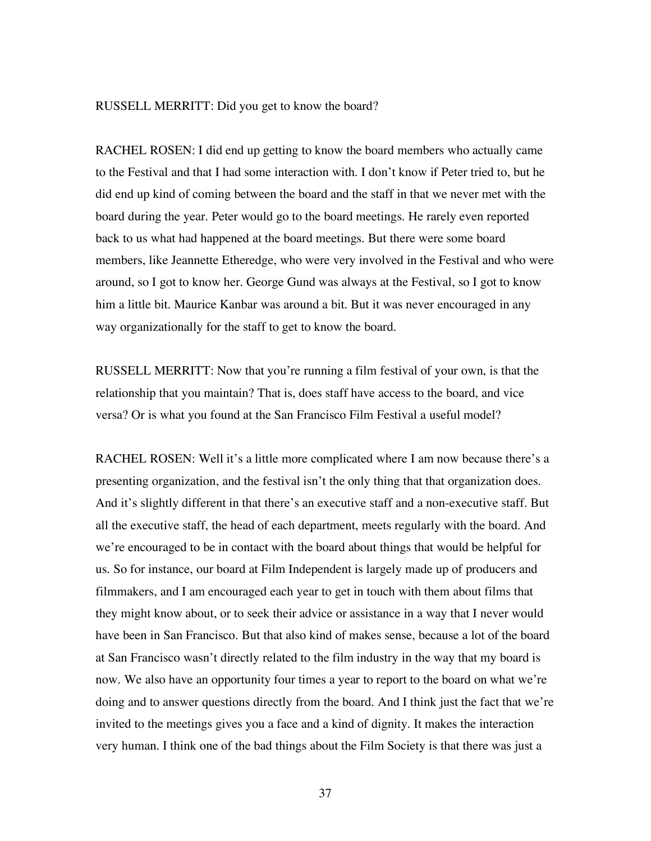## RUSSELL MERRITT: Did you get to know the board?

RACHEL ROSEN: I did end up getting to know the board members who actually came to the Festival and that I had some interaction with. I don't know if Peter tried to, but he did end up kind of coming between the board and the staff in that we never met with the board during the year. Peter would go to the board meetings. He rarely even reported back to us what had happened at the board meetings. But there were some board members, like Jeannette Etheredge, who were very involved in the Festival and who were around, so I got to know her. George Gund was always at the Festival, so I got to know him a little bit. Maurice Kanbar was around a bit. But it was never encouraged in any way organizationally for the staff to get to know the board.

RUSSELL MERRITT: Now that you're running a film festival of your own, is that the relationship that you maintain? That is, does staff have access to the board, and vice versa? Or is what you found at the San Francisco Film Festival a useful model?

RACHEL ROSEN: Well it's a little more complicated where I am now because there's a presenting organization, and the festival isn't the only thing that that organization does. And it's slightly different in that there's an executive staff and a non-executive staff. But all the executive staff, the head of each department, meets regularly with the board. And we're encouraged to be in contact with the board about things that would be helpful for us. So for instance, our board at Film Independent is largely made up of producers and filmmakers, and I am encouraged each year to get in touch with them about films that they might know about, or to seek their advice or assistance in a way that I never would have been in San Francisco. But that also kind of makes sense, because a lot of the board at San Francisco wasn't directly related to the film industry in the way that my board is now. We also have an opportunity four times a year to report to the board on what we're doing and to answer questions directly from the board. And I think just the fact that we're invited to the meetings gives you a face and a kind of dignity. It makes the interaction very human. I think one of the bad things about the Film Society is that there was just a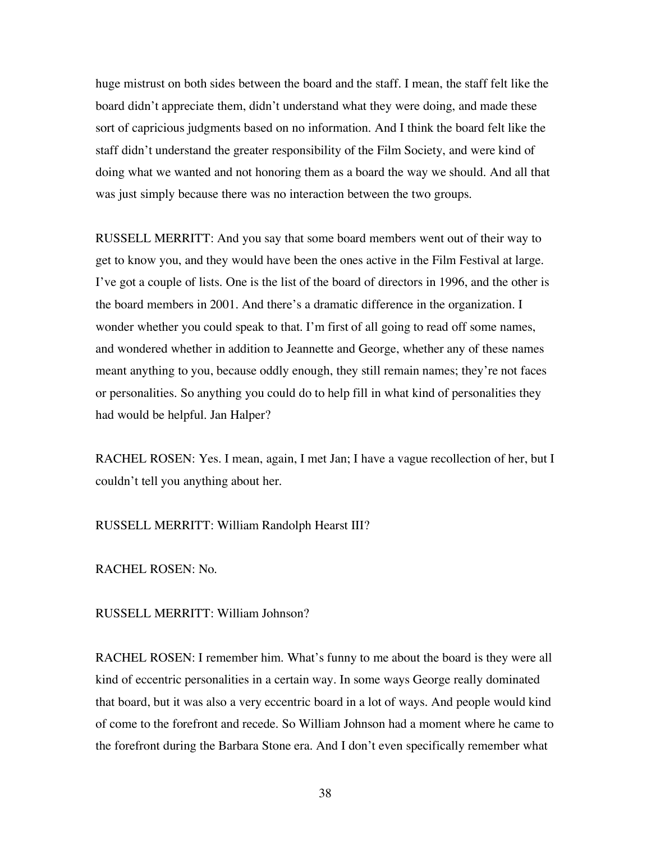huge mistrust on both sides between the board and the staff. I mean, the staff felt like the board didn't appreciate them, didn't understand what they were doing, and made these sort of capricious judgments based on no information. And I think the board felt like the staff didn't understand the greater responsibility of the Film Society, and were kind of doing what we wanted and not honoring them as a board the way we should. And all that was just simply because there was no interaction between the two groups.

RUSSELL MERRITT: And you say that some board members went out of their way to get to know you, and they would have been the ones active in the Film Festival at large. I've got a couple of lists. One is the list of the board of directors in 1996, and the other is the board members in 2001. And there's a dramatic difference in the organization. I wonder whether you could speak to that. I'm first of all going to read off some names, and wondered whether in addition to Jeannette and George, whether any of these names meant anything to you, because oddly enough, they still remain names; they're not faces or personalities. So anything you could do to help fill in what kind of personalities they had would be helpful. Jan Halper?

RACHEL ROSEN: Yes. I mean, again, I met Jan; I have a vague recollection of her, but I couldn't tell you anything about her.

RUSSELL MERRITT: William Randolph Hearst III?

RACHEL ROSEN: No.

RUSSELL MERRITT: William Johnson?

RACHEL ROSEN: I remember him. What's funny to me about the board is they were all kind of eccentric personalities in a certain way. In some ways George really dominated that board, but it was also a very eccentric board in a lot of ways. And people would kind of come to the forefront and recede. So William Johnson had a moment where he came to the forefront during the Barbara Stone era. And I don't even specifically remember what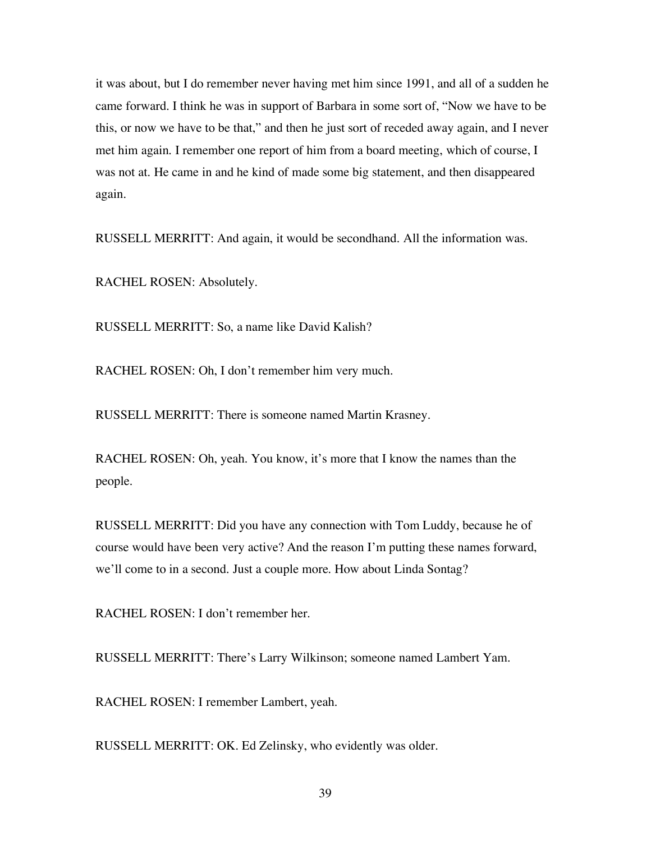it was about, but I do remember never having met him since 1991, and all of a sudden he came forward. I think he was in support of Barbara in some sort of, "Now we have to be this, or now we have to be that," and then he just sort of receded away again, and I never met him again. I remember one report of him from a board meeting, which of course, I was not at. He came in and he kind of made some big statement, and then disappeared again.

RUSSELL MERRITT: And again, it would be secondhand. All the information was.

RACHEL ROSEN: Absolutely.

RUSSELL MERRITT: So, a name like David Kalish?

RACHEL ROSEN: Oh, I don't remember him very much.

RUSSELL MERRITT: There is someone named Martin Krasney.

RACHEL ROSEN: Oh, yeah. You know, it's more that I know the names than the people.

RUSSELL MERRITT: Did you have any connection with Tom Luddy, because he of course would have been very active? And the reason I'm putting these names forward, we'll come to in a second. Just a couple more. How about Linda Sontag?

RACHEL ROSEN: I don't remember her.

RUSSELL MERRITT: There's Larry Wilkinson; someone named Lambert Yam.

RACHEL ROSEN: I remember Lambert, yeah.

RUSSELL MERRITT: OK. Ed Zelinsky, who evidently was older.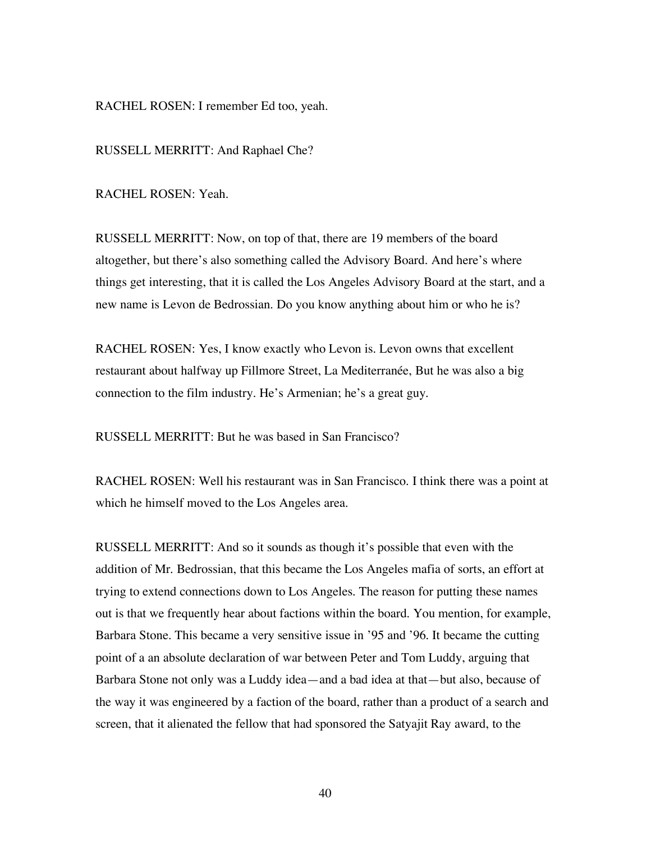RACHEL ROSEN: I remember Ed too, yeah.

RUSSELL MERRITT: And Raphael Che?

RACHEL ROSEN: Yeah.

RUSSELL MERRITT: Now, on top of that, there are 19 members of the board altogether, but there's also something called the Advisory Board. And here's where things get interesting, that it is called the Los Angeles Advisory Board at the start, and a new name is Levon de Bedrossian. Do you know anything about him or who he is?

RACHEL ROSEN: Yes, I know exactly who Levon is. Levon owns that excellent restaurant about halfway up Fillmore Street, La Mediterranée, But he was also a big connection to the film industry. He's Armenian; he's a great guy.

RUSSELL MERRITT: But he was based in San Francisco?

RACHEL ROSEN: Well his restaurant was in San Francisco. I think there was a point at which he himself moved to the Los Angeles area.

RUSSELL MERRITT: And so it sounds as though it's possible that even with the addition of Mr. Bedrossian, that this became the Los Angeles mafia of sorts, an effort at trying to extend connections down to Los Angeles. The reason for putting these names out is that we frequently hear about factions within the board. You mention, for example, Barbara Stone. This became a very sensitive issue in '95 and '96. It became the cutting point of a an absolute declaration of war between Peter and Tom Luddy, arguing that Barbara Stone not only was a Luddy idea—and a bad idea at that—but also, because of the way it was engineered by a faction of the board, rather than a product of a search and screen, that it alienated the fellow that had sponsored the Satyajit Ray award, to the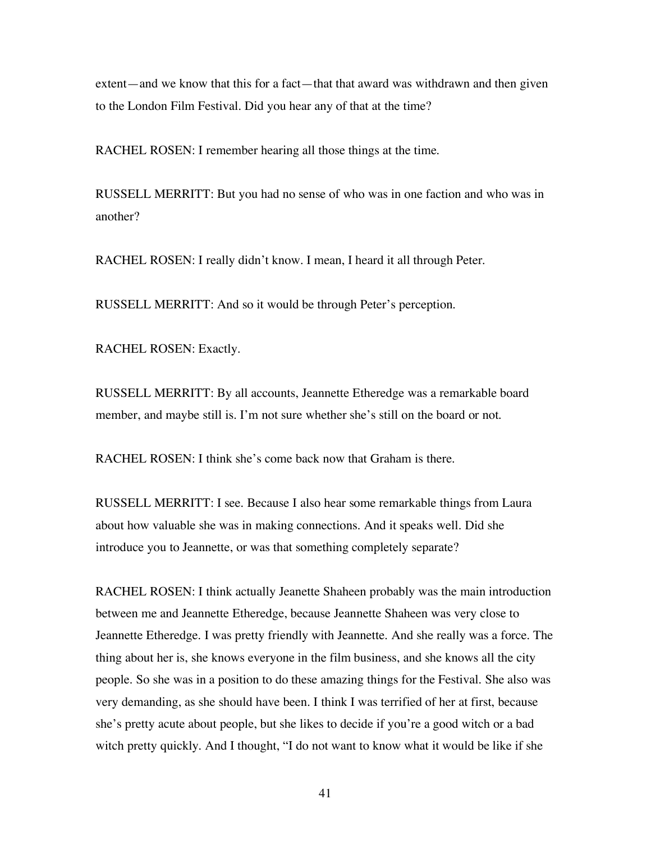extent—and we know that this for a fact—that that award was withdrawn and then given to the London Film Festival. Did you hear any of that at the time?

RACHEL ROSEN: I remember hearing all those things at the time.

RUSSELL MERRITT: But you had no sense of who was in one faction and who was in another?

RACHEL ROSEN: I really didn't know. I mean, I heard it all through Peter.

RUSSELL MERRITT: And so it would be through Peter's perception.

RACHEL ROSEN: Exactly.

RUSSELL MERRITT: By all accounts, Jeannette Etheredge was a remarkable board member, and maybe still is. I'm not sure whether she's still on the board or not.

RACHEL ROSEN: I think she's come back now that Graham is there.

RUSSELL MERRITT: I see. Because I also hear some remarkable things from Laura about how valuable she was in making connections. And it speaks well. Did she introduce you to Jeannette, or was that something completely separate?

RACHEL ROSEN: I think actually Jeanette Shaheen probably was the main introduction between me and Jeannette Etheredge, because Jeannette Shaheen was very close to Jeannette Etheredge. I was pretty friendly with Jeannette. And she really was a force. The thing about her is, she knows everyone in the film business, and she knows all the city people. So she was in a position to do these amazing things for the Festival. She also was very demanding, as she should have been. I think I was terrified of her at first, because she's pretty acute about people, but she likes to decide if you're a good witch or a bad witch pretty quickly. And I thought, "I do not want to know what it would be like if she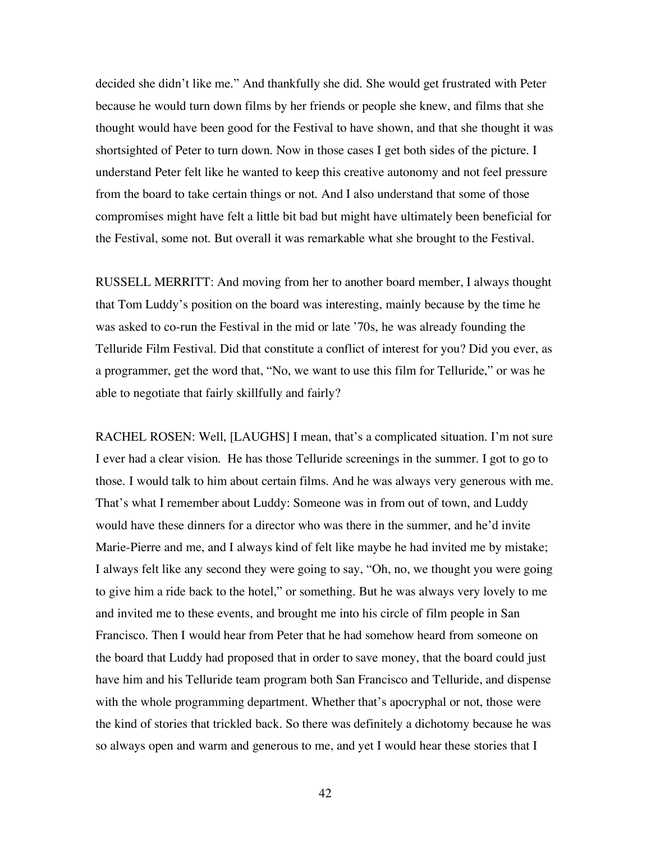decided she didn't like me." And thankfully she did. She would get frustrated with Peter because he would turn down films by her friends or people she knew, and films that she thought would have been good for the Festival to have shown, and that she thought it was shortsighted of Peter to turn down. Now in those cases I get both sides of the picture. I understand Peter felt like he wanted to keep this creative autonomy and not feel pressure from the board to take certain things or not. And I also understand that some of those compromises might have felt a little bit bad but might have ultimately been beneficial for the Festival, some not. But overall it was remarkable what she brought to the Festival.

RUSSELL MERRITT: And moving from her to another board member, I always thought that Tom Luddy's position on the board was interesting, mainly because by the time he was asked to co-run the Festival in the mid or late '70s, he was already founding the Telluride Film Festival. Did that constitute a conflict of interest for you? Did you ever, as a programmer, get the word that, "No, we want to use this film for Telluride," or was he able to negotiate that fairly skillfully and fairly?

RACHEL ROSEN: Well, [LAUGHS] I mean, that's a complicated situation. I'm not sure I ever had a clear vision. He has those Telluride screenings in the summer. I got to go to those. I would talk to him about certain films. And he was always very generous with me. That's what I remember about Luddy: Someone was in from out of town, and Luddy would have these dinners for a director who was there in the summer, and he'd invite Marie-Pierre and me, and I always kind of felt like maybe he had invited me by mistake; I always felt like any second they were going to say, "Oh, no, we thought you were going to give him a ride back to the hotel," or something. But he was always very lovely to me and invited me to these events, and brought me into his circle of film people in San Francisco. Then I would hear from Peter that he had somehow heard from someone on the board that Luddy had proposed that in order to save money, that the board could just have him and his Telluride team program both San Francisco and Telluride, and dispense with the whole programming department. Whether that's apocryphal or not, those were the kind of stories that trickled back. So there was definitely a dichotomy because he was so always open and warm and generous to me, and yet I would hear these stories that I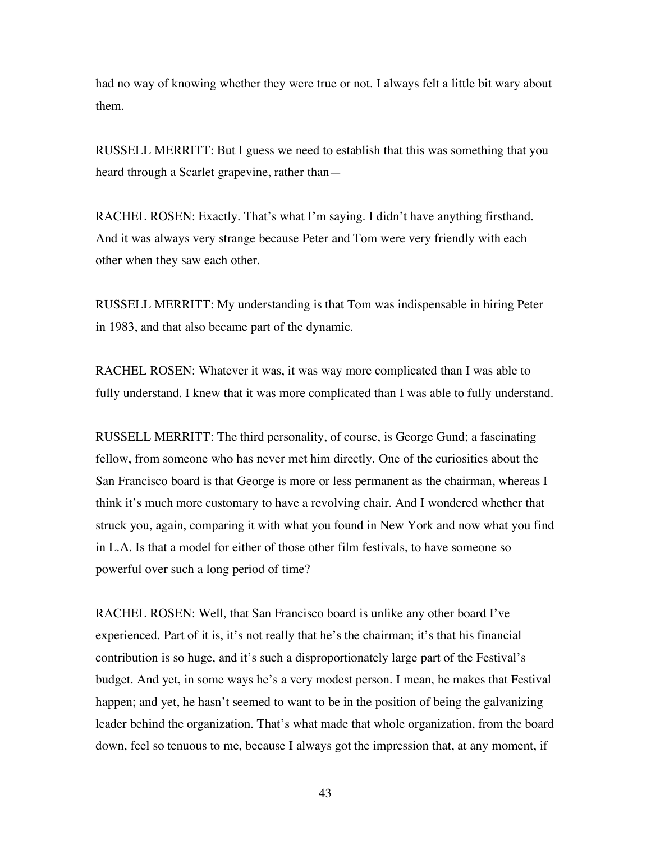had no way of knowing whether they were true or not. I always felt a little bit wary about them.

RUSSELL MERRITT: But I guess we need to establish that this was something that you heard through a Scarlet grapevine, rather than—

RACHEL ROSEN: Exactly. That's what I'm saying. I didn't have anything firsthand. And it was always very strange because Peter and Tom were very friendly with each other when they saw each other.

RUSSELL MERRITT: My understanding is that Tom was indispensable in hiring Peter in 1983, and that also became part of the dynamic.

RACHEL ROSEN: Whatever it was, it was way more complicated than I was able to fully understand. I knew that it was more complicated than I was able to fully understand.

RUSSELL MERRITT: The third personality, of course, is George Gund; a fascinating fellow, from someone who has never met him directly. One of the curiosities about the San Francisco board is that George is more or less permanent as the chairman, whereas I think it's much more customary to have a revolving chair. And I wondered whether that struck you, again, comparing it with what you found in New York and now what you find in L.A. Is that a model for either of those other film festivals, to have someone so powerful over such a long period of time?

RACHEL ROSEN: Well, that San Francisco board is unlike any other board I've experienced. Part of it is, it's not really that he's the chairman; it's that his financial contribution is so huge, and it's such a disproportionately large part of the Festival's budget. And yet, in some ways he's a very modest person. I mean, he makes that Festival happen; and yet, he hasn't seemed to want to be in the position of being the galvanizing leader behind the organization. That's what made that whole organization, from the board down, feel so tenuous to me, because I always got the impression that, at any moment, if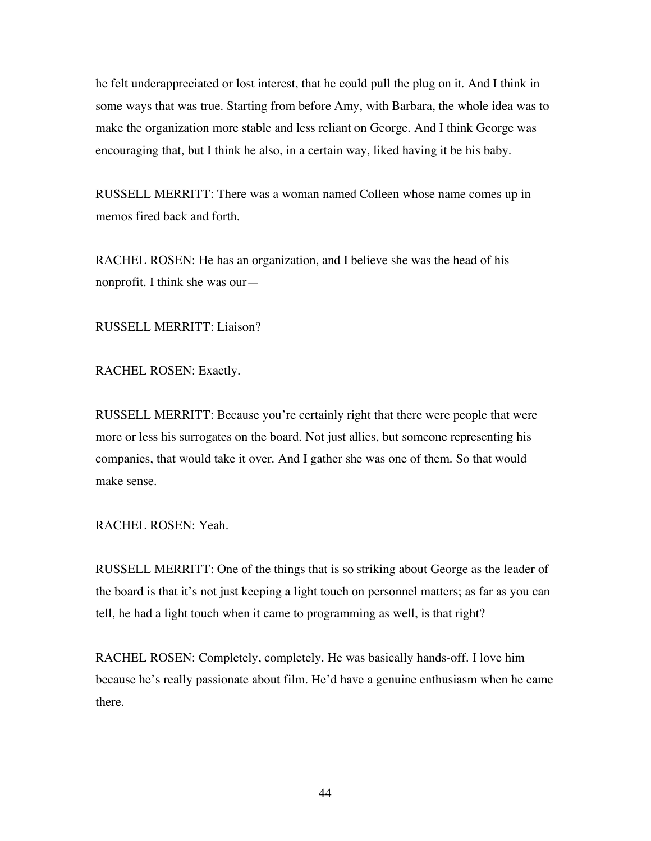he felt underappreciated or lost interest, that he could pull the plug on it. And I think in some ways that was true. Starting from before Amy, with Barbara, the whole idea was to make the organization more stable and less reliant on George. And I think George was encouraging that, but I think he also, in a certain way, liked having it be his baby.

RUSSELL MERRITT: There was a woman named Colleen whose name comes up in memos fired back and forth.

RACHEL ROSEN: He has an organization, and I believe she was the head of his nonprofit. I think she was our—

RUSSELL MERRITT: Liaison?

RACHEL ROSEN: Exactly.

RUSSELL MERRITT: Because you're certainly right that there were people that were more or less his surrogates on the board. Not just allies, but someone representing his companies, that would take it over. And I gather she was one of them. So that would make sense.

RACHEL ROSEN: Yeah.

RUSSELL MERRITT: One of the things that is so striking about George as the leader of the board is that it's not just keeping a light touch on personnel matters; as far as you can tell, he had a light touch when it came to programming as well, is that right?

RACHEL ROSEN: Completely, completely. He was basically hands-off. I love him because he's really passionate about film. He'd have a genuine enthusiasm when he came there.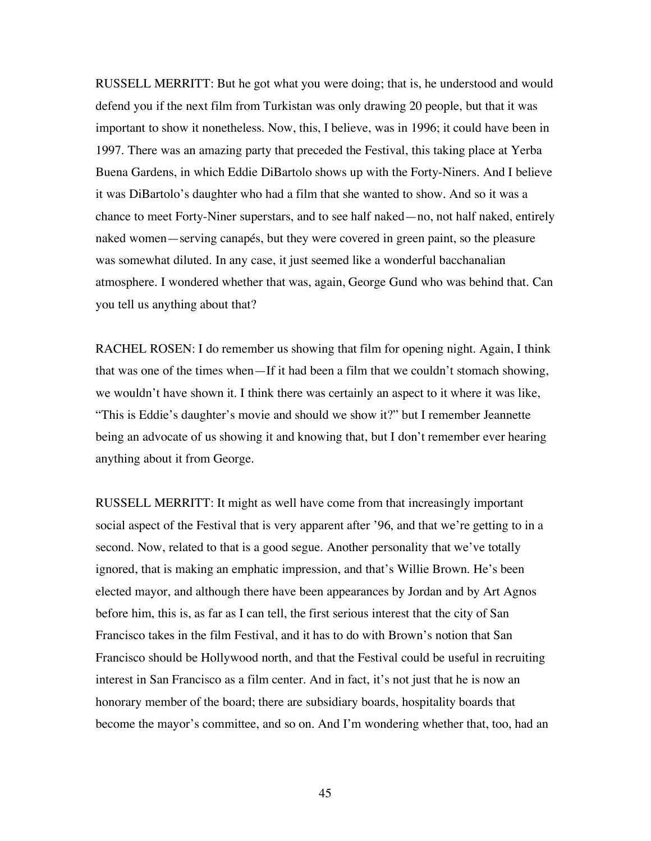RUSSELL MERRITT: But he got what you were doing; that is, he understood and would defend you if the next film from Turkistan was only drawing 20 people, but that it was important to show it nonetheless. Now, this, I believe, was in 1996; it could have been in 1997. There was an amazing party that preceded the Festival, this taking place at Yerba Buena Gardens, in which Eddie DiBartolo shows up with the Forty-Niners. And I believe it was DiBartolo's daughter who had a film that she wanted to show. And so it was a chance to meet Forty-Niner superstars, and to see half naked—no, not half naked, entirely naked women—serving canapés, but they were covered in green paint, so the pleasure was somewhat diluted. In any case, it just seemed like a wonderful bacchanalian atmosphere. I wondered whether that was, again, George Gund who was behind that. Can you tell us anything about that?

RACHEL ROSEN: I do remember us showing that film for opening night. Again, I think that was one of the times when—If it had been a film that we couldn't stomach showing, we wouldn't have shown it. I think there was certainly an aspect to it where it was like, "This is Eddie's daughter's movie and should we show it?" but I remember Jeannette being an advocate of us showing it and knowing that, but I don't remember ever hearing anything about it from George.

RUSSELL MERRITT: It might as well have come from that increasingly important social aspect of the Festival that is very apparent after '96, and that we're getting to in a second. Now, related to that is a good segue. Another personality that we've totally ignored, that is making an emphatic impression, and that's Willie Brown. He's been elected mayor, and although there have been appearances by Jordan and by Art Agnos before him, this is, as far as I can tell, the first serious interest that the city of San Francisco takes in the film Festival, and it has to do with Brown's notion that San Francisco should be Hollywood north, and that the Festival could be useful in recruiting interest in San Francisco as a film center. And in fact, it's not just that he is now an honorary member of the board; there are subsidiary boards, hospitality boards that become the mayor's committee, and so on. And I'm wondering whether that, too, had an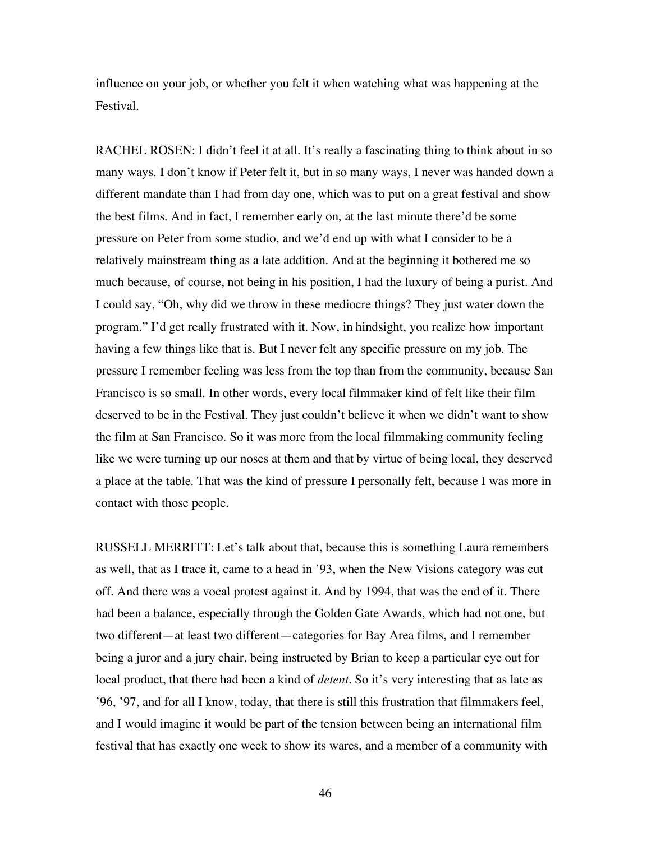influence on your job, or whether you felt it when watching what was happening at the Festival.

RACHEL ROSEN: I didn't feel it at all. It's really a fascinating thing to think about in so many ways. I don't know if Peter felt it, but in so many ways, I never was handed down a different mandate than I had from day one, which was to put on a great festival and show the best films. And in fact, I remember early on, at the last minute there'd be some pressure on Peter from some studio, and we'd end up with what I consider to be a relatively mainstream thing as a late addition. And at the beginning it bothered me so much because, of course, not being in his position, I had the luxury of being a purist. And I could say, "Oh, why did we throw in these mediocre things? They just water down the program." I'd get really frustrated with it. Now, in hindsight, you realize how important having a few things like that is. But I never felt any specific pressure on my job. The pressure I remember feeling was less from the top than from the community, because San Francisco is so small. In other words, every local filmmaker kind of felt like their film deserved to be in the Festival. They just couldn't believe it when we didn't want to show the film at San Francisco. So it was more from the local filmmaking community feeling like we were turning up our noses at them and that by virtue of being local, they deserved a place at the table. That was the kind of pressure I personally felt, because I was more in contact with those people.

RUSSELL MERRITT: Let's talk about that, because this is something Laura remembers as well, that as I trace it, came to a head in '93, when the New Visions category was cut off. And there was a vocal protest against it. And by 1994, that was the end of it. There had been a balance, especially through the Golden Gate Awards, which had not one, but two different—at least two different—categories for Bay Area films, and I remember being a juror and a jury chair, being instructed by Brian to keep a particular eye out for local product, that there had been a kind of *detent*. So it's very interesting that as late as '96, '97, and for all I know, today, that there is still this frustration that filmmakers feel, and I would imagine it would be part of the tension between being an international film festival that has exactly one week to show its wares, and a member of a community with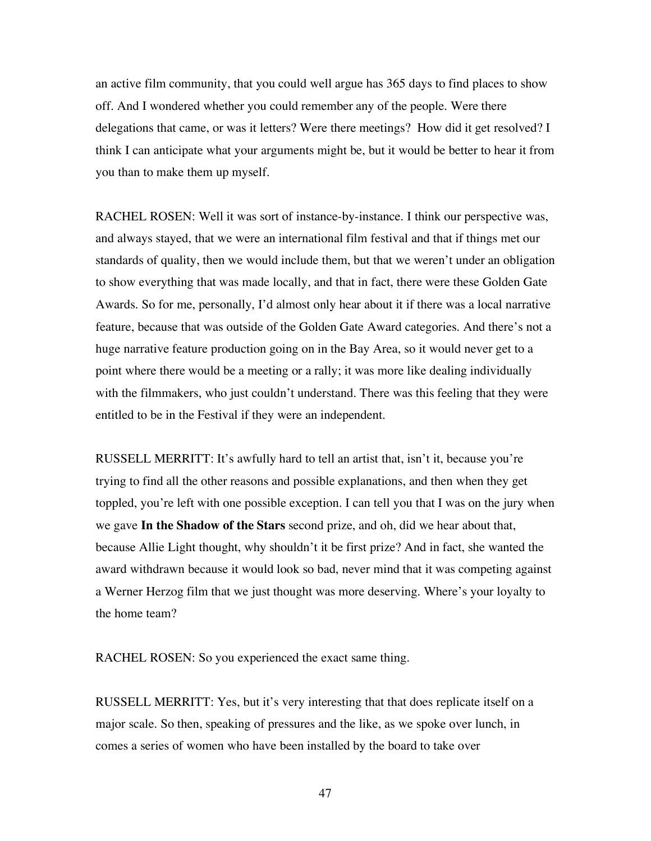an active film community, that you could well argue has 365 days to find places to show off. And I wondered whether you could remember any of the people. Were there delegations that came, or was it letters? Were there meetings? How did it get resolved? I think I can anticipate what your arguments might be, but it would be better to hear it from you than to make them up myself.

RACHEL ROSEN: Well it was sort of instance-by-instance. I think our perspective was, and always stayed, that we were an international film festival and that if things met our standards of quality, then we would include them, but that we weren't under an obligation to show everything that was made locally, and that in fact, there were these Golden Gate Awards. So for me, personally, I'd almost only hear about it if there was a local narrative feature, because that was outside of the Golden Gate Award categories. And there's not a huge narrative feature production going on in the Bay Area, so it would never get to a point where there would be a meeting or a rally; it was more like dealing individually with the filmmakers, who just couldn't understand. There was this feeling that they were entitled to be in the Festival if they were an independent.

RUSSELL MERRITT: It's awfully hard to tell an artist that, isn't it, because you're trying to find all the other reasons and possible explanations, and then when they get toppled, you're left with one possible exception. I can tell you that I was on the jury when we gave **In the Shadow of the Stars** second prize, and oh, did we hear about that, because Allie Light thought, why shouldn't it be first prize? And in fact, she wanted the award withdrawn because it would look so bad, never mind that it was competing against a Werner Herzog film that we just thought was more deserving. Where's your loyalty to the home team?

RACHEL ROSEN: So you experienced the exact same thing.

RUSSELL MERRITT: Yes, but it's very interesting that that does replicate itself on a major scale. So then, speaking of pressures and the like, as we spoke over lunch, in comes a series of women who have been installed by the board to take over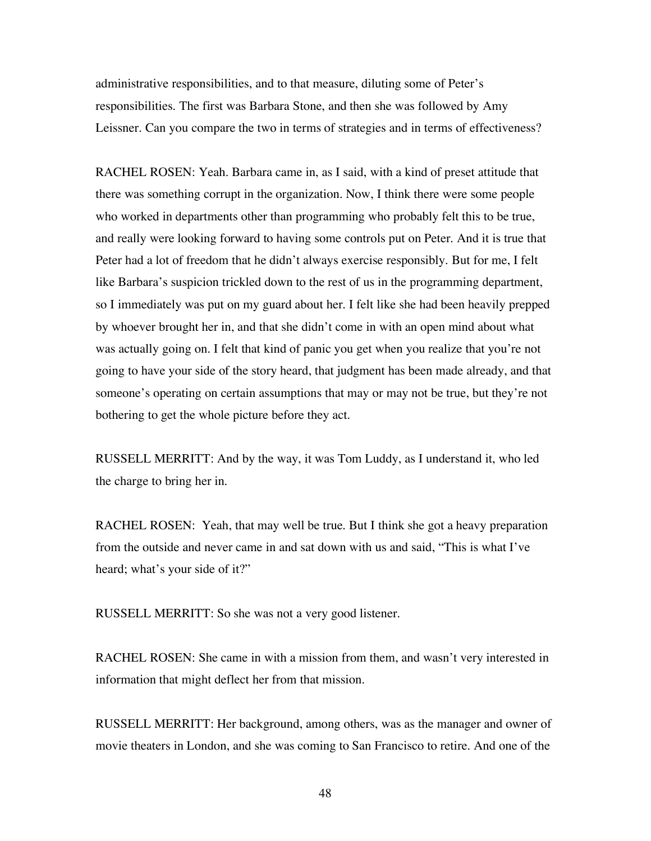administrative responsibilities, and to that measure, diluting some of Peter's responsibilities. The first was Barbara Stone, and then she was followed by Amy Leissner. Can you compare the two in terms of strategies and in terms of effectiveness?

RACHEL ROSEN: Yeah. Barbara came in, as I said, with a kind of preset attitude that there was something corrupt in the organization. Now, I think there were some people who worked in departments other than programming who probably felt this to be true, and really were looking forward to having some controls put on Peter. And it is true that Peter had a lot of freedom that he didn't always exercise responsibly. But for me, I felt like Barbara's suspicion trickled down to the rest of us in the programming department, so I immediately was put on my guard about her. I felt like she had been heavily prepped by whoever brought her in, and that she didn't come in with an open mind about what was actually going on. I felt that kind of panic you get when you realize that you're not going to have your side of the story heard, that judgment has been made already, and that someone's operating on certain assumptions that may or may not be true, but they're not bothering to get the whole picture before they act.

RUSSELL MERRITT: And by the way, it was Tom Luddy, as I understand it, who led the charge to bring her in.

RACHEL ROSEN: Yeah, that may well be true. But I think she got a heavy preparation from the outside and never came in and sat down with us and said, "This is what I've heard; what's your side of it?"

RUSSELL MERRITT: So she was not a very good listener.

RACHEL ROSEN: She came in with a mission from them, and wasn't very interested in information that might deflect her from that mission.

RUSSELL MERRITT: Her background, among others, was as the manager and owner of movie theaters in London, and she was coming to San Francisco to retire. And one of the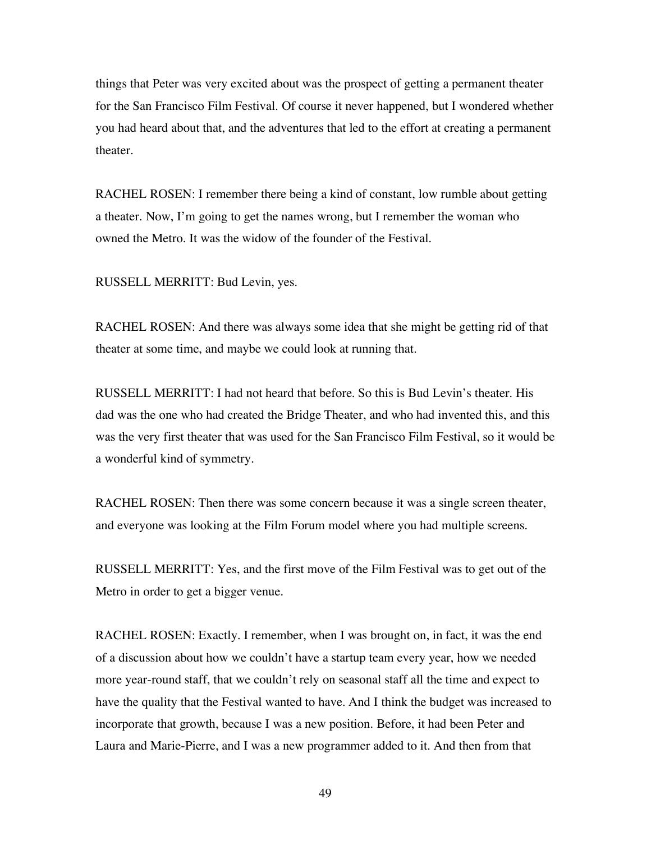things that Peter was very excited about was the prospect of getting a permanent theater for the San Francisco Film Festival. Of course it never happened, but I wondered whether you had heard about that, and the adventures that led to the effort at creating a permanent theater.

RACHEL ROSEN: I remember there being a kind of constant, low rumble about getting a theater. Now, I'm going to get the names wrong, but I remember the woman who owned the Metro. It was the widow of the founder of the Festival.

RUSSELL MERRITT: Bud Levin, yes.

RACHEL ROSEN: And there was always some idea that she might be getting rid of that theater at some time, and maybe we could look at running that.

RUSSELL MERRITT: I had not heard that before. So this is Bud Levin's theater. His dad was the one who had created the Bridge Theater, and who had invented this, and this was the very first theater that was used for the San Francisco Film Festival, so it would be a wonderful kind of symmetry.

RACHEL ROSEN: Then there was some concern because it was a single screen theater, and everyone was looking at the Film Forum model where you had multiple screens.

RUSSELL MERRITT: Yes, and the first move of the Film Festival was to get out of the Metro in order to get a bigger venue.

RACHEL ROSEN: Exactly. I remember, when I was brought on, in fact, it was the end of a discussion about how we couldn't have a startup team every year, how we needed more year-round staff, that we couldn't rely on seasonal staff all the time and expect to have the quality that the Festival wanted to have. And I think the budget was increased to incorporate that growth, because I was a new position. Before, it had been Peter and Laura and Marie-Pierre, and I was a new programmer added to it. And then from that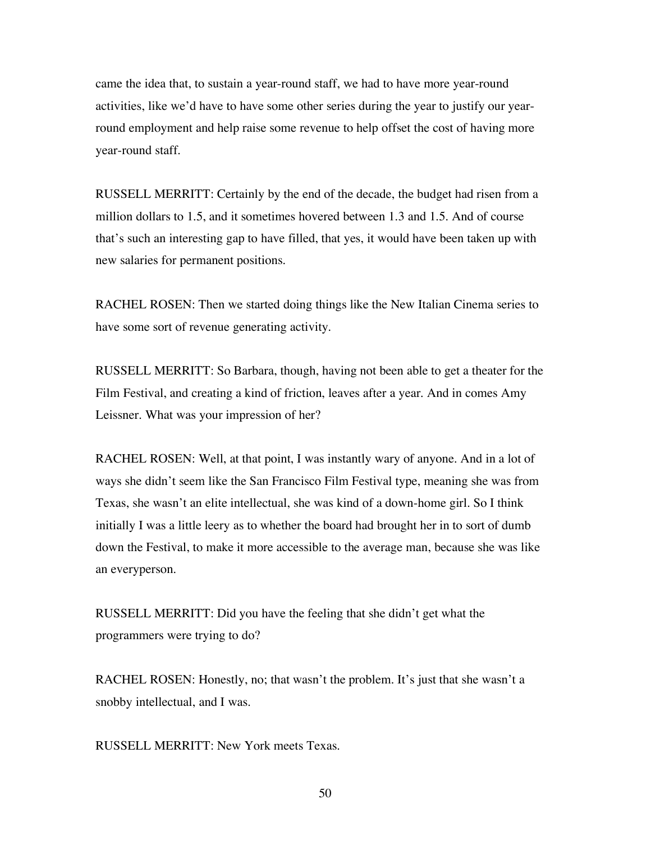came the idea that, to sustain a year-round staff, we had to have more year-round activities, like we'd have to have some other series during the year to justify our yearround employment and help raise some revenue to help offset the cost of having more year-round staff.

RUSSELL MERRITT: Certainly by the end of the decade, the budget had risen from a million dollars to 1.5, and it sometimes hovered between 1.3 and 1.5. And of course that's such an interesting gap to have filled, that yes, it would have been taken up with new salaries for permanent positions.

RACHEL ROSEN: Then we started doing things like the New Italian Cinema series to have some sort of revenue generating activity.

RUSSELL MERRITT: So Barbara, though, having not been able to get a theater for the Film Festival, and creating a kind of friction, leaves after a year. And in comes Amy Leissner. What was your impression of her?

RACHEL ROSEN: Well, at that point, I was instantly wary of anyone. And in a lot of ways she didn't seem like the San Francisco Film Festival type, meaning she was from Texas, she wasn't an elite intellectual, she was kind of a down-home girl. So I think initially I was a little leery as to whether the board had brought her in to sort of dumb down the Festival, to make it more accessible to the average man, because she was like an everyperson.

RUSSELL MERRITT: Did you have the feeling that she didn't get what the programmers were trying to do?

RACHEL ROSEN: Honestly, no; that wasn't the problem. It's just that she wasn't a snobby intellectual, and I was.

RUSSELL MERRITT: New York meets Texas.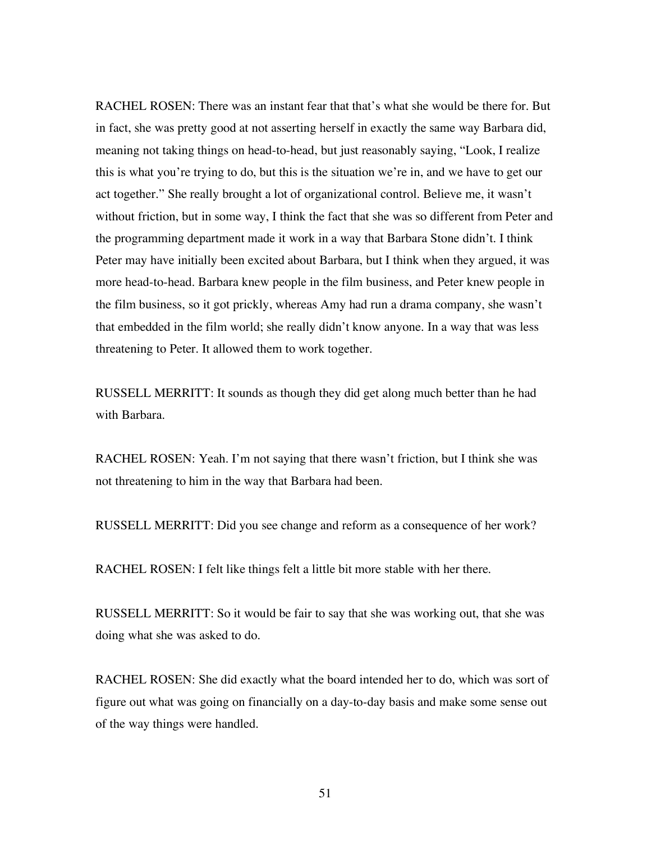RACHEL ROSEN: There was an instant fear that that's what she would be there for. But in fact, she was pretty good at not asserting herself in exactly the same way Barbara did, meaning not taking things on head-to-head, but just reasonably saying, "Look, I realize this is what you're trying to do, but this is the situation we're in, and we have to get our act together." She really brought a lot of organizational control. Believe me, it wasn't without friction, but in some way, I think the fact that she was so different from Peter and the programming department made it work in a way that Barbara Stone didn't. I think Peter may have initially been excited about Barbara, but I think when they argued, it was more head-to-head. Barbara knew people in the film business, and Peter knew people in the film business, so it got prickly, whereas Amy had run a drama company, she wasn't that embedded in the film world; she really didn't know anyone. In a way that was less threatening to Peter. It allowed them to work together.

RUSSELL MERRITT: It sounds as though they did get along much better than he had with Barbara.

RACHEL ROSEN: Yeah. I'm not saying that there wasn't friction, but I think she was not threatening to him in the way that Barbara had been.

RUSSELL MERRITT: Did you see change and reform as a consequence of her work?

RACHEL ROSEN: I felt like things felt a little bit more stable with her there.

RUSSELL MERRITT: So it would be fair to say that she was working out, that she was doing what she was asked to do.

RACHEL ROSEN: She did exactly what the board intended her to do, which was sort of figure out what was going on financially on a day-to-day basis and make some sense out of the way things were handled.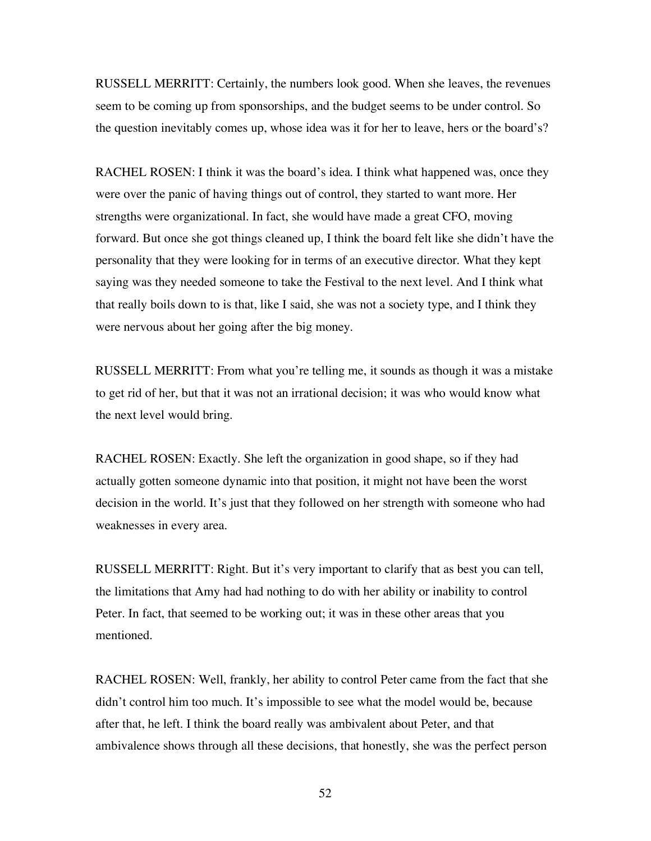RUSSELL MERRITT: Certainly, the numbers look good. When she leaves, the revenues seem to be coming up from sponsorships, and the budget seems to be under control. So the question inevitably comes up, whose idea was it for her to leave, hers or the board's?

RACHEL ROSEN: I think it was the board's idea. I think what happened was, once they were over the panic of having things out of control, they started to want more. Her strengths were organizational. In fact, she would have made a great CFO, moving forward. But once she got things cleaned up, I think the board felt like she didn't have the personality that they were looking for in terms of an executive director. What they kept saying was they needed someone to take the Festival to the next level. And I think what that really boils down to is that, like I said, she was not a society type, and I think they were nervous about her going after the big money.

RUSSELL MERRITT: From what you're telling me, it sounds as though it was a mistake to get rid of her, but that it was not an irrational decision; it was who would know what the next level would bring.

RACHEL ROSEN: Exactly. She left the organization in good shape, so if they had actually gotten someone dynamic into that position, it might not have been the worst decision in the world. It's just that they followed on her strength with someone who had weaknesses in every area.

RUSSELL MERRITT: Right. But it's very important to clarify that as best you can tell, the limitations that Amy had had nothing to do with her ability or inability to control Peter. In fact, that seemed to be working out; it was in these other areas that you mentioned.

RACHEL ROSEN: Well, frankly, her ability to control Peter came from the fact that she didn't control him too much. It's impossible to see what the model would be, because after that, he left. I think the board really was ambivalent about Peter, and that ambivalence shows through all these decisions, that honestly, she was the perfect person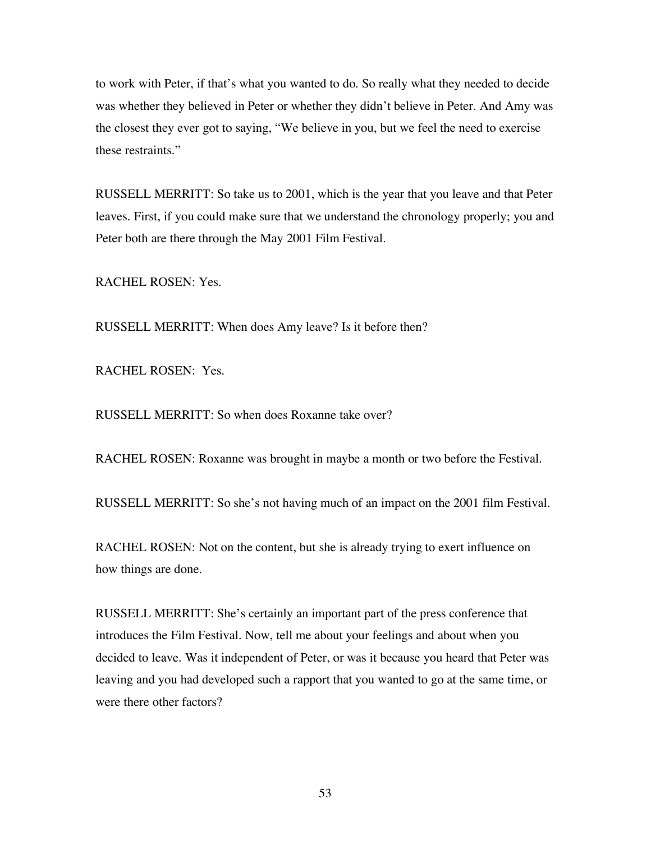to work with Peter, if that's what you wanted to do. So really what they needed to decide was whether they believed in Peter or whether they didn't believe in Peter. And Amy was the closest they ever got to saying, "We believe in you, but we feel the need to exercise these restraints."

RUSSELL MERRITT: So take us to 2001, which is the year that you leave and that Peter leaves. First, if you could make sure that we understand the chronology properly; you and Peter both are there through the May 2001 Film Festival.

RACHEL ROSEN: Yes.

RUSSELL MERRITT: When does Amy leave? Is it before then?

RACHEL ROSEN: Yes.

RUSSELL MERRITT: So when does Roxanne take over?

RACHEL ROSEN: Roxanne was brought in maybe a month or two before the Festival.

RUSSELL MERRITT: So she's not having much of an impact on the 2001 film Festival.

RACHEL ROSEN: Not on the content, but she is already trying to exert influence on how things are done.

RUSSELL MERRITT: She's certainly an important part of the press conference that introduces the Film Festival. Now, tell me about your feelings and about when you decided to leave. Was it independent of Peter, or was it because you heard that Peter was leaving and you had developed such a rapport that you wanted to go at the same time, or were there other factors?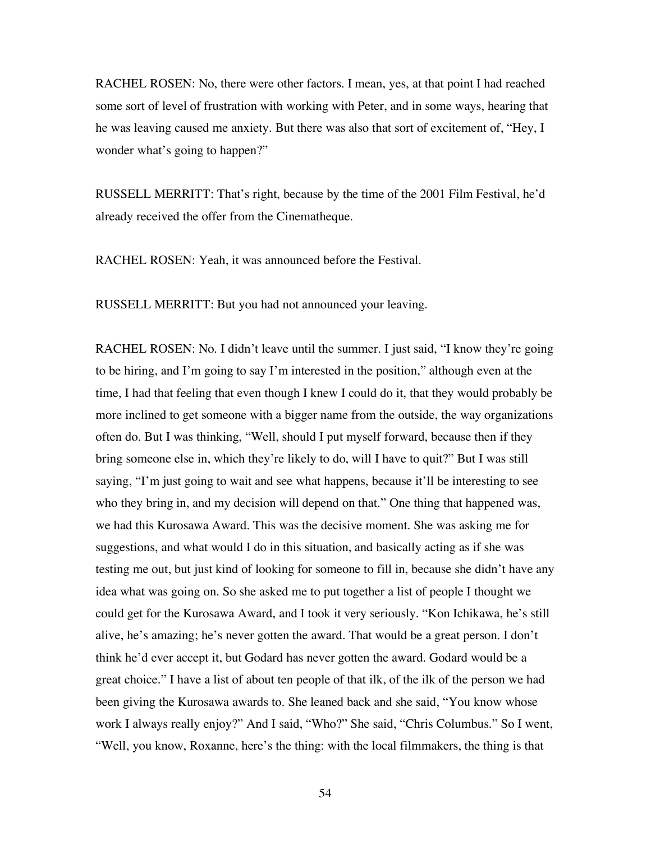RACHEL ROSEN: No, there were other factors. I mean, yes, at that point I had reached some sort of level of frustration with working with Peter, and in some ways, hearing that he was leaving caused me anxiety. But there was also that sort of excitement of, "Hey, I wonder what's going to happen?"

RUSSELL MERRITT: That's right, because by the time of the 2001 Film Festival, he'd already received the offer from the Cinematheque.

RACHEL ROSEN: Yeah, it was announced before the Festival.

RUSSELL MERRITT: But you had not announced your leaving.

RACHEL ROSEN: No. I didn't leave until the summer. I just said, "I know they're going to be hiring, and I'm going to say I'm interested in the position," although even at the time, I had that feeling that even though I knew I could do it, that they would probably be more inclined to get someone with a bigger name from the outside, the way organizations often do. But I was thinking, "Well, should I put myself forward, because then if they bring someone else in, which they're likely to do, will I have to quit?" But I was still saying, "I'm just going to wait and see what happens, because it'll be interesting to see who they bring in, and my decision will depend on that." One thing that happened was, we had this Kurosawa Award. This was the decisive moment. She was asking me for suggestions, and what would I do in this situation, and basically acting as if she was testing me out, but just kind of looking for someone to fill in, because she didn't have any idea what was going on. So she asked me to put together a list of people I thought we could get for the Kurosawa Award, and I took it very seriously. "Kon Ichikawa, he's still alive, he's amazing; he's never gotten the award. That would be a great person. I don't think he'd ever accept it, but Godard has never gotten the award. Godard would be a great choice." I have a list of about ten people of that ilk, of the ilk of the person we had been giving the Kurosawa awards to. She leaned back and she said, "You know whose work I always really enjoy?" And I said, "Who?" She said, "Chris Columbus." So I went, "Well, you know, Roxanne, here's the thing: with the local filmmakers, the thing is that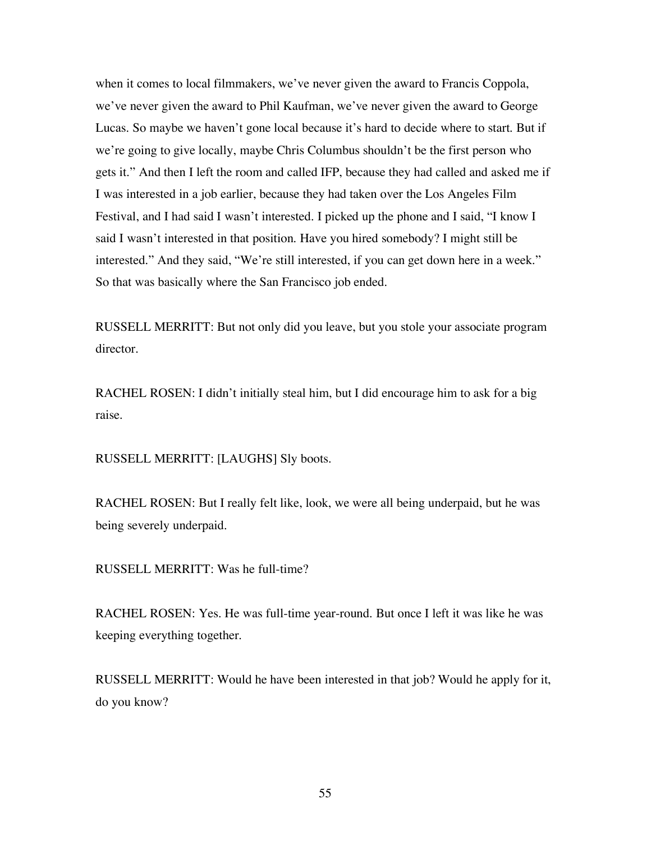when it comes to local filmmakers, we've never given the award to Francis Coppola, we've never given the award to Phil Kaufman, we've never given the award to George Lucas. So maybe we haven't gone local because it's hard to decide where to start. But if we're going to give locally, maybe Chris Columbus shouldn't be the first person who gets it." And then I left the room and called IFP, because they had called and asked me if I was interested in a job earlier, because they had taken over the Los Angeles Film Festival, and I had said I wasn't interested. I picked up the phone and I said, "I know I said I wasn't interested in that position. Have you hired somebody? I might still be interested." And they said, "We're still interested, if you can get down here in a week." So that was basically where the San Francisco job ended.

RUSSELL MERRITT: But not only did you leave, but you stole your associate program director.

RACHEL ROSEN: I didn't initially steal him, but I did encourage him to ask for a big raise.

RUSSELL MERRITT: [LAUGHS] Sly boots.

RACHEL ROSEN: But I really felt like, look, we were all being underpaid, but he was being severely underpaid.

RUSSELL MERRITT: Was he full-time?

RACHEL ROSEN: Yes. He was full-time year-round. But once I left it was like he was keeping everything together.

RUSSELL MERRITT: Would he have been interested in that job? Would he apply for it, do you know?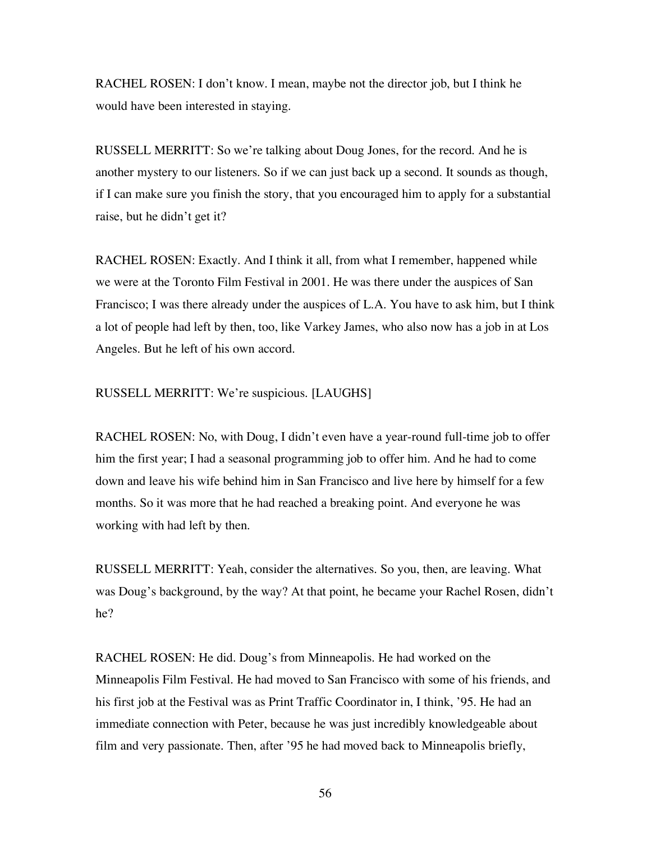RACHEL ROSEN: I don't know. I mean, maybe not the director job, but I think he would have been interested in staying.

RUSSELL MERRITT: So we're talking about Doug Jones, for the record. And he is another mystery to our listeners. So if we can just back up a second. It sounds as though, if I can make sure you finish the story, that you encouraged him to apply for a substantial raise, but he didn't get it?

RACHEL ROSEN: Exactly. And I think it all, from what I remember, happened while we were at the Toronto Film Festival in 2001. He was there under the auspices of San Francisco; I was there already under the auspices of L.A. You have to ask him, but I think a lot of people had left by then, too, like Varkey James, who also now has a job in at Los Angeles. But he left of his own accord.

## RUSSELL MERRITT: We're suspicious. [LAUGHS]

RACHEL ROSEN: No, with Doug, I didn't even have a year-round full-time job to offer him the first year; I had a seasonal programming job to offer him. And he had to come down and leave his wife behind him in San Francisco and live here by himself for a few months. So it was more that he had reached a breaking point. And everyone he was working with had left by then.

RUSSELL MERRITT: Yeah, consider the alternatives. So you, then, are leaving. What was Doug's background, by the way? At that point, he became your Rachel Rosen, didn't he?

RACHEL ROSEN: He did. Doug's from Minneapolis. He had worked on the Minneapolis Film Festival. He had moved to San Francisco with some of his friends, and his first job at the Festival was as Print Traffic Coordinator in, I think, '95. He had an immediate connection with Peter, because he was just incredibly knowledgeable about film and very passionate. Then, after '95 he had moved back to Minneapolis briefly,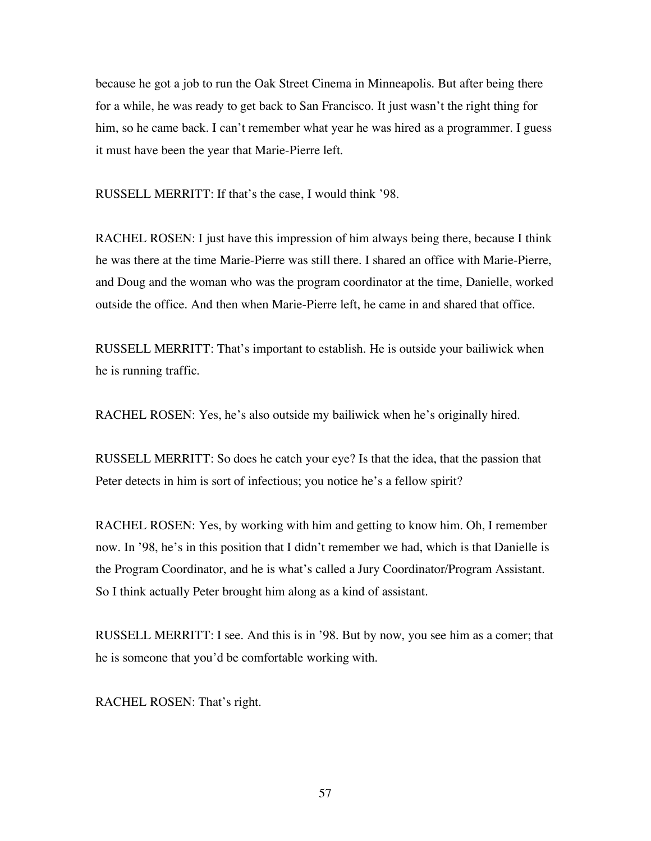because he got a job to run the Oak Street Cinema in Minneapolis. But after being there for a while, he was ready to get back to San Francisco. It just wasn't the right thing for him, so he came back. I can't remember what year he was hired as a programmer. I guess it must have been the year that Marie-Pierre left.

RUSSELL MERRITT: If that's the case, I would think '98.

RACHEL ROSEN: I just have this impression of him always being there, because I think he was there at the time Marie-Pierre was still there. I shared an office with Marie-Pierre, and Doug and the woman who was the program coordinator at the time, Danielle, worked outside the office. And then when Marie-Pierre left, he came in and shared that office.

RUSSELL MERRITT: That's important to establish. He is outside your bailiwick when he is running traffic.

RACHEL ROSEN: Yes, he's also outside my bailiwick when he's originally hired.

RUSSELL MERRITT: So does he catch your eye? Is that the idea, that the passion that Peter detects in him is sort of infectious; you notice he's a fellow spirit?

RACHEL ROSEN: Yes, by working with him and getting to know him. Oh, I remember now. In '98, he's in this position that I didn't remember we had, which is that Danielle is the Program Coordinator, and he is what's called a Jury Coordinator/Program Assistant. So I think actually Peter brought him along as a kind of assistant.

RUSSELL MERRITT: I see. And this is in '98. But by now, you see him as a comer; that he is someone that you'd be comfortable working with.

RACHEL ROSEN: That's right.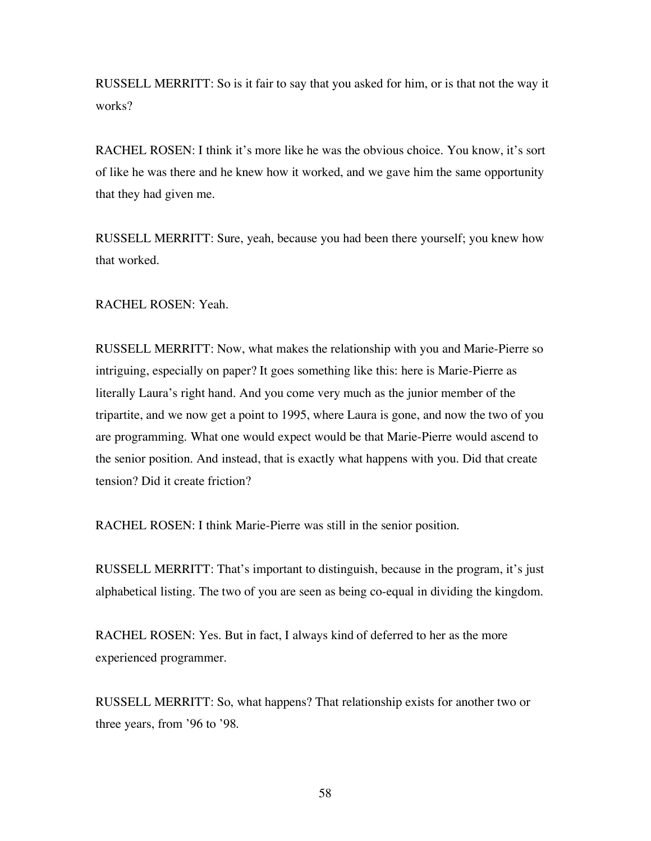RUSSELL MERRITT: So is it fair to say that you asked for him, or is that not the way it works?

RACHEL ROSEN: I think it's more like he was the obvious choice. You know, it's sort of like he was there and he knew how it worked, and we gave him the same opportunity that they had given me.

RUSSELL MERRITT: Sure, yeah, because you had been there yourself; you knew how that worked.

RACHEL ROSEN: Yeah.

RUSSELL MERRITT: Now, what makes the relationship with you and Marie-Pierre so intriguing, especially on paper? It goes something like this: here is Marie-Pierre as literally Laura's right hand. And you come very much as the junior member of the tripartite, and we now get a point to 1995, where Laura is gone, and now the two of you are programming. What one would expect would be that Marie-Pierre would ascend to the senior position. And instead, that is exactly what happens with you. Did that create tension? Did it create friction?

RACHEL ROSEN: I think Marie-Pierre was still in the senior position.

RUSSELL MERRITT: That's important to distinguish, because in the program, it's just alphabetical listing. The two of you are seen as being co-equal in dividing the kingdom.

RACHEL ROSEN: Yes. But in fact, I always kind of deferred to her as the more experienced programmer.

RUSSELL MERRITT: So, what happens? That relationship exists for another two or three years, from '96 to '98.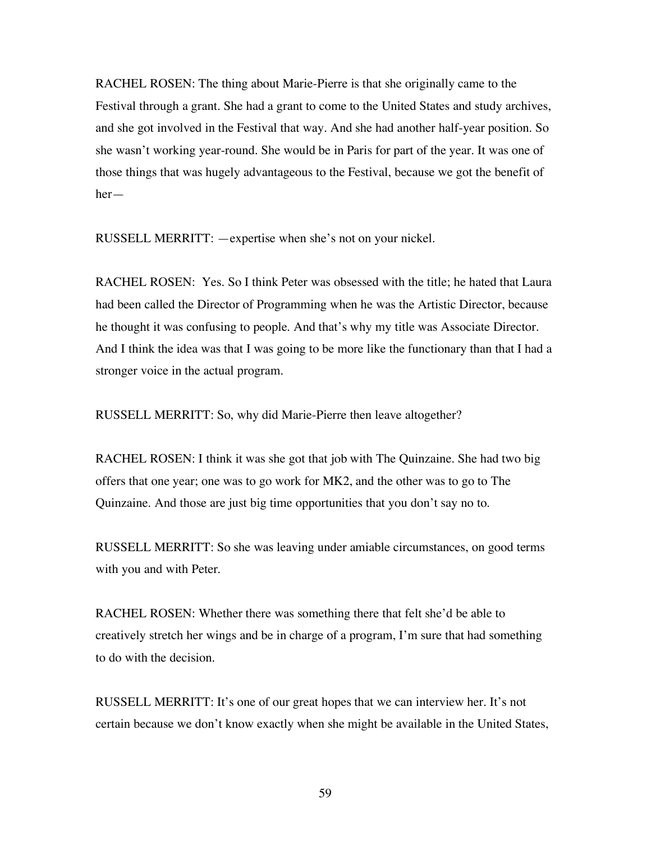RACHEL ROSEN: The thing about Marie-Pierre is that she originally came to the Festival through a grant. She had a grant to come to the United States and study archives, and she got involved in the Festival that way. And she had another half-year position. So she wasn't working year-round. She would be in Paris for part of the year. It was one of those things that was hugely advantageous to the Festival, because we got the benefit of her—

RUSSELL MERRITT: —expertise when she's not on your nickel.

RACHEL ROSEN: Yes. So I think Peter was obsessed with the title; he hated that Laura had been called the Director of Programming when he was the Artistic Director, because he thought it was confusing to people. And that's why my title was Associate Director. And I think the idea was that I was going to be more like the functionary than that I had a stronger voice in the actual program.

RUSSELL MERRITT: So, why did Marie-Pierre then leave altogether?

RACHEL ROSEN: I think it was she got that job with The Quinzaine. She had two big offers that one year; one was to go work for MK2, and the other was to go to The Quinzaine. And those are just big time opportunities that you don't say no to.

RUSSELL MERRITT: So she was leaving under amiable circumstances, on good terms with you and with Peter.

RACHEL ROSEN: Whether there was something there that felt she'd be able to creatively stretch her wings and be in charge of a program, I'm sure that had something to do with the decision.

RUSSELL MERRITT: It's one of our great hopes that we can interview her. It's not certain because we don't know exactly when she might be available in the United States,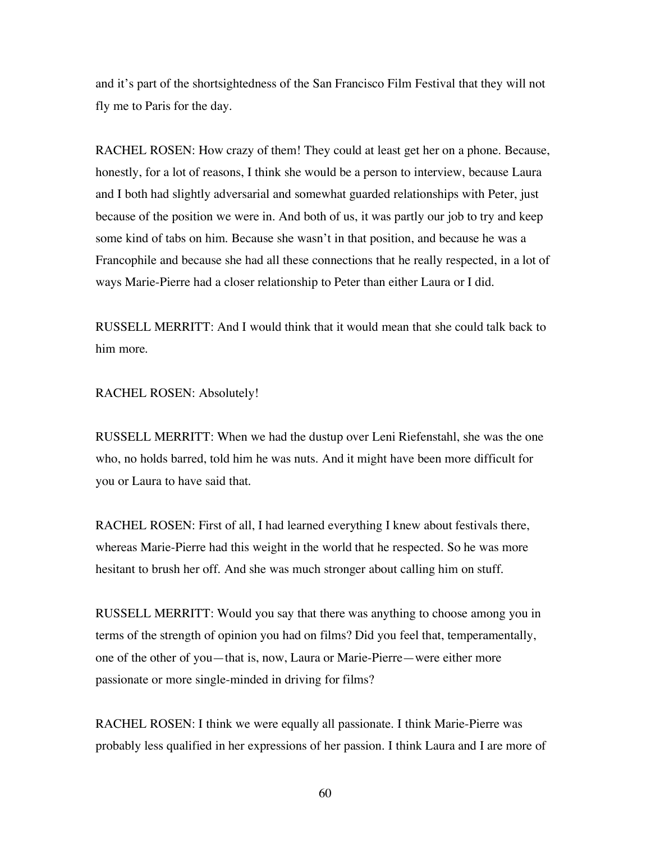and it's part of the shortsightedness of the San Francisco Film Festival that they will not fly me to Paris for the day.

RACHEL ROSEN: How crazy of them! They could at least get her on a phone. Because, honestly, for a lot of reasons, I think she would be a person to interview, because Laura and I both had slightly adversarial and somewhat guarded relationships with Peter, just because of the position we were in. And both of us, it was partly our job to try and keep some kind of tabs on him. Because she wasn't in that position, and because he was a Francophile and because she had all these connections that he really respected, in a lot of ways Marie-Pierre had a closer relationship to Peter than either Laura or I did.

RUSSELL MERRITT: And I would think that it would mean that she could talk back to him more.

RACHEL ROSEN: Absolutely!

RUSSELL MERRITT: When we had the dustup over Leni Riefenstahl, she was the one who, no holds barred, told him he was nuts. And it might have been more difficult for you or Laura to have said that.

RACHEL ROSEN: First of all, I had learned everything I knew about festivals there, whereas Marie-Pierre had this weight in the world that he respected. So he was more hesitant to brush her off. And she was much stronger about calling him on stuff.

RUSSELL MERRITT: Would you say that there was anything to choose among you in terms of the strength of opinion you had on films? Did you feel that, temperamentally, one of the other of you—that is, now, Laura or Marie-Pierre—were either more passionate or more single-minded in driving for films?

RACHEL ROSEN: I think we were equally all passionate. I think Marie-Pierre was probably less qualified in her expressions of her passion. I think Laura and I are more of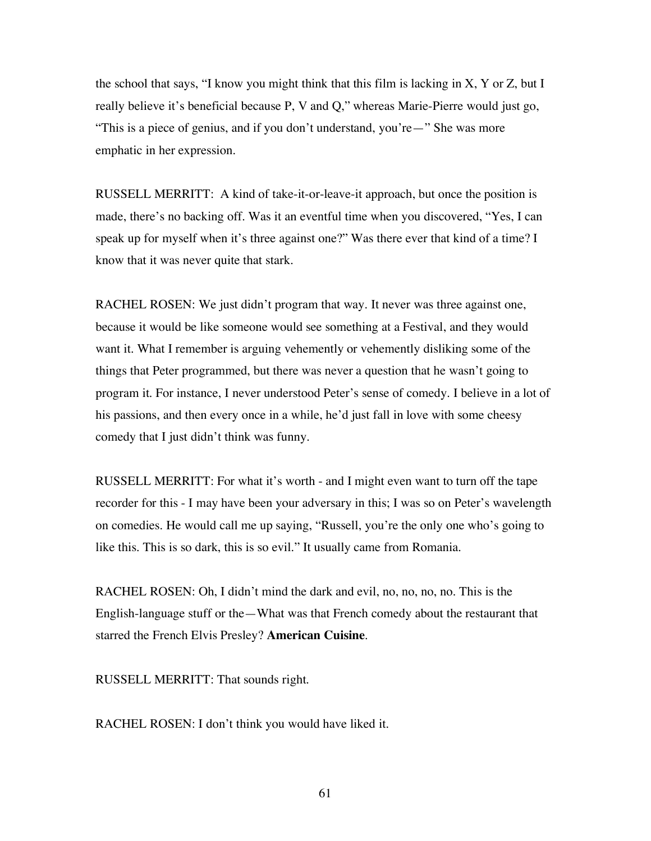the school that says, "I know you might think that this film is lacking in  $X$ ,  $Y$  or  $Z$ , but I really believe it's beneficial because P, V and Q," whereas Marie-Pierre would just go, "This is a piece of genius, and if you don't understand, you're—" She was more emphatic in her expression.

RUSSELL MERRITT: A kind of take-it-or-leave-it approach, but once the position is made, there's no backing off. Was it an eventful time when you discovered, "Yes, I can speak up for myself when it's three against one?" Was there ever that kind of a time? I know that it was never quite that stark.

RACHEL ROSEN: We just didn't program that way. It never was three against one, because it would be like someone would see something at a Festival, and they would want it. What I remember is arguing vehemently or vehemently disliking some of the things that Peter programmed, but there was never a question that he wasn't going to program it. For instance, I never understood Peter's sense of comedy. I believe in a lot of his passions, and then every once in a while, he'd just fall in love with some cheesy comedy that I just didn't think was funny.

RUSSELL MERRITT: For what it's worth - and I might even want to turn off the tape recorder for this - I may have been your adversary in this; I was so on Peter's wavelength on comedies. He would call me up saying, "Russell, you're the only one who's going to like this. This is so dark, this is so evil." It usually came from Romania.

RACHEL ROSEN: Oh, I didn't mind the dark and evil, no, no, no, no. This is the English-language stuff or the—What was that French comedy about the restaurant that starred the French Elvis Presley? **American Cuisine**.

RUSSELL MERRITT: That sounds right.

RACHEL ROSEN: I don't think you would have liked it.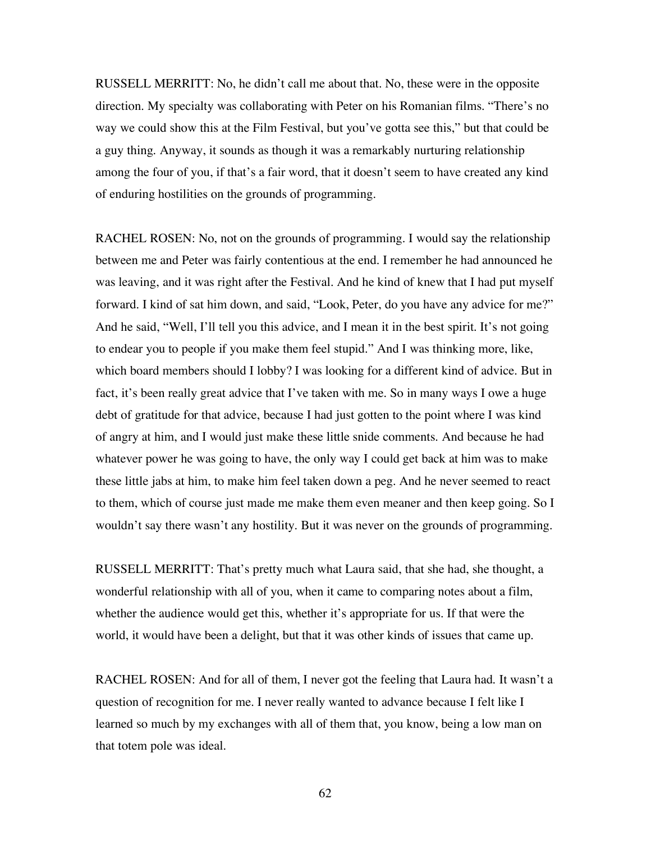RUSSELL MERRITT: No, he didn't call me about that. No, these were in the opposite direction. My specialty was collaborating with Peter on his Romanian films. "There's no way we could show this at the Film Festival, but you've gotta see this," but that could be a guy thing. Anyway, it sounds as though it was a remarkably nurturing relationship among the four of you, if that's a fair word, that it doesn't seem to have created any kind of enduring hostilities on the grounds of programming.

RACHEL ROSEN: No, not on the grounds of programming. I would say the relationship between me and Peter was fairly contentious at the end. I remember he had announced he was leaving, and it was right after the Festival. And he kind of knew that I had put myself forward. I kind of sat him down, and said, "Look, Peter, do you have any advice for me?" And he said, "Well, I'll tell you this advice, and I mean it in the best spirit. It's not going to endear you to people if you make them feel stupid." And I was thinking more, like, which board members should I lobby? I was looking for a different kind of advice. But in fact, it's been really great advice that I've taken with me. So in many ways I owe a huge debt of gratitude for that advice, because I had just gotten to the point where I was kind of angry at him, and I would just make these little snide comments. And because he had whatever power he was going to have, the only way I could get back at him was to make these little jabs at him, to make him feel taken down a peg. And he never seemed to react to them, which of course just made me make them even meaner and then keep going. So I wouldn't say there wasn't any hostility. But it was never on the grounds of programming.

RUSSELL MERRITT: That's pretty much what Laura said, that she had, she thought, a wonderful relationship with all of you, when it came to comparing notes about a film, whether the audience would get this, whether it's appropriate for us. If that were the world, it would have been a delight, but that it was other kinds of issues that came up.

RACHEL ROSEN: And for all of them, I never got the feeling that Laura had. It wasn't a question of recognition for me. I never really wanted to advance because I felt like I learned so much by my exchanges with all of them that, you know, being a low man on that totem pole was ideal.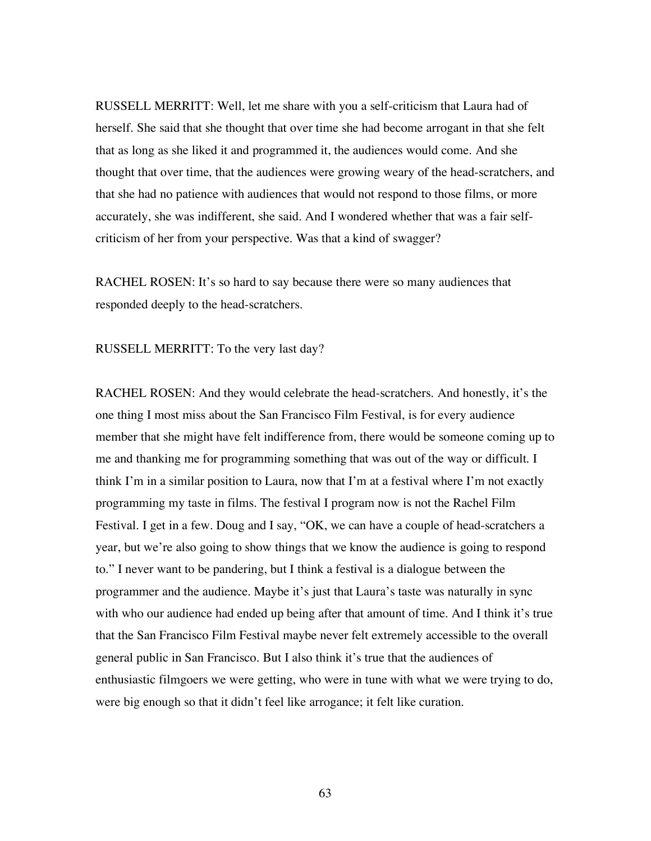RUSSELL MERRITT: Well, let me share with you a self-criticism that Laura had of herself. She said that she thought that over time she had become arrogant in that she felt that as long as she liked it and programmed it, the audiences would come. And she thought that over time, that the audiences were growing weary of the head-scratchers, and that she had no patience with audiences that would not respond to those films, or more accurately, she was indifferent, she said. And I wondered whether that was a fair selfcriticism of her from your perspective. Was that a kind of swagger?

RACHEL ROSEN: It's so hard to say because there were so many audiences that responded deeply to the head-scratchers.

RUSSELL MERRITT: To the very last day?

RACHEL ROSEN: And they would celebrate the head-scratchers. And honestly, it's the one thing I most miss about the San Francisco Film Festival, is for every audience member that she might have felt indifference from, there would be someone coming up to me and thanking me for programming something that was out of the way or difficult. I think I'm in a similar position to Laura, now that I'm at a festival where I'm not exactly programming my taste in films. The festival I program now is not the Rachel Film Festival. I get in a few. Doug and I say, "OK, we can have a couple of head-scratchers a year, but we're also going to show things that we know the audience is going to respond to." I never want to be pandering, but I think a festival is a dialogue between the programmer and the audience. Maybe it's just that Laura's taste was naturally in sync with who our audience had ended up being after that amount of time. And I think it's true that the San Francisco Film Festival maybe never felt extremely accessible to the overall general public in San Francisco. But I also think it's true that the audiences of enthusiastic filmgoers we were getting, who were in tune with what we were trying to do, were big enough so that it didn't feel like arrogance; it felt like curation.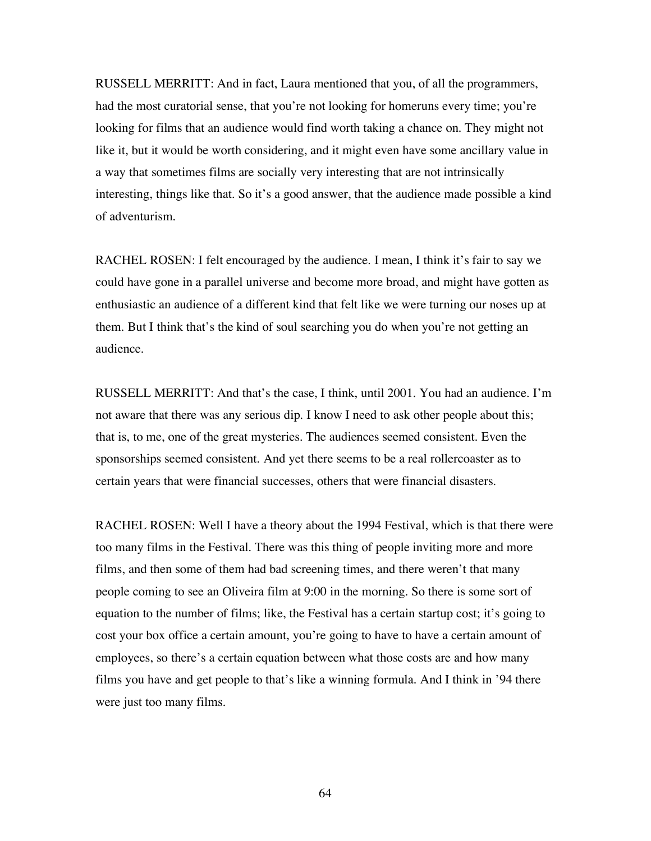RUSSELL MERRITT: And in fact, Laura mentioned that you, of all the programmers, had the most curatorial sense, that you're not looking for homeruns every time; you're looking for films that an audience would find worth taking a chance on. They might not like it, but it would be worth considering, and it might even have some ancillary value in a way that sometimes films are socially very interesting that are not intrinsically interesting, things like that. So it's a good answer, that the audience made possible a kind of adventurism.

RACHEL ROSEN: I felt encouraged by the audience. I mean, I think it's fair to say we could have gone in a parallel universe and become more broad, and might have gotten as enthusiastic an audience of a different kind that felt like we were turning our noses up at them. But I think that's the kind of soul searching you do when you're not getting an audience.

RUSSELL MERRITT: And that's the case, I think, until 2001. You had an audience. I'm not aware that there was any serious dip. I know I need to ask other people about this; that is, to me, one of the great mysteries. The audiences seemed consistent. Even the sponsorships seemed consistent. And yet there seems to be a real rollercoaster as to certain years that were financial successes, others that were financial disasters.

RACHEL ROSEN: Well I have a theory about the 1994 Festival, which is that there were too many films in the Festival. There was this thing of people inviting more and more films, and then some of them had bad screening times, and there weren't that many people coming to see an Oliveira film at 9:00 in the morning. So there is some sort of equation to the number of films; like, the Festival has a certain startup cost; it's going to cost your box office a certain amount, you're going to have to have a certain amount of employees, so there's a certain equation between what those costs are and how many films you have and get people to that's like a winning formula. And I think in '94 there were just too many films.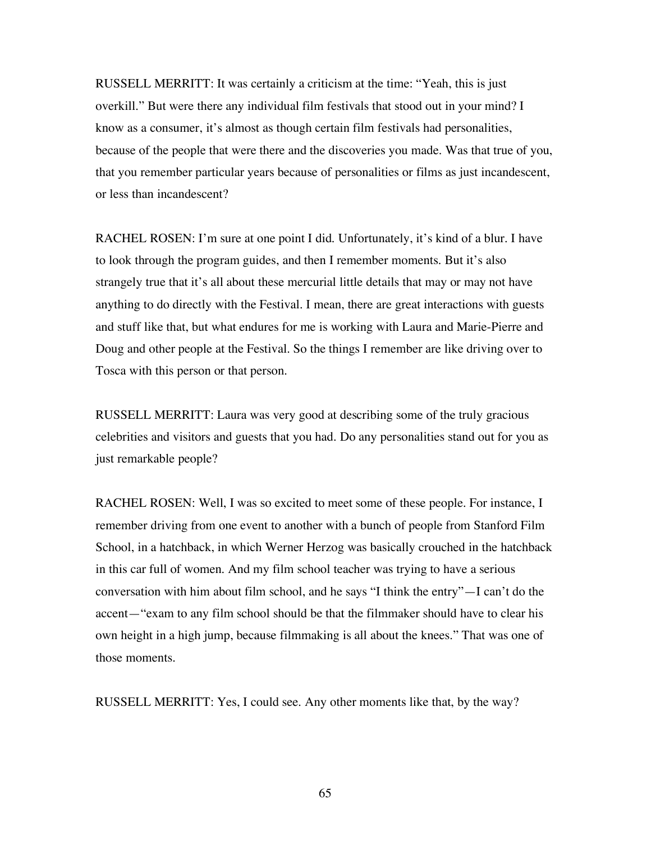RUSSELL MERRITT: It was certainly a criticism at the time: "Yeah, this is just overkill." But were there any individual film festivals that stood out in your mind? I know as a consumer, it's almost as though certain film festivals had personalities, because of the people that were there and the discoveries you made. Was that true of you, that you remember particular years because of personalities or films as just incandescent, or less than incandescent?

RACHEL ROSEN: I'm sure at one point I did. Unfortunately, it's kind of a blur. I have to look through the program guides, and then I remember moments. But it's also strangely true that it's all about these mercurial little details that may or may not have anything to do directly with the Festival. I mean, there are great interactions with guests and stuff like that, but what endures for me is working with Laura and Marie-Pierre and Doug and other people at the Festival. So the things I remember are like driving over to Tosca with this person or that person.

RUSSELL MERRITT: Laura was very good at describing some of the truly gracious celebrities and visitors and guests that you had. Do any personalities stand out for you as just remarkable people?

RACHEL ROSEN: Well, I was so excited to meet some of these people. For instance, I remember driving from one event to another with a bunch of people from Stanford Film School, in a hatchback, in which Werner Herzog was basically crouched in the hatchback in this car full of women. And my film school teacher was trying to have a serious conversation with him about film school, and he says "I think the entry"—I can't do the accent—"exam to any film school should be that the filmmaker should have to clear his own height in a high jump, because filmmaking is all about the knees." That was one of those moments.

RUSSELL MERRITT: Yes, I could see. Any other moments like that, by the way?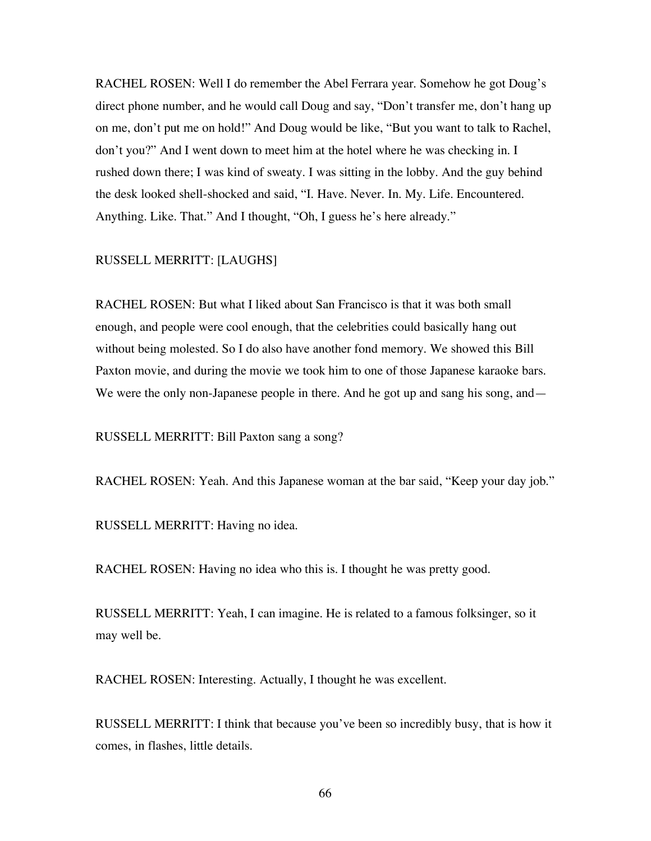RACHEL ROSEN: Well I do remember the Abel Ferrara year. Somehow he got Doug's direct phone number, and he would call Doug and say, "Don't transfer me, don't hang up on me, don't put me on hold!" And Doug would be like, "But you want to talk to Rachel, don't you?" And I went down to meet him at the hotel where he was checking in. I rushed down there; I was kind of sweaty. I was sitting in the lobby. And the guy behind the desk looked shell-shocked and said, "I. Have. Never. In. My. Life. Encountered. Anything. Like. That." And I thought, "Oh, I guess he's here already."

## RUSSELL MERRITT: [LAUGHS]

RACHEL ROSEN: But what I liked about San Francisco is that it was both small enough, and people were cool enough, that the celebrities could basically hang out without being molested. So I do also have another fond memory. We showed this Bill Paxton movie, and during the movie we took him to one of those Japanese karaoke bars. We were the only non-Japanese people in there. And he got up and sang his song, and—

RUSSELL MERRITT: Bill Paxton sang a song?

RACHEL ROSEN: Yeah. And this Japanese woman at the bar said, "Keep your day job."

RUSSELL MERRITT: Having no idea.

RACHEL ROSEN: Having no idea who this is. I thought he was pretty good.

RUSSELL MERRITT: Yeah, I can imagine. He is related to a famous folksinger, so it may well be.

RACHEL ROSEN: Interesting. Actually, I thought he was excellent.

RUSSELL MERRITT: I think that because you've been so incredibly busy, that is how it comes, in flashes, little details.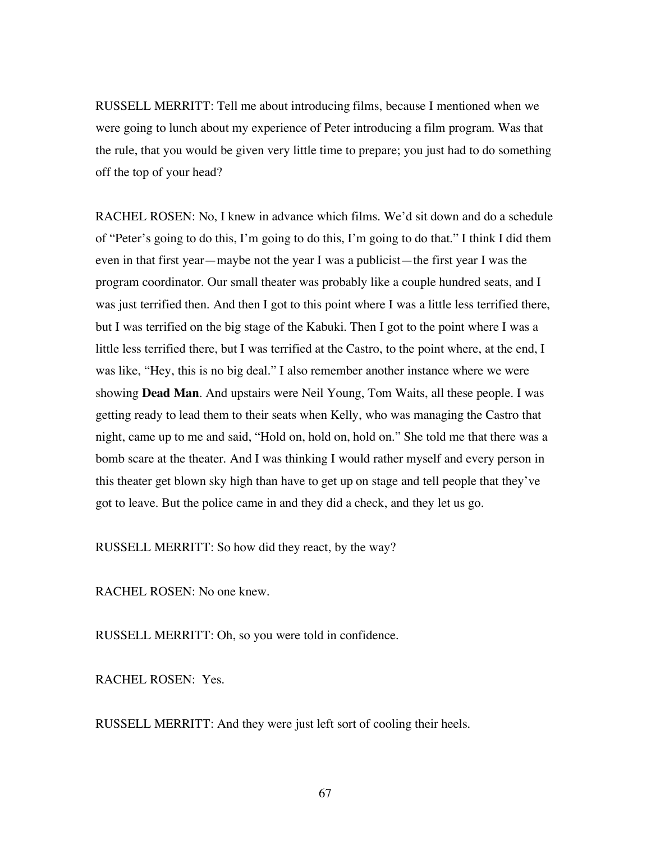RUSSELL MERRITT: Tell me about introducing films, because I mentioned when we were going to lunch about my experience of Peter introducing a film program. Was that the rule, that you would be given very little time to prepare; you just had to do something off the top of your head?

RACHEL ROSEN: No, I knew in advance which films. We'd sit down and do a schedule of "Peter's going to do this, I'm going to do this, I'm going to do that." I think I did them even in that first year—maybe not the year I was a publicist—the first year I was the program coordinator. Our small theater was probably like a couple hundred seats, and I was just terrified then. And then I got to this point where I was a little less terrified there, but I was terrified on the big stage of the Kabuki. Then I got to the point where I was a little less terrified there, but I was terrified at the Castro, to the point where, at the end, I was like, "Hey, this is no big deal." I also remember another instance where we were showing **Dead Man**. And upstairs were Neil Young, Tom Waits, all these people. I was getting ready to lead them to their seats when Kelly, who was managing the Castro that night, came up to me and said, "Hold on, hold on, hold on." She told me that there was a bomb scare at the theater. And I was thinking I would rather myself and every person in this theater get blown sky high than have to get up on stage and tell people that they've got to leave. But the police came in and they did a check, and they let us go.

RUSSELL MERRITT: So how did they react, by the way?

RACHEL ROSEN: No one knew.

RUSSELL MERRITT: Oh, so you were told in confidence.

RACHEL ROSEN: Yes.

RUSSELL MERRITT: And they were just left sort of cooling their heels.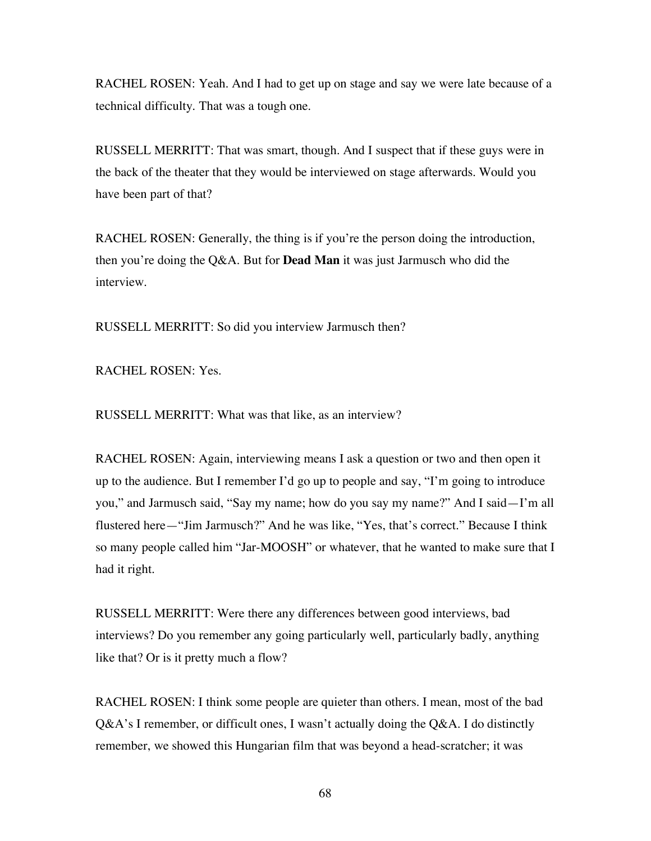RACHEL ROSEN: Yeah. And I had to get up on stage and say we were late because of a technical difficulty. That was a tough one.

RUSSELL MERRITT: That was smart, though. And I suspect that if these guys were in the back of the theater that they would be interviewed on stage afterwards. Would you have been part of that?

RACHEL ROSEN: Generally, the thing is if you're the person doing the introduction, then you're doing the Q&A. But for **Dead Man** it was just Jarmusch who did the interview.

RUSSELL MERRITT: So did you interview Jarmusch then?

RACHEL ROSEN: Yes.

RUSSELL MERRITT: What was that like, as an interview?

RACHEL ROSEN: Again, interviewing means I ask a question or two and then open it up to the audience. But I remember I'd go up to people and say, "I'm going to introduce you," and Jarmusch said, "Say my name; how do you say my name?" And I said—I'm all flustered here—"Jim Jarmusch?" And he was like, "Yes, that's correct." Because I think so many people called him "Jar-MOOSH" or whatever, that he wanted to make sure that I had it right.

RUSSELL MERRITT: Were there any differences between good interviews, bad interviews? Do you remember any going particularly well, particularly badly, anything like that? Or is it pretty much a flow?

RACHEL ROSEN: I think some people are quieter than others. I mean, most of the bad Q&A's I remember, or difficult ones, I wasn't actually doing the Q&A. I do distinctly remember, we showed this Hungarian film that was beyond a head-scratcher; it was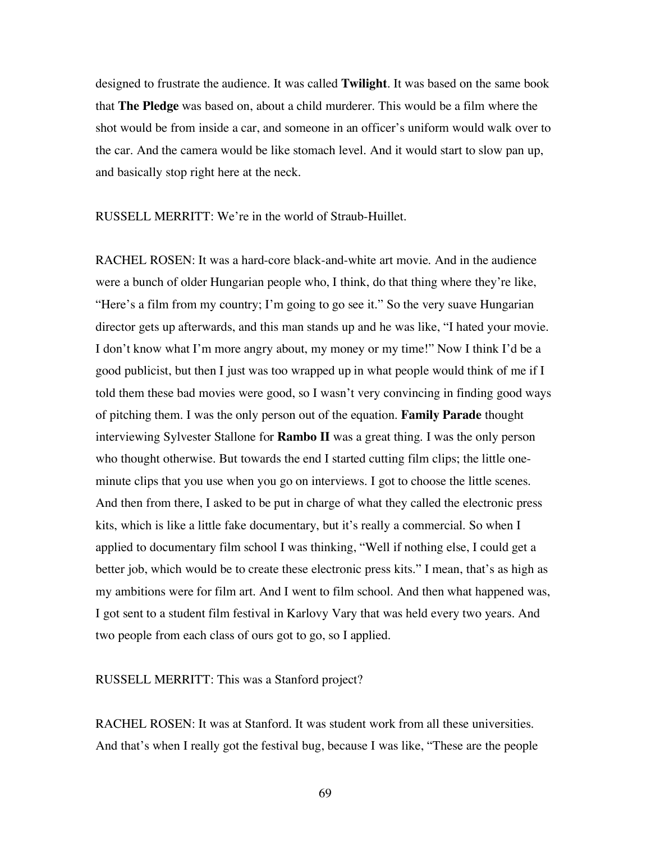designed to frustrate the audience. It was called **Twilight**. It was based on the same book that **The Pledge** was based on, about a child murderer. This would be a film where the shot would be from inside a car, and someone in an officer's uniform would walk over to the car. And the camera would be like stomach level. And it would start to slow pan up, and basically stop right here at the neck.

RUSSELL MERRITT: We're in the world of Straub-Huillet.

RACHEL ROSEN: It was a hard-core black-and-white art movie. And in the audience were a bunch of older Hungarian people who, I think, do that thing where they're like, "Here's a film from my country; I'm going to go see it." So the very suave Hungarian director gets up afterwards, and this man stands up and he was like, "I hated your movie. I don't know what I'm more angry about, my money or my time!" Now I think I'd be a good publicist, but then I just was too wrapped up in what people would think of me if I told them these bad movies were good, so I wasn't very convincing in finding good ways of pitching them. I was the only person out of the equation. **Family Parade** thought interviewing Sylvester Stallone for **Rambo II** was a great thing. I was the only person who thought otherwise. But towards the end I started cutting film clips; the little oneminute clips that you use when you go on interviews. I got to choose the little scenes. And then from there, I asked to be put in charge of what they called the electronic press kits, which is like a little fake documentary, but it's really a commercial. So when I applied to documentary film school I was thinking, "Well if nothing else, I could get a better job, which would be to create these electronic press kits." I mean, that's as high as my ambitions were for film art. And I went to film school. And then what happened was, I got sent to a student film festival in Karlovy Vary that was held every two years. And two people from each class of ours got to go, so I applied.

RUSSELL MERRITT: This was a Stanford project?

RACHEL ROSEN: It was at Stanford. It was student work from all these universities. And that's when I really got the festival bug, because I was like, "These are the people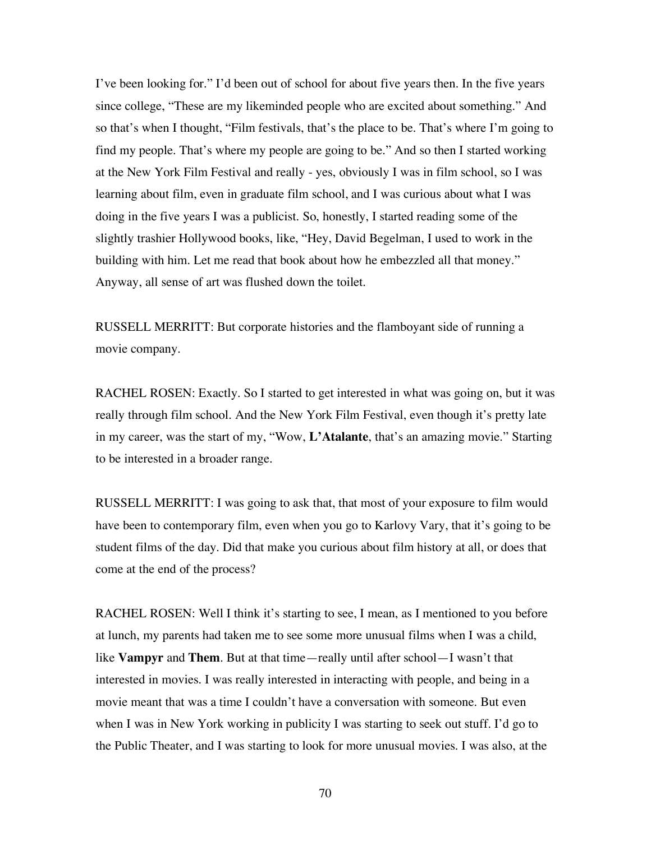I've been looking for." I'd been out of school for about five years then. In the five years since college, "These are my likeminded people who are excited about something." And so that's when I thought, "Film festivals, that's the place to be. That's where I'm going to find my people. That's where my people are going to be." And so then I started working at the New York Film Festival and really - yes, obviously I was in film school, so I was learning about film, even in graduate film school, and I was curious about what I was doing in the five years I was a publicist. So, honestly, I started reading some of the slightly trashier Hollywood books, like, "Hey, David Begelman, I used to work in the building with him. Let me read that book about how he embezzled all that money." Anyway, all sense of art was flushed down the toilet.

RUSSELL MERRITT: But corporate histories and the flamboyant side of running a movie company.

RACHEL ROSEN: Exactly. So I started to get interested in what was going on, but it was really through film school. And the New York Film Festival, even though it's pretty late in my career, was the start of my, "Wow, **L'Atalante**, that's an amazing movie." Starting to be interested in a broader range.

RUSSELL MERRITT: I was going to ask that, that most of your exposure to film would have been to contemporary film, even when you go to Karlovy Vary, that it's going to be student films of the day. Did that make you curious about film history at all, or does that come at the end of the process?

RACHEL ROSEN: Well I think it's starting to see, I mean, as I mentioned to you before at lunch, my parents had taken me to see some more unusual films when I was a child, like **Vampyr** and **Them**. But at that time—really until after school—I wasn't that interested in movies. I was really interested in interacting with people, and being in a movie meant that was a time I couldn't have a conversation with someone. But even when I was in New York working in publicity I was starting to seek out stuff. I'd go to the Public Theater, and I was starting to look for more unusual movies. I was also, at the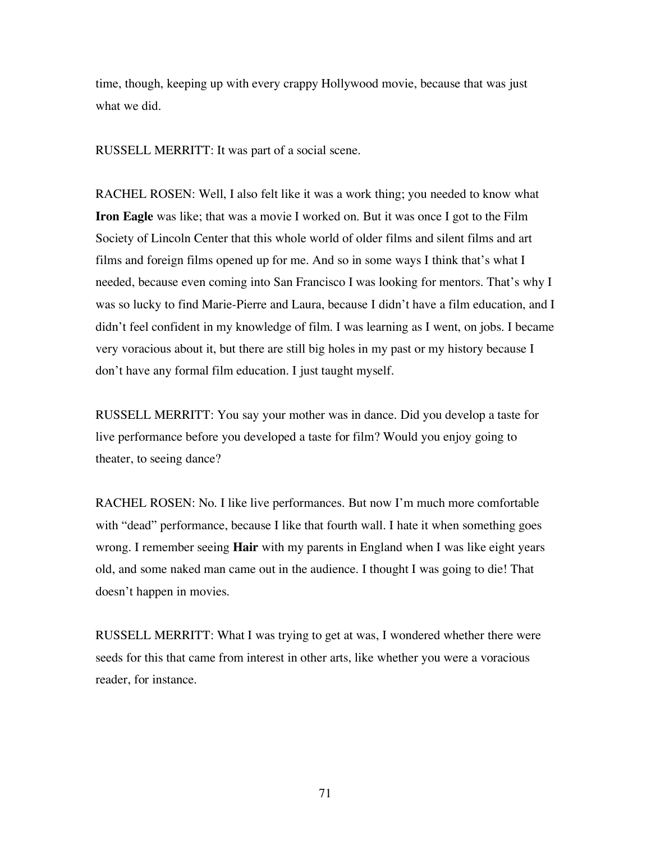time, though, keeping up with every crappy Hollywood movie, because that was just what we did.

RUSSELL MERRITT: It was part of a social scene.

RACHEL ROSEN: Well, I also felt like it was a work thing; you needed to know what **Iron Eagle** was like; that was a movie I worked on. But it was once I got to the Film Society of Lincoln Center that this whole world of older films and silent films and art films and foreign films opened up for me. And so in some ways I think that's what I needed, because even coming into San Francisco I was looking for mentors. That's why I was so lucky to find Marie-Pierre and Laura, because I didn't have a film education, and I didn't feel confident in my knowledge of film. I was learning as I went, on jobs. I became very voracious about it, but there are still big holes in my past or my history because I don't have any formal film education. I just taught myself.

RUSSELL MERRITT: You say your mother was in dance. Did you develop a taste for live performance before you developed a taste for film? Would you enjoy going to theater, to seeing dance?

RACHEL ROSEN: No. I like live performances. But now I'm much more comfortable with "dead" performance, because I like that fourth wall. I hate it when something goes wrong. I remember seeing **Hair** with my parents in England when I was like eight years old, and some naked man came out in the audience. I thought I was going to die! That doesn't happen in movies.

RUSSELL MERRITT: What I was trying to get at was, I wondered whether there were seeds for this that came from interest in other arts, like whether you were a voracious reader, for instance.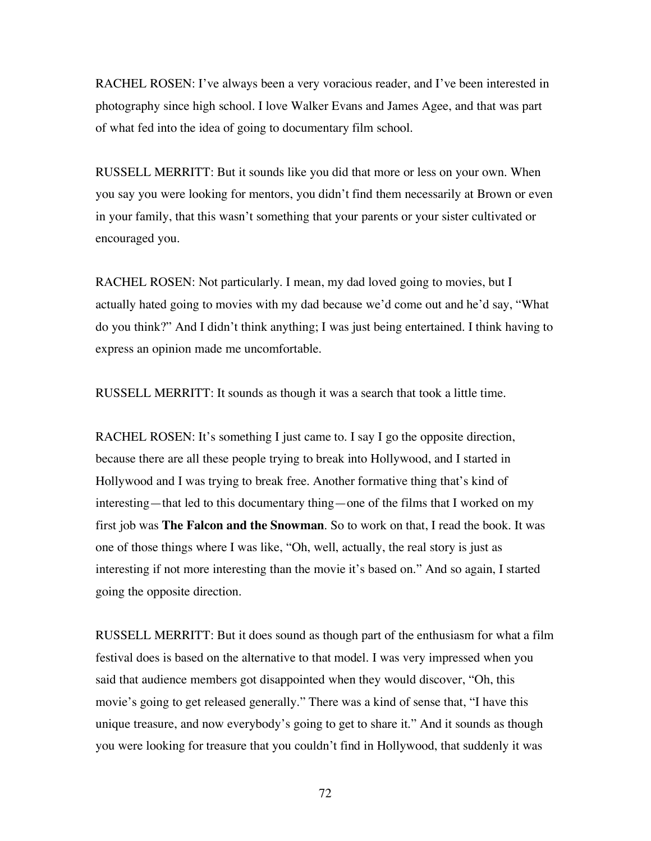RACHEL ROSEN: I've always been a very voracious reader, and I've been interested in photography since high school. I love Walker Evans and James Agee, and that was part of what fed into the idea of going to documentary film school.

RUSSELL MERRITT: But it sounds like you did that more or less on your own. When you say you were looking for mentors, you didn't find them necessarily at Brown or even in your family, that this wasn't something that your parents or your sister cultivated or encouraged you.

RACHEL ROSEN: Not particularly. I mean, my dad loved going to movies, but I actually hated going to movies with my dad because we'd come out and he'd say, "What do you think?" And I didn't think anything; I was just being entertained. I think having to express an opinion made me uncomfortable.

RUSSELL MERRITT: It sounds as though it was a search that took a little time.

RACHEL ROSEN: It's something I just came to. I say I go the opposite direction, because there are all these people trying to break into Hollywood, and I started in Hollywood and I was trying to break free. Another formative thing that's kind of interesting—that led to this documentary thing—one of the films that I worked on my first job was **The Falcon and the Snowman**. So to work on that, I read the book. It was one of those things where I was like, "Oh, well, actually, the real story is just as interesting if not more interesting than the movie it's based on." And so again, I started going the opposite direction.

RUSSELL MERRITT: But it does sound as though part of the enthusiasm for what a film festival does is based on the alternative to that model. I was very impressed when you said that audience members got disappointed when they would discover, "Oh, this movie's going to get released generally." There was a kind of sense that, "I have this unique treasure, and now everybody's going to get to share it." And it sounds as though you were looking for treasure that you couldn't find in Hollywood, that suddenly it was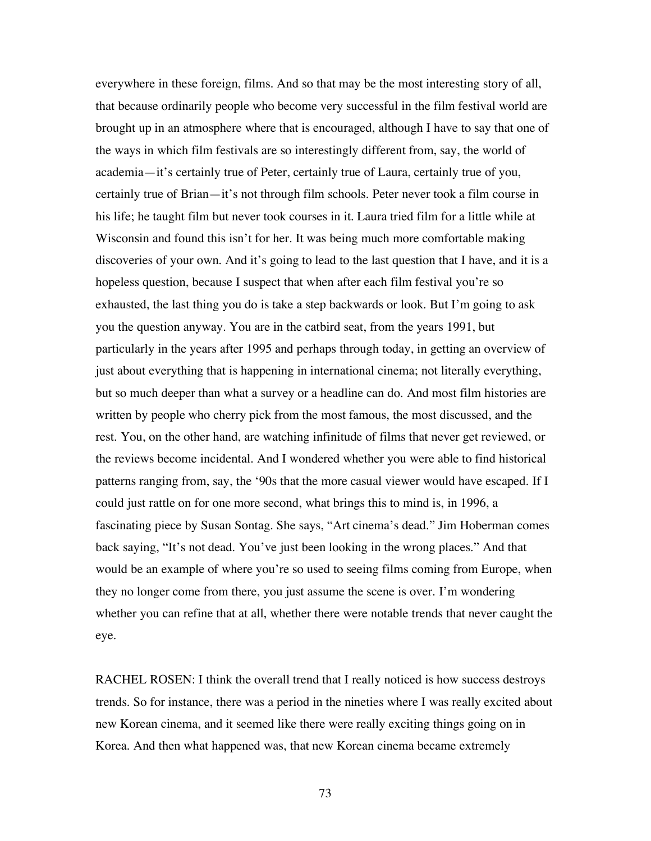everywhere in these foreign, films. And so that may be the most interesting story of all, that because ordinarily people who become very successful in the film festival world are brought up in an atmosphere where that is encouraged, although I have to say that one of the ways in which film festivals are so interestingly different from, say, the world of academia—it's certainly true of Peter, certainly true of Laura, certainly true of you, certainly true of Brian—it's not through film schools. Peter never took a film course in his life; he taught film but never took courses in it. Laura tried film for a little while at Wisconsin and found this isn't for her. It was being much more comfortable making discoveries of your own. And it's going to lead to the last question that I have, and it is a hopeless question, because I suspect that when after each film festival you're so exhausted, the last thing you do is take a step backwards or look. But I'm going to ask you the question anyway. You are in the catbird seat, from the years 1991, but particularly in the years after 1995 and perhaps through today, in getting an overview of just about everything that is happening in international cinema; not literally everything, but so much deeper than what a survey or a headline can do. And most film histories are written by people who cherry pick from the most famous, the most discussed, and the rest. You, on the other hand, are watching infinitude of films that never get reviewed, or the reviews become incidental. And I wondered whether you were able to find historical patterns ranging from, say, the '90s that the more casual viewer would have escaped. If I could just rattle on for one more second, what brings this to mind is, in 1996, a fascinating piece by Susan Sontag. She says, "Art cinema's dead." Jim Hoberman comes back saying, "It's not dead. You've just been looking in the wrong places." And that would be an example of where you're so used to seeing films coming from Europe, when they no longer come from there, you just assume the scene is over. I'm wondering whether you can refine that at all, whether there were notable trends that never caught the eye.

RACHEL ROSEN: I think the overall trend that I really noticed is how success destroys trends. So for instance, there was a period in the nineties where I was really excited about new Korean cinema, and it seemed like there were really exciting things going on in Korea. And then what happened was, that new Korean cinema became extremely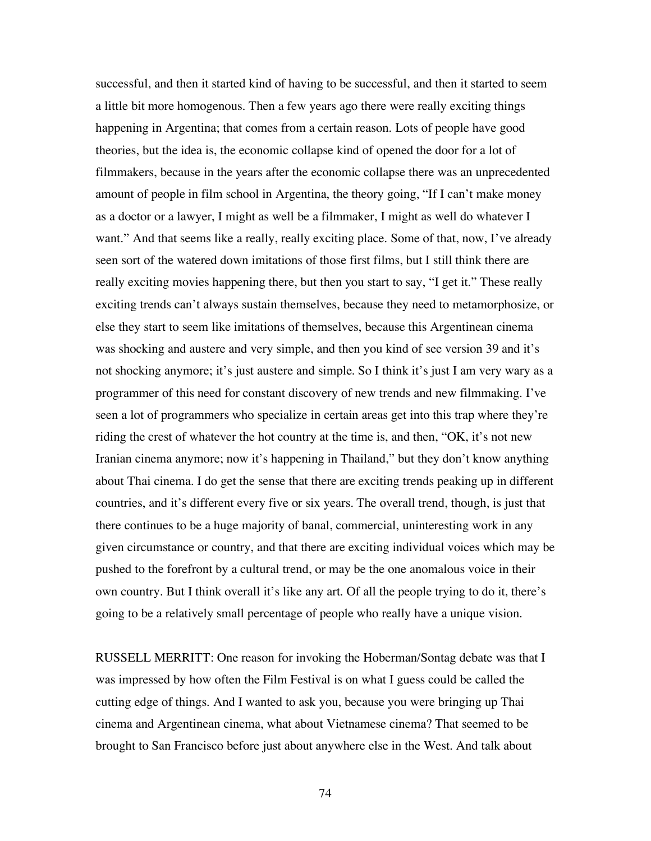successful, and then it started kind of having to be successful, and then it started to seem a little bit more homogenous. Then a few years ago there were really exciting things happening in Argentina; that comes from a certain reason. Lots of people have good theories, but the idea is, the economic collapse kind of opened the door for a lot of filmmakers, because in the years after the economic collapse there was an unprecedented amount of people in film school in Argentina, the theory going, "If I can't make money as a doctor or a lawyer, I might as well be a filmmaker, I might as well do whatever I want." And that seems like a really, really exciting place. Some of that, now, I've already seen sort of the watered down imitations of those first films, but I still think there are really exciting movies happening there, but then you start to say, "I get it." These really exciting trends can't always sustain themselves, because they need to metamorphosize, or else they start to seem like imitations of themselves, because this Argentinean cinema was shocking and austere and very simple, and then you kind of see version 39 and it's not shocking anymore; it's just austere and simple. So I think it's just I am very wary as a programmer of this need for constant discovery of new trends and new filmmaking. I've seen a lot of programmers who specialize in certain areas get into this trap where they're riding the crest of whatever the hot country at the time is, and then, "OK, it's not new Iranian cinema anymore; now it's happening in Thailand," but they don't know anything about Thai cinema. I do get the sense that there are exciting trends peaking up in different countries, and it's different every five or six years. The overall trend, though, is just that there continues to be a huge majority of banal, commercial, uninteresting work in any given circumstance or country, and that there are exciting individual voices which may be pushed to the forefront by a cultural trend, or may be the one anomalous voice in their own country. But I think overall it's like any art. Of all the people trying to do it, there's going to be a relatively small percentage of people who really have a unique vision.

RUSSELL MERRITT: One reason for invoking the Hoberman/Sontag debate was that I was impressed by how often the Film Festival is on what I guess could be called the cutting edge of things. And I wanted to ask you, because you were bringing up Thai cinema and Argentinean cinema, what about Vietnamese cinema? That seemed to be brought to San Francisco before just about anywhere else in the West. And talk about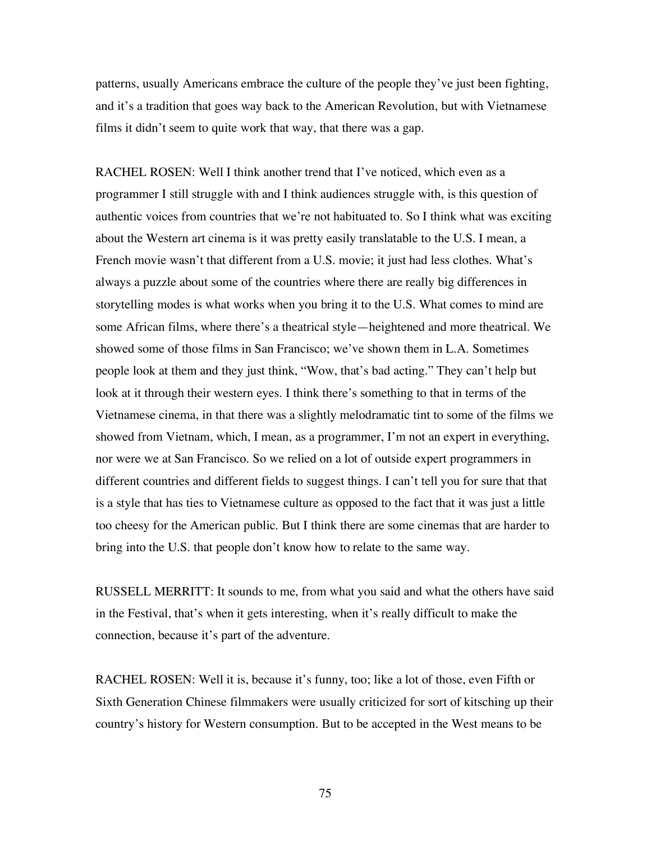patterns, usually Americans embrace the culture of the people they've just been fighting, and it's a tradition that goes way back to the American Revolution, but with Vietnamese films it didn't seem to quite work that way, that there was a gap.

RACHEL ROSEN: Well I think another trend that I've noticed, which even as a programmer I still struggle with and I think audiences struggle with, is this question of authentic voices from countries that we're not habituated to. So I think what was exciting about the Western art cinema is it was pretty easily translatable to the U.S. I mean, a French movie wasn't that different from a U.S. movie; it just had less clothes. What's always a puzzle about some of the countries where there are really big differences in storytelling modes is what works when you bring it to the U.S. What comes to mind are some African films, where there's a theatrical style—heightened and more theatrical. We showed some of those films in San Francisco; we've shown them in L.A. Sometimes people look at them and they just think, "Wow, that's bad acting." They can't help but look at it through their western eyes. I think there's something to that in terms of the Vietnamese cinema, in that there was a slightly melodramatic tint to some of the films we showed from Vietnam, which, I mean, as a programmer, I'm not an expert in everything, nor were we at San Francisco. So we relied on a lot of outside expert programmers in different countries and different fields to suggest things. I can't tell you for sure that that is a style that has ties to Vietnamese culture as opposed to the fact that it was just a little too cheesy for the American public. But I think there are some cinemas that are harder to bring into the U.S. that people don't know how to relate to the same way.

RUSSELL MERRITT: It sounds to me, from what you said and what the others have said in the Festival, that's when it gets interesting, when it's really difficult to make the connection, because it's part of the adventure.

RACHEL ROSEN: Well it is, because it's funny, too; like a lot of those, even Fifth or Sixth Generation Chinese filmmakers were usually criticized for sort of kitsching up their country's history for Western consumption. But to be accepted in the West means to be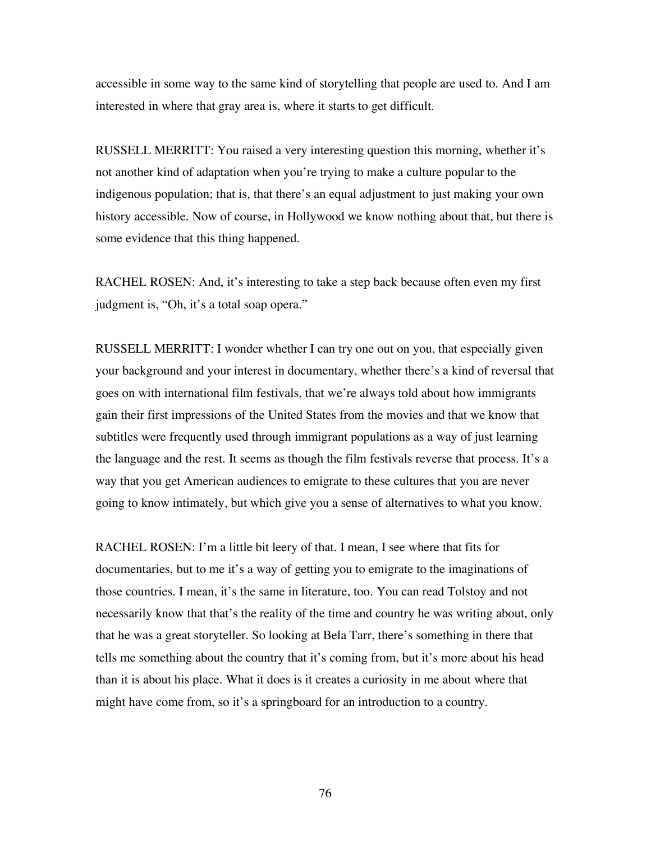accessible in some way to the same kind of storytelling that people are used to. And I am interested in where that gray area is, where it starts to get difficult.

RUSSELL MERRITT: You raised a very interesting question this morning, whether it's not another kind of adaptation when you're trying to make a culture popular to the indigenous population; that is, that there's an equal adjustment to just making your own history accessible. Now of course, in Hollywood we know nothing about that, but there is some evidence that this thing happened.

RACHEL ROSEN: And, it's interesting to take a step back because often even my first judgment is, "Oh, it's a total soap opera."

RUSSELL MERRITT: I wonder whether I can try one out on you, that especially given your background and your interest in documentary, whether there's a kind of reversal that goes on with international film festivals, that we're always told about how immigrants gain their first impressions of the United States from the movies and that we know that subtitles were frequently used through immigrant populations as a way of just learning the language and the rest. It seems as though the film festivals reverse that process. It's a way that you get American audiences to emigrate to these cultures that you are never going to know intimately, but which give you a sense of alternatives to what you know.

RACHEL ROSEN: I'm a little bit leery of that. I mean, I see where that fits for documentaries, but to me it's a way of getting you to emigrate to the imaginations of those countries. I mean, it's the same in literature, too. You can read Tolstoy and not necessarily know that that's the reality of the time and country he was writing about, only that he was a great storyteller. So looking at Bela Tarr, there's something in there that tells me something about the country that it's coming from, but it's more about his head than it is about his place. What it does is it creates a curiosity in me about where that might have come from, so it's a springboard for an introduction to a country.